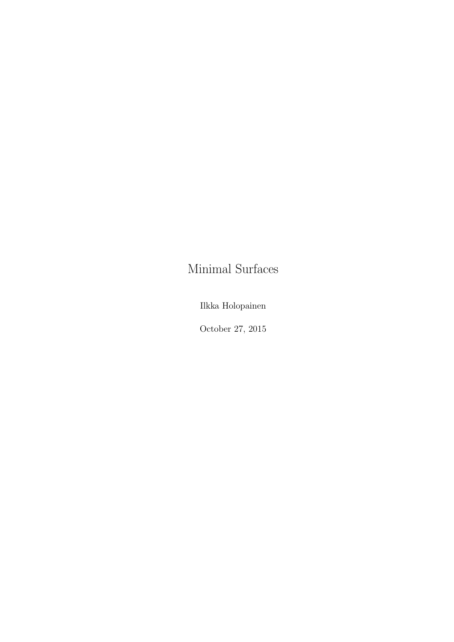# Minimal Surfaces

Ilkka Holopainen

October 27, 2015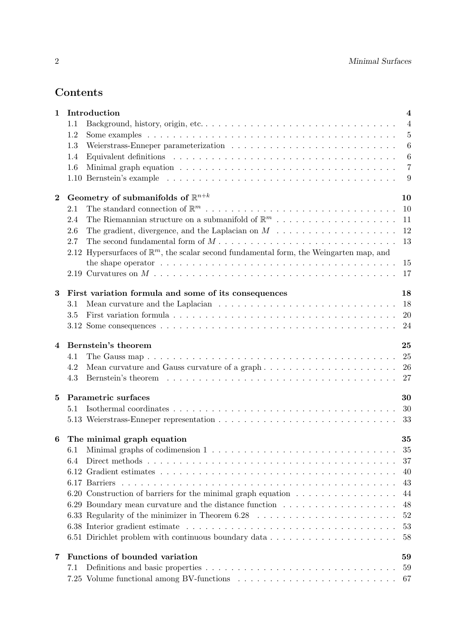## Contents

| $\mathbf{1}$ | Introduction                                                                                               | $\overline{\mathbf{4}}$ |
|--------------|------------------------------------------------------------------------------------------------------------|-------------------------|
|              | 1.1                                                                                                        | $\overline{4}$          |
|              | 1.2                                                                                                        | $\overline{5}$          |
|              | 1.3                                                                                                        | $\boldsymbol{6}$        |
|              | 1.4                                                                                                        | $\boldsymbol{6}$        |
|              | 1.6                                                                                                        | $\overline{7}$          |
|              |                                                                                                            | 9                       |
| $\bf{2}$     | Geometry of submanifolds of $\mathbb{R}^{n+k}$                                                             | 10                      |
|              | $2.1\,$                                                                                                    | 10                      |
|              | The Riemannian structure on a submanifold of $\mathbb{R}^m$<br>2.4                                         | 11                      |
|              | 2.6                                                                                                        | 12                      |
|              | 2.7                                                                                                        | 13                      |
|              | 2.12 Hypersurfaces of $\mathbb{R}^m$ , the scalar second fundamental form, the Weingarten map, and         |                         |
|              | the shape operator $\dots \dots \dots \dots \dots \dots \dots \dots \dots \dots \dots \dots \dots \dots$   | 15                      |
|              |                                                                                                            | 17                      |
| $\bf{3}$     | First variation formula and some of its consequences                                                       | 18                      |
|              | 3.1                                                                                                        | 18                      |
|              | 3.5                                                                                                        | 20                      |
|              |                                                                                                            | 24                      |
| 4            | Bernstein's theorem                                                                                        | 25                      |
|              | 4.1                                                                                                        | 25                      |
|              | 4.2                                                                                                        | 26                      |
|              | 4.3                                                                                                        | 27                      |
| 5            | Parametric surfaces                                                                                        | 30                      |
|              | 5.1                                                                                                        | 30                      |
|              |                                                                                                            | 33                      |
| 6            | The minimal graph equation                                                                                 | 35                      |
|              |                                                                                                            | 35                      |
|              | 6.4                                                                                                        | 37                      |
|              |                                                                                                            | 40                      |
|              |                                                                                                            | 43                      |
|              | 6.20 Construction of barriers for the minimal graph equation $\dots \dots \dots \dots \dots$               | 44                      |
|              |                                                                                                            | 48                      |
|              | 6.33 Regularity of the minimizer in Theorem 6.28 $\ldots \ldots \ldots \ldots \ldots \ldots \ldots \ldots$ | 52                      |
|              |                                                                                                            | 53                      |
|              |                                                                                                            | 58                      |
| 7            | Functions of bounded variation                                                                             | 59                      |
|              | 7.1                                                                                                        | 59                      |
|              |                                                                                                            | 67                      |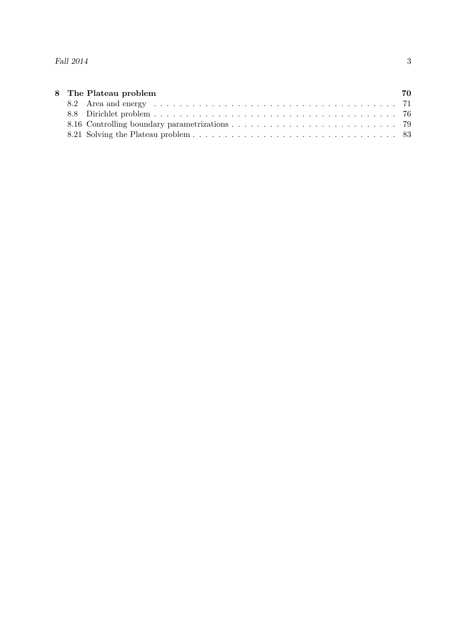|  | 8 The Plateau problem | 70 |
|--|-----------------------|----|
|  |                       |    |
|  |                       |    |
|  |                       |    |
|  |                       |    |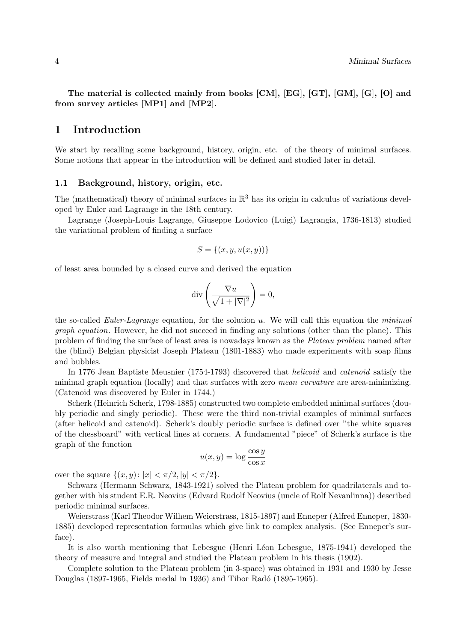The material is collected mainly from books [CM], [EG], [GT], [GM], [G], [O] and from survey articles [MP1] and [MP2].

### 1 Introduction

We start by recalling some background, history, origin, etc. of the theory of minimal surfaces. Some notions that appear in the introduction will be defined and studied later in detail.

### 1.1 Background, history, origin, etc.

The (mathematical) theory of minimal surfaces in  $\mathbb{R}^3$  has its origin in calculus of variations developed by Euler and Lagrange in the 18th century.

Lagrange (Joseph-Louis Lagrange, Giuseppe Lodovico (Luigi) Lagrangia, 1736-1813) studied the variational problem of finding a surface

$$
S = \{(x, y, u(x, y))\}
$$

of least area bounded by a closed curve and derived the equation

$$
\mathrm{div}\left(\frac{\nabla u}{\sqrt{1+|\nabla|^2}}\right)=0,
$$

the so-called Euler-Lagrange equation, for the solution u. We will call this equation the minimal graph equation. However, he did not succeed in finding any solutions (other than the plane). This problem of finding the surface of least area is nowadays known as the Plateau problem named after the (blind) Belgian physicist Joseph Plateau (1801-1883) who made experiments with soap films and bubbles.

In 1776 Jean Baptiste Meusnier (1754-1793) discovered that helicoid and catenoid satisfy the minimal graph equation (locally) and that surfaces with zero mean curvature are area-minimizing. (Catenoid was discovered by Euler in 1744.)

Scherk (Heinrich Scherk, 1798-1885) constructed two complete embedded minimal surfaces (doubly periodic and singly periodic). These were the third non-trivial examples of minimal surfaces (after helicoid and catenoid). Scherk's doubly periodic surface is defined over "the white squares of the chessboard" with vertical lines at corners. A fundamental "piece" of Scherk's surface is the graph of the function

$$
u(x,y) = \log \frac{\cos y}{\cos x}
$$

over the square  $\{(x, y): |x| < \pi/2, |y| < \pi/2\}.$ 

Schwarz (Hermann Schwarz, 1843-1921) solved the Plateau problem for quadrilaterals and together with his student E.R. Neovius (Edvard Rudolf Neovius (uncle of Rolf Nevanlinna)) described periodic minimal surfaces.

Weierstrass (Karl Theodor Wilhem Weierstrass, 1815-1897) and Enneper (Alfred Enneper, 1830- 1885) developed representation formulas which give link to complex analysis. (See Enneper's surface).

It is also worth mentioning that Lebesgue (Henri Léon Lebesgue, 1875-1941) developed the theory of measure and integral and studied the Plateau problem in his thesis (1902).

Complete solution to the Plateau problem (in 3-space) was obtained in 1931 and 1930 by Jesse Douglas (1897-1965, Fields medal in 1936) and Tibor Radó (1895-1965).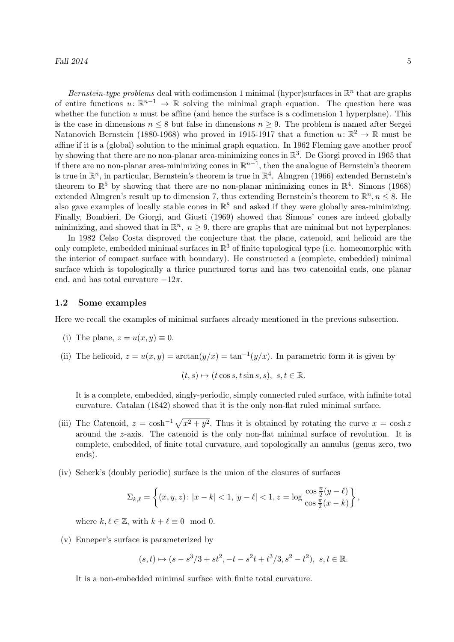Bernstein-type problems deal with codimension 1 minimal (hyper)surfaces in  $\mathbb{R}^n$  that are graphs of entire functions  $u: \mathbb{R}^{n-1} \to \mathbb{R}$  solving the minimal graph equation. The question here was whether the function  $u$  must be affine (and hence the surface is a codimension 1 hyperplane). This is the case in dimensions  $n \leq 8$  but false in dimensions  $n \geq 9$ . The problem is named after Sergei Natanovich Bernstein (1880-1968) who proved in 1915-1917 that a function  $u: \mathbb{R}^2 \to \mathbb{R}$  must be affine if it is a (global) solution to the minimal graph equation. In 1962 Fleming gave another proof by showing that there are no non-planar area-minimizing cones in  $\mathbb{R}^3$ . De Giorgi proved in 1965 that if there are no non-planar area-minimizing cones in  $\mathbb{R}^{n-1}$ , then the analogue of Bernstein's theorem is true in  $\mathbb{R}^n$ , in particular, Bernstein's theorem is true in  $\mathbb{R}^4$ . Almgren (1966) extended Bernstein's theorem to  $\mathbb{R}^5$  by showing that there are no non-planar minimizing cones in  $\mathbb{R}^4$ . Simons (1968) extended Almgren's result up to dimension 7, thus extending Bernstein's theorem to  $\mathbb{R}^n, n \leq 8$ . He also gave examples of locally stable cones in  $\mathbb{R}^8$  and asked if they were globally area-minimizing. Finally, Bombieri, De Giorgi, and Giusti (1969) showed that Simons' cones are indeed globally minimizing, and showed that in  $\mathbb{R}^n$ ,  $n \geq 9$ , there are graphs that are minimal but not hyperplanes.

In 1982 Celso Costa disproved the conjecture that the plane, catenoid, and helicoid are the only complete, embedded minimal surfaces in  $\mathbb{R}^3$  of finite topological type (i.e. homeomorphic with the interior of compact surface with boundary). He constructed a (complete, embedded) minimal surface which is topologically a thrice punctured torus and has two catenoidal ends, one planar end, and has total curvature  $-12\pi$ .

### 1.2 Some examples

Here we recall the examples of minimal surfaces already mentioned in the previous subsection.

- (i) The plane,  $z = u(x, y) \equiv 0$ .
- (ii) The helicoid,  $z = u(x, y) = \arctan(y/x) = \tan^{-1}(y/x)$ . In parametric form it is given by

$$
(t,s)\mapsto (t\cos s, t\sin s, s), \ s, t\in\mathbb{R}.
$$

It is a complete, embedded, singly-periodic, simply connected ruled surface, with infinite total curvature. Catalan (1842) showed that it is the only non-flat ruled minimal surface.

- (iii) The Catenoid,  $z = \cosh^{-1} \sqrt{x^2 + y^2}$ . Thus it is obtained by rotating the curve  $x = \cosh z$ around the z-axis. The catenoid is the only non-flat minimal surface of revolution. It is complete, embedded, of finite total curvature, and topologically an annulus (genus zero, two ends).
- (iv) Scherk's (doubly periodic) surface is the union of the closures of surfaces

$$
\Sigma_{k,\ell} = \left\{ (x,y,z) \colon |x-k| < 1, |y-\ell| < 1, z = \log \frac{\cos \frac{\pi}{2}(y-\ell)}{\cos \frac{\pi}{2}(x-k)} \right\},
$$

where  $k, \ell \in \mathbb{Z}$ , with  $k + \ell \equiv 0 \mod 0$ .

(v) Enneper's surface is parameterized by

$$
(s,t)\mapsto (s-s^3/3+st^2,-t-s^2t+t^3/3,s^2-t^2),\ s,t\in\mathbb{R}.
$$

It is a non-embedded minimal surface with finite total curvature.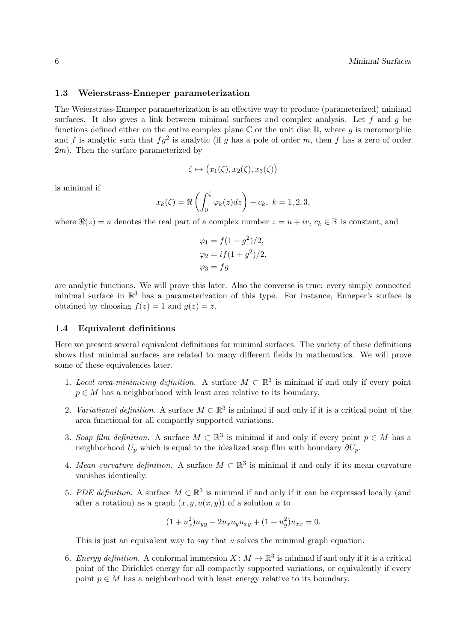### 1.3 Weierstrass-Enneper parameterization

The Weierstrass-Enneper parameterization is an effective way to produce (parameterized) minimal surfaces. It also gives a link between minimal surfaces and complex analysis. Let f and g be functions defined either on the entire complex plane  $\mathbb C$  or the unit disc  $\mathbb D$ , where g is meromorphic and f is analytic such that  $fg^2$  is analytic (if g has a pole of order m, then f has a zero of order  $2m$ ). Then the surface parameterized by

$$
\zeta \mapsto (x_1(\zeta), x_2(\zeta), x_3(\zeta))
$$

is minimal if

$$
x_k(\zeta) = \Re\left(\int_0^{\zeta} \varphi_k(z) dz\right) + c_k, \ k = 1, 2, 3,
$$

where  $\Re(z) = u$  denotes the real part of a complex number  $z = u + iv$ ,  $c_k \in \mathbb{R}$  is constant, and

$$
\varphi_1 = f(1 - g^2)/2,
$$
  
\n
$$
\varphi_2 = if(1 + g^2)/2,
$$
  
\n
$$
\varphi_3 = fg
$$

are analytic functions. We will prove this later. Also the converse is true: every simply connected minimal surface in  $\mathbb{R}^3$  has a parameterization of this type. For instance, Enneper's surface is obtained by choosing  $f(z) = 1$  and  $g(z) = z$ .

#### 1.4 Equivalent definitions

Here we present several equivalent definitions for minimal surfaces. The variety of these definitions shows that minimal surfaces are related to many different fields in mathematics. We will prove some of these equivalences later.

- 1. Local area-minimizing definition. A surface  $M \subset \mathbb{R}^3$  is minimal if and only if every point  $p \in M$  has a neighborhood with least area relative to its boundary.
- 2. Variational definition. A surface  $M \subset \mathbb{R}^3$  is minimal if and only if it is a critical point of the area functional for all compactly supported variations.
- 3. Soap film definition. A surface  $M \subset \mathbb{R}^3$  is minimal if and only if every point  $p \in M$  has a neighborhood  $U_p$  which is equal to the idealized soap film with boundary  $\partial U_p$ .
- 4. Mean curvature definition. A surface  $M \subset \mathbb{R}^3$  is minimal if and only if its mean curvature vanishes identically.
- 5. PDE definition. A surface  $M \subset \mathbb{R}^3$  is minimal if and only if it can be expressed locally (and after a rotation) as a graph  $(x, y, u(x, y))$  of a solution u to

$$
(1 + u_x^2)u_{yy} - 2u_xu_yu_{xy} + (1 + u_y^2)u_{xx} = 0.
$$

This is just an equivalent way to say that  $u$  solves the minimal graph equation.

6. Energy definition. A conformal immersion  $X \colon M \to \mathbb{R}^3$  is minimal if and only if it is a critical point of the Dirichlet energy for all compactly supported variations, or equivalently if every point  $p \in M$  has a neighborhood with least energy relative to its boundary.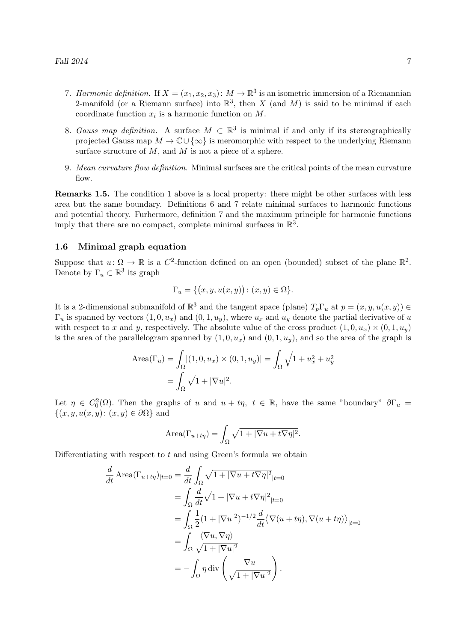- 7. Harmonic definition. If  $X = (x_1, x_2, x_3)$ :  $M \to \mathbb{R}^3$  is an isometric immersion of a Riemannian 2-manifold (or a Riemann surface) into  $\mathbb{R}^3$ , then X (and M) is said to be minimal if each coordinate function  $x_i$  is a harmonic function on  $M$ .
- 8. Gauss map definition. A surface  $M \subset \mathbb{R}^3$  is minimal if and only if its stereographically projected Gauss map  $M \to \mathbb{C} \cup {\infty}$  is meromorphic with respect to the underlying Riemann surface structure of  $M$ , and  $M$  is not a piece of a sphere.
- 9. Mean curvature flow definition. Minimal surfaces are the critical points of the mean curvature flow.

Remarks 1.5. The condition 1 above is a local property: there might be other surfaces with less area but the same boundary. Definitions 6 and 7 relate minimal surfaces to harmonic functions and potential theory. Furhermore, definition 7 and the maximum principle for harmonic functions imply that there are no compact, complete minimal surfaces in  $\mathbb{R}^3$ .

### 1.6 Minimal graph equation

Suppose that  $u: \Omega \to \mathbb{R}$  is a  $C^2$ -function defined on an open (bounded) subset of the plane  $\mathbb{R}^2$ . Denote by  $\Gamma_u \subset \mathbb{R}^3$  its graph

$$
\Gamma_u = \{ (x, y, u(x, y)) : (x, y) \in \Omega \}.
$$

It is a 2-dimensional submanifold of  $\mathbb{R}^3$  and the tangent space (plane)  $T_p\Gamma_u$  at  $p=(x,y,u(x,y))\in$  $\Gamma_u$  is spanned by vectors  $(1, 0, u_x)$  and  $(0, 1, u_y)$ , where  $u_x$  and  $u_y$  denote the partial derivative of u with respect to x and y, respectively. The absolute value of the cross product  $(1, 0, u_x) \times (0, 1, u_y)$ is the area of the parallelogram spanned by  $(1, 0, u_x)$  and  $(0, 1, u_y)$ , and so the area of the graph is

Area
$$
(\Gamma_u)
$$
 =  $\int_{\Omega} |(1, 0, u_x) \times (0, 1, u_y)| = \int_{\Omega} \sqrt{1 + u_x^2 + u_y^2}$   
=  $\int_{\Omega} \sqrt{1 + |\nabla u|^2}$ .

Let  $\eta \in C_0^2(\Omega)$ . Then the graphs of u and  $u + t\eta$ ,  $t \in \mathbb{R}$ , have the same "boundary"  $\partial \Gamma_u =$  $\{(x, y, u(x, y): (x, y) \in \partial\Omega\}$  and

Area
$$
(\Gamma_{u+t\eta}) = \int_{\Omega} \sqrt{1+|\nabla u + t\nabla \eta|^2}.
$$

Differentiating with respect to  $t$  and using Green's formula we obtain

$$
\frac{d}{dt} \operatorname{Area}(\Gamma_{u+t\eta})_{|t=0} = \frac{d}{dt} \int_{\Omega} \sqrt{1+|\nabla u + t\nabla \eta|^2}_{|t=0}
$$
\n
$$
= \int_{\Omega} \frac{d}{dt} \sqrt{1+|\nabla u + t\nabla \eta|^2}_{|t=0}
$$
\n
$$
= \int_{\Omega} \frac{1}{2} (1+|\nabla u|^2)^{-1/2} \frac{d}{dt} \langle \nabla(u+t\eta), \nabla(u+t\eta) \rangle_{|t=0}
$$
\n
$$
= \int_{\Omega} \frac{\langle \nabla u, \nabla \eta \rangle}{\sqrt{1+|\nabla u|^2}}
$$
\n
$$
= -\int_{\Omega} \eta \operatorname{div} \left( \frac{\nabla u}{\sqrt{1+|\nabla u|^2}} \right).
$$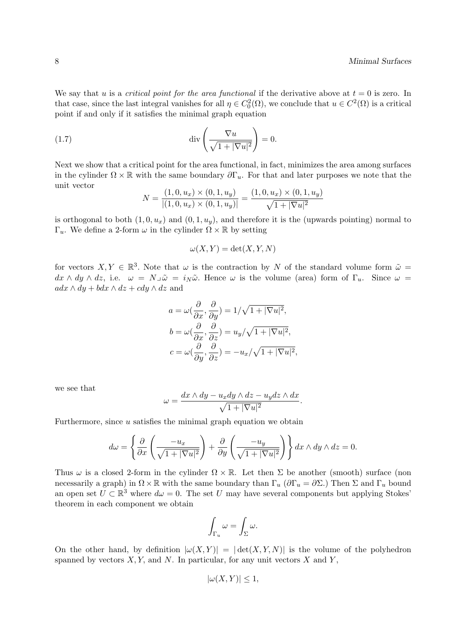We say that u is a critical point for the area functional if the derivative above at  $t = 0$  is zero. In that case, since the last integral vanishes for all  $\eta \in C_0^2(\Omega)$ , we conclude that  $u \in C^2(\Omega)$  is a critical point if and only if it satisfies the minimal graph equation

(1.7) 
$$
\operatorname{div}\left(\frac{\nabla u}{\sqrt{1+|\nabla u|^2}}\right) = 0.
$$

Next we show that a critical point for the area functional, in fact, minimizes the area among surfaces in the cylinder  $\Omega \times \mathbb{R}$  with the same boundary  $\partial \Gamma_u$ . For that and later purposes we note that the unit vector

$$
N = \frac{(1,0,u_x) \times (0,1,u_y)}{|(1,0,u_x) \times (0,1,u_y)|} = \frac{(1,0,u_x) \times (0,1,u_y)}{\sqrt{1+|\nabla u|^2}}
$$

is orthogonal to both  $(1, 0, u_x)$  and  $(0, 1, u_y)$ , and therefore it is the (upwards pointing) normal to  $\Gamma_u$ . We define a 2-form  $\omega$  in the cylinder  $\Omega \times \mathbb{R}$  by setting

$$
\omega(X, Y) = \det(X, Y, N)
$$

for vectors  $X, Y \in \mathbb{R}^3$ . Note that  $\omega$  is the contraction by N of the standard volume form  $\tilde{\omega} =$  $dx \wedge dy \wedge dz$ , i.e.  $\omega = N \overline{\omega} = i_N \tilde{\omega}$ . Hence  $\omega$  is the volume (area) form of  $\Gamma_u$ . Since  $\omega =$  $adx \wedge dy + bdx \wedge dz + cdy \wedge dz$  and

$$
a = \omega \left(\frac{\partial}{\partial x}, \frac{\partial}{\partial y}\right) = 1/\sqrt{1 + |\nabla u|^2},
$$
  
\n
$$
b = \omega \left(\frac{\partial}{\partial x}, \frac{\partial}{\partial z}\right) = u_y/\sqrt{1 + |\nabla u|^2},
$$
  
\n
$$
c = \omega \left(\frac{\partial}{\partial y}, \frac{\partial}{\partial z}\right) = -u_x/\sqrt{1 + |\nabla u|^2},
$$

we see that

$$
\omega = \frac{dx \wedge dy - u_x dy \wedge dz - u_y dz \wedge dx}{\sqrt{1 + |\nabla u|^2}}.
$$

Furthermore, since  $u$  satisfies the minimal graph equation we obtain

$$
d\omega = \left\{ \frac{\partial}{\partial x} \left( \frac{-u_x}{\sqrt{1+|\nabla u|^2}} \right) + \frac{\partial}{\partial y} \left( \frac{-u_y}{\sqrt{1+|\nabla u|^2}} \right) \right\} dx \wedge dy \wedge dz = 0.
$$

Thus  $\omega$  is a closed 2-form in the cylinder  $\Omega \times \mathbb{R}$ . Let then  $\Sigma$  be another (smooth) surface (non necessarily a graph) in  $\Omega \times \mathbb{R}$  with the same boundary than  $\Gamma_u$  ( $\partial \Gamma_u = \partial \Sigma$ .) Then  $\Sigma$  and  $\Gamma_u$  bound an open set  $U \subset \mathbb{R}^3$  where  $d\omega = 0$ . The set U may have several components but applying Stokes' theorem in each component we obtain

$$
\int_{\Gamma_u} \omega = \int_{\Sigma} \omega.
$$

On the other hand, by definition  $|\omega(X, Y)| = |\det(X, Y, N)|$  is the volume of the polyhedron spanned by vectors  $X, Y$ , and  $N$ . In particular, for any unit vectors  $X$  and  $Y$ ,

$$
|\omega(X,Y)| \le 1,
$$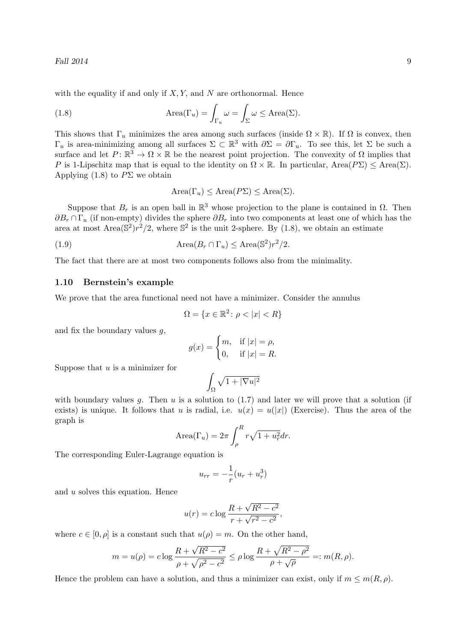with the equality if and only if  $X, Y$ , and N are orthonormal. Hence

(1.8) 
$$
\text{Area}(\Gamma_u) = \int_{\Gamma_u} \omega = \int_{\Sigma} \omega \le \text{Area}(\Sigma).
$$

This shows that  $\Gamma_u$  minimizes the area among such surfaces (inside  $\Omega \times \mathbb{R}$ ). If  $\Omega$  is convex, then  $\Gamma_u$  is area-minimizing among all surfaces  $\Sigma \subset \mathbb{R}^3$  with  $\partial \Sigma = \partial \Gamma_u$ . To see this, let  $\Sigma$  be such a surface and let  $P: \mathbb{R}^3 \to \Omega \times \mathbb{R}$  be the nearest point projection. The convexity of  $\Omega$  implies that P is 1-Lipschitz map that is equal to the identity on  $\Omega \times \mathbb{R}$ . In particular, Area $(P\Sigma) \leq$ Area $(\Sigma)$ . Applying  $(1.8)$  to  $P\Sigma$  we obtain

$$
Area(\Gamma_u) \leq Area(P\Sigma) \leq Area(\Sigma).
$$

Suppose that  $B_r$  is an open ball in  $\mathbb{R}^3$  whose projection to the plane is contained in  $\Omega$ . Then  $\partial B_r \cap \Gamma_u$  (if non-empty) divides the sphere  $\partial B_r$  into two components at least one of which has the area at most  $Area(\mathbb{S}^2)r^2/2$ , where  $\mathbb{S}^2$  is the unit 2-sphere. By (1.8), we obtain an estimate

(1.9) 
$$
\text{Area}(B_r \cap \Gamma_u) \le \text{Area}(\mathbb{S}^2) r^2 / 2.
$$

The fact that there are at most two components follows also from the minimality.

### 1.10 Bernstein's example

We prove that the area functional need not have a minimizer. Consider the annulus

$$
\Omega = \{ x \in \mathbb{R}^2 \colon \rho < |x| < R \}
$$

and fix the boundary values  $g$ ,

$$
g(x) = \begin{cases} m, & \text{if } |x| = \rho, \\ 0, & \text{if } |x| = R. \end{cases}
$$

Suppose that  $u$  is a minimizer for

$$
\int_{\Omega} \sqrt{1 + |\nabla u|^2}
$$

with boundary values g. Then u is a solution to  $(1.7)$  and later we will prove that a solution (if exists) is unique. It follows that u is radial, i.e.  $u(x) = u(|x|)$  (Exercise). Thus the area of the graph is

$$
\text{Area}(\Gamma_u) = 2\pi \int_{\rho}^{R} r\sqrt{1 + u_r^2} dr.
$$

The corresponding Euler-Lagrange equation is

$$
u_{rr} = -\frac{1}{r}(u_r + u_r^3)
$$

and u solves this equation. Hence

$$
u(r) = c \log \frac{R + \sqrt{R^2 - c^2}}{r + \sqrt{r^2 - c^2}},
$$

where  $c \in [0, \rho]$  is a constant such that  $u(\rho) = m$ . On the other hand,

$$
m = u(\rho) = c \log \frac{R + \sqrt{R^2 - c^2}}{\rho + \sqrt{\rho^2 - c^2}} \le \rho \log \frac{R + \sqrt{R^2 - \rho^2}}{\rho + \sqrt{\rho}} =: m(R, \rho).
$$

Hence the problem can have a solution, and thus a minimizer can exist, only if  $m \leq m(R, \rho)$ .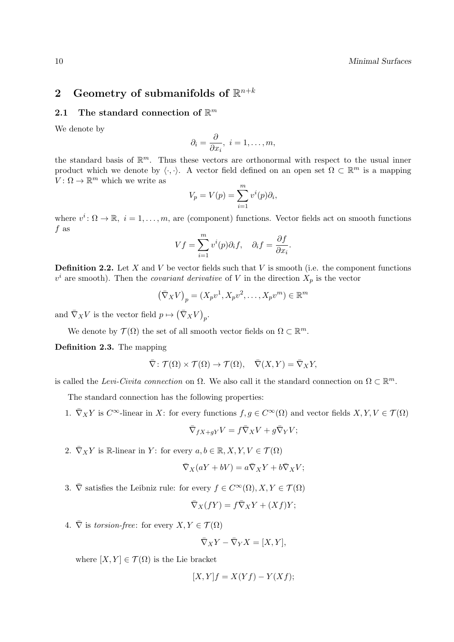## 2 Geometry of submanifolds of  $\mathbb{R}^{n+k}$

### 2.1 The standard connection of  $\mathbb{R}^m$

We denote by

$$
\partial_i = \frac{\partial}{\partial x_i}, \ i = 1, \dots, m,
$$

the standard basis of  $\mathbb{R}^m$ . Thus these vectors are orthonormal with respect to the usual inner product which we denote by  $\langle \cdot, \cdot \rangle$ . A vector field defined on an open set  $\Omega \subset \mathbb{R}^m$  is a mapping  $V: \Omega \to \mathbb{R}^m$  which we write as

$$
V_p = V(p) = \sum_{i=1}^{m} v^i(p)\partial_i,
$$

where  $v^i \colon \Omega \to \mathbb{R}, i = 1, \ldots, m$ , are (component) functions. Vector fields act on smooth functions f as

$$
Vf = \sum_{i=1}^{m} v^{i}(p)\partial_{i}f, \quad \partial_{i}f = \frac{\partial f}{\partial x_{i}}.
$$

**Definition 2.2.** Let X and V be vector fields such that V is smooth (i.e. the component functions  $v^i$  are smooth). Then the *covariant derivative* of V in the direction  $X_p$  is the vector

$$
(\bar{\nabla}_X V)_p = (X_p v^1, X_p v^2, \dots, X_p v^m) \in \mathbb{R}^m
$$

and  $\bar{\nabla}_X V$  is the vector field  $p \mapsto (\bar{\nabla}_X V)_p$ .

We denote by  $\mathcal{T}(\Omega)$  the set of all smooth vector fields on  $\Omega \subset \mathbb{R}^m$ .

Definition 2.3. The mapping

$$
\overline{\nabla} \colon \mathcal{T}(\Omega) \times \mathcal{T}(\Omega) \to \mathcal{T}(\Omega), \quad \overline{\nabla}(X, Y) = \overline{\nabla}_X Y,
$$

is called the Levi-Civita connection on  $\Omega$ . We also call it the standard connection on  $\Omega \subset \mathbb{R}^m$ .

The standard connection has the following properties:

1.  $\overline{\nabla}_X Y$  is  $C^{\infty}$ -linear in X: for every functions  $f, g \in C^{\infty}(\Omega)$  and vector fields  $X, Y, V \in \mathcal{T}(\Omega)$ 

$$
\bar{\nabla}_{fX+gY}V = f\bar{\nabla}_XV + g\bar{\nabla}_YV;
$$

2.  $\bar{\nabla}_X Y$  is R-linear in Y: for every  $a, b \in \mathbb{R}, X, Y, V \in \mathcal{T}(\Omega)$ 

$$
\overline{\nabla}_X(aY + bV) = a\overline{\nabla}_XY + b\overline{\nabla}_XV;
$$

3.  $\overline{\nabla}$  satisfies the Leibniz rule: for every  $f \in C^{\infty}(\Omega), X, Y \in \mathcal{T}(\Omega)$ 

$$
\overline{\nabla}_X(fY) = f\overline{\nabla}_XY + (Xf)Y;
$$

4.  $\overline{\nabla}$  is torsion-free: for every  $X, Y \in \mathcal{T}(\Omega)$ 

$$
\overline{\nabla}_X Y - \overline{\nabla}_Y X = [X, Y],
$$

where  $[X, Y] \in \mathcal{T}(\Omega)$  is the Lie bracket

$$
[X,Y]f = X(Yf) - Y(Xf);
$$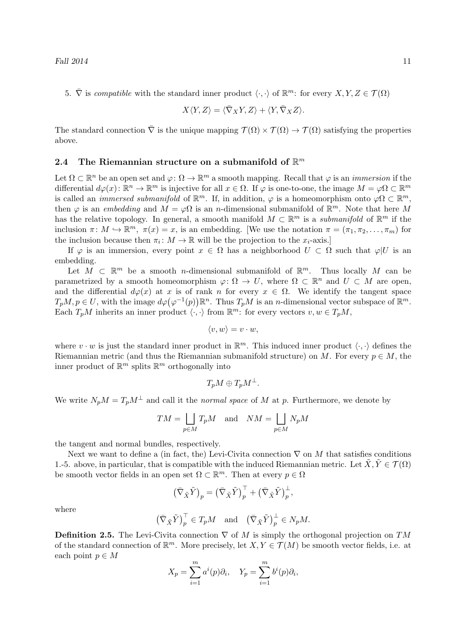5.  $\overline{\nabla}$  is compatible with the standard inner product  $\langle \cdot, \cdot \rangle$  of  $\mathbb{R}^m$ : for every  $X, Y, Z \in \mathcal{T}(\Omega)$ 

$$
X\langle Y,Z\rangle=\langle \bar\nabla_XY,Z\rangle+\langle Y,\bar\nabla_XZ\rangle.
$$

The standard connection  $\overline{\nabla}$  is the unique mapping  $\mathcal{T}(\Omega) \times \mathcal{T}(\Omega) \to \mathcal{T}(\Omega)$  satisfying the properties above.

### 2.4 The Riemannian structure on a submanifold of  $\mathbb{R}^m$

Let  $\Omega \subset \mathbb{R}^n$  be an open set and  $\varphi \colon \Omega \to \mathbb{R}^m$  a smooth mapping. Recall that  $\varphi$  is an *immersion* if the differential  $d\varphi(x)$ :  $\mathbb{R}^n \to \mathbb{R}^m$  is injective for all  $x \in \Omega$ . If  $\varphi$  is one-to-one, the image  $M = \varphi \Omega \subset \mathbb{R}^m$ is called an *immersed submanifold* of  $\mathbb{R}^m$ . If, in addition,  $\varphi$  is a homeomorphism onto  $\varphi\Omega \subset \mathbb{R}^m$ , then  $\varphi$  is an embedding and  $M = \varphi \Omega$  is an n-dimensional submanifold of  $\mathbb{R}^m$ . Note that here M has the relative topology. In general, a smooth manifold  $M \subset \mathbb{R}^m$  is a *submanifold* of  $\mathbb{R}^m$  if the inclusion  $\pi \colon M \hookrightarrow \mathbb{R}^m$ ,  $\pi(x) = x$ , is an embedding. [We use the notation  $\pi = (\pi_1, \pi_2, \dots, \pi_m)$  for the inclusion because then  $\pi_i: M \to \mathbb{R}$  will be the projection to the  $x_i$ -axis.]

If  $\varphi$  is an immersion, every point  $x \in \Omega$  has a neighborhood  $U \subset \Omega$  such that  $\varphi |U$  is an embedding.

Let  $M \subset \mathbb{R}^m$  be a smooth *n*-dimensional submanifold of  $\mathbb{R}^m$ . Thus locally M can be parametrized by a smooth homeomorphism  $\varphi: \Omega \to U$ , where  $\Omega \subset \mathbb{R}^n$  and  $U \subset M$  are open, and the differential  $d\varphi(x)$  at x is of rank n for every  $x \in \Omega$ . We identify the tangent space  $T_pM, p \in U$ , with the image  $d\varphi(\varphi^{-1}(p))\mathbb{R}^n$ . Thus  $T_pM$  is an *n*-dimensional vector subspace of  $\mathbb{R}^m$ . Each  $T_pM$  inherits an inner product  $\langle \cdot, \cdot \rangle$  from  $\mathbb{R}^m$ : for every vectors  $v, w \in T_pM$ ,

$$
\langle v, w \rangle = v \cdot w,
$$

where  $v \cdot w$  is just the standard inner product in  $\mathbb{R}^m$ . This induced inner product  $\langle \cdot, \cdot \rangle$  defines the Riemannian metric (and thus the Riemannian submanifold structure) on M. For every  $p \in M$ , the inner product of  $\mathbb{R}^m$  splits  $\mathbb{R}^m$  orthogonally into

$$
T_pM\oplus T_pM^{\perp}.
$$

We write  $N_pM = T_pM^{\perp}$  and call it the normal space of M at p. Furthermore, we denote by

$$
TM = \bigsqcup_{p \in M} T_p M \quad \text{and} \quad NM = \bigsqcup_{p \in M} N_p M
$$

the tangent and normal bundles, respectively.

Next we want to define a (in fact, the) Levi-Civita connection  $\nabla$  on M that satisfies conditions 1.-5. above, in particular, that is compatible with the induced Riemannian metric. Let  $X, Y \in \mathcal{T}(\Omega)$ be smooth vector fields in an open set  $\Omega \subset \mathbb{R}^m$ . Then at every  $p \in \Omega$ 

$$
(\bar{\nabla}_{\tilde{X}} \tilde{Y})_p = (\bar{\nabla}_{\tilde{X}} \tilde{Y})_p^{\top} + (\bar{\nabla}_{\tilde{X}} \tilde{Y})_p^{\perp},
$$

where

$$
(\bar{\nabla}_{\tilde{X}} \tilde{Y})_p^{\top} \in T_p M
$$
 and  $(\bar{\nabla}_{\tilde{X}} \tilde{Y})_p^{\perp} \in N_p M$ .

**Definition 2.5.** The Levi-Civita connection  $\nabla$  of M is simply the orthogonal projection on TM of the standard connection of  $\mathbb{R}^m$ . More precisely, let  $X, Y \in \mathcal{T}(M)$  be smooth vector fields, i.e. at each point  $p \in M$ 

$$
X_p = \sum_{i=1}^m a^i(p)\partial_i, \quad Y_p = \sum_{i=1}^m b^i(p)\partial_i,
$$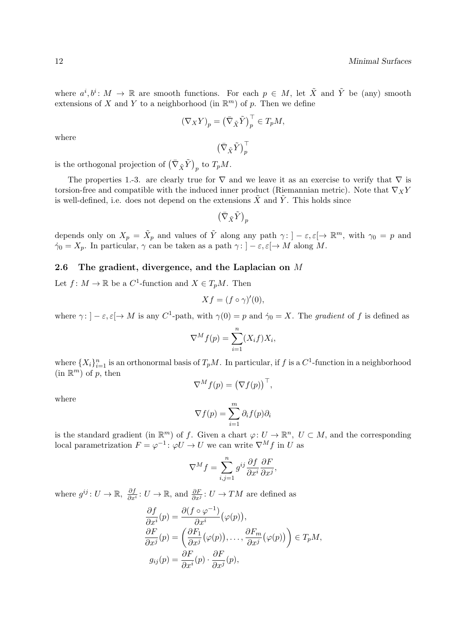where  $a^i, b^i \colon M \to \mathbb{R}$  are smooth functions. For each  $p \in M$ , let  $\tilde{X}$  and  $\tilde{Y}$  be (any) smooth extensions of X and Y to a neighborhood (in  $\mathbb{R}^m$ ) of p. Then we define

$$
(\nabla_X Y)_p = \left(\bar{\nabla}_{\tilde{X}} \tilde{Y}\right)_p^\top \in T_p M,
$$

 $\left(\bar{\nabla}_{\tilde{X}}\tilde{Y}\right)^{\top}_{p}$ 

where

is the orthogonal projection of  $(\bar{\nabla}_{\tilde{X}} \tilde{Y})_p$  to  $T_p M$ .

The properties 1.-3. are clearly true for  $\nabla$  and we leave it as an exercise to verify that  $\nabla$  is torsion-free and compatible with the induced inner product (Riemannian metric). Note that  $\nabla_X Y$ is well-defined, i.e. does not depend on the extensions  $\tilde{X}$  and  $\tilde{Y}$ . This holds since

 $\left(\bar{\nabla}_{\tilde{X}}\tilde{Y}\right)_p$ 

depends only on  $X_p = \tilde{X}_p$  and values of  $\tilde{Y}$  along any path  $\gamma: \{-\varepsilon, \varepsilon[\to \mathbb{R}^m, \text{ with } \gamma_0 = p \text{ and }$  $\dot{\gamma}_0 = X_p$ . In particular,  $\gamma$  can be taken as a path  $\gamma : ]-\varepsilon, \varepsilon[\to M$  along M.

### 2.6 The gradient, divergence, and the Laplacian on  $M$

Let  $f: M \to \mathbb{R}$  be a  $C^1$ -function and  $X \in T_pM$ . Then

$$
Xf = (f \circ \gamma)'(0),
$$

where  $\gamma: ]-\varepsilon, \varepsilon[ \to M]$  is any C<sup>1</sup>-path, with  $\gamma(0) = p$  and  $\dot{\gamma}_0 = X$ . The gradient of f is defined as

$$
\nabla^M f(p) = \sum_{i=1}^n (X_i f) X_i,
$$

where  $\{X_i\}_{i=1}^n$  is an orthonormal basis of  $T_pM$ . In particular, if f is a  $C^1$ -function in a neighborhood  $(in \mathbb{R}^m)$  of p, then

where

$$
\nabla^M f(p) = (\nabla f(p))^\top,
$$

$$
\nabla f(p) = \sum_{i=1}^{m} \partial_i f(p) \partial_i
$$

is the standard gradient (in  $\mathbb{R}^m$ ) of f. Given a chart  $\varphi: U \to \mathbb{R}^n$ ,  $U \subset M$ , and the corresponding local parametrization  $F = \varphi^{-1} \colon \varphi U \to U$  we can write  $\nabla^M f$  in U as

$$
\nabla^M f = \sum_{i,j=1}^n g^{ij} \frac{\partial f}{\partial x^i} \frac{\partial F}{\partial x^j},
$$

where  $g^{ij}: U \to \mathbb{R}, \frac{\partial f}{\partial x}$  $\frac{\partial f}{\partial x^i} : U \to \mathbb{R}$ , and  $\frac{\partial F}{\partial x^j} : U \to TM$  are defined as

$$
\frac{\partial f}{\partial x^{i}}(p) = \frac{\partial (f \circ \varphi^{-1})}{\partial x^{i}} (\varphi(p)),
$$
  
\n
$$
\frac{\partial F}{\partial x^{j}}(p) = \left(\frac{\partial F_{1}}{\partial x^{j}}(\varphi(p)), \dots, \frac{\partial F_{m}}{\partial x^{j}}(\varphi(p))\right) \in T_{p}M,
$$
  
\n
$$
g_{ij}(p) = \frac{\partial F}{\partial x^{i}}(p) \cdot \frac{\partial F}{\partial x^{j}}(p),
$$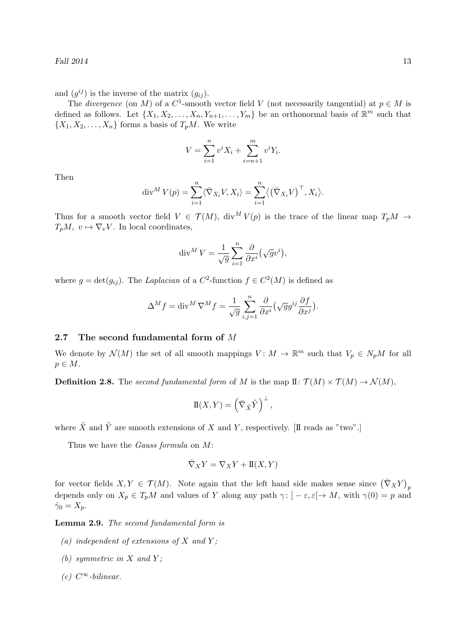Fall  $2014$  13

and  $(g^{ij})$  is the inverse of the matrix  $(g_{ij})$ .

The *divergence* (on M) of a  $C^1$ -smooth vector field V (not necessarily tangential) at  $p \in M$  is defined as follows. Let  $\{X_1, X_2, \ldots, X_n, Y_{n+1}, \ldots, Y_m\}$  be an orthonormal basis of  $\mathbb{R}^m$  such that  $\{X_1, X_2, \ldots, X_n\}$  forms a basis of  $T_pM$ . We write

$$
V = \sum_{i=1}^{n} v^{i} X_{i} + \sum_{i=n+1}^{m} v^{i} Y_{i}.
$$

Then

$$
\operatorname{div}^M V(p) = \sum_{i=1}^n \langle \overline{\nabla}_{X_i} V, X_i \rangle = \sum_{i=1}^n \langle (\overline{\nabla}_{X_i} V)^{\top}, X_i \rangle.
$$

Thus for a smooth vector field  $V \in \mathcal{T}(M)$ , div<sup>M</sup>  $V(p)$  is the trace of the linear map  $T_pM \to$  $T_pM, v \mapsto \nabla_v V$ . In local coordinates,

$$
\operatorname{div}^M V = \frac{1}{\sqrt{g}} \sum_{i=1}^n \frac{\partial}{\partial x^i} (\sqrt{g} v^i),
$$

where  $g = \det(g_{ij})$ . The Laplacian of a  $C^2$ -function  $f \in C^2(M)$  is defined as

$$
\Delta^M f = \text{div}^M \, \nabla^M f = \frac{1}{\sqrt{g}} \sum_{i,j=1}^n \frac{\partial}{\partial x^i} \left( \sqrt{g} g^{ij} \frac{\partial f}{\partial x^j} \right).
$$

#### 2.7 The second fundamental form of M

We denote by  $\mathcal{N}(M)$  the set of all smooth mappings  $V: M \to \mathbb{R}^m$  such that  $V_p \in N_pM$  for all  $p \in M$ .

**Definition 2.8.** The second fundamental form of M is the map  $\mathbb{I}: \mathcal{T}(M) \times \mathcal{T}(M) \to \mathcal{N}(M)$ ,

$$
\mathbb{I}(X,Y) = \left(\bar{\nabla}_{\tilde{X}}\tilde{Y}\right)^{\perp},
$$

where  $\tilde{X}$  and  $\tilde{Y}$  are smooth extensions of X and Y, respectively. [II reads as "two".]

Thus we have the *Gauss formula* on M:

$$
\bar{\nabla}_X Y = \nabla_X Y + \mathbb{I}(X, Y)
$$

for vector fields  $X, Y \in \mathcal{T}(M)$ . Note again that the left hand side makes sense since  $(\bar{\nabla}_X Y)_p$ depends only on  $X_p \in T_pM$  and values of Y along any path  $\gamma: ]-\varepsilon, \varepsilon[ \to M, \text{ with } \gamma(0) = p$  and  $\dot{\gamma}_0 = X_p.$ 

Lemma 2.9. The second fundamental form is

- (a) independent of extensions of  $X$  and  $Y$ ;
- (b) symmetric in  $X$  and  $Y$ ;
- $(c)$   $C^{\infty}$ -bilinear.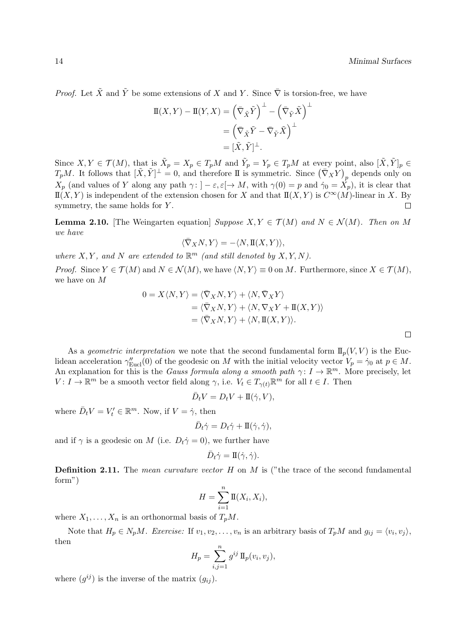$\Box$ 

*Proof.* Let  $\tilde{X}$  and  $\tilde{Y}$  be some extensions of X and Y. Since  $\overline{\nabla}$  is torsion-free, we have

$$
\Pi(X, Y) - \Pi(Y, X) = (\bar{\nabla}_{\tilde{X}} \tilde{Y})^{\perp} - (\bar{\nabla}_{\tilde{Y}} \tilde{X})^{\perp}
$$

$$
= (\bar{\nabla}_{\tilde{X}} \tilde{Y} - \bar{\nabla}_{\tilde{Y}} \tilde{X})^{\perp}
$$

$$
= [\tilde{X}, \tilde{Y}]^{\perp}.
$$

Since  $X, Y \in \mathcal{T}(M)$ , that is  $\tilde{X}_p = X_p \in T_pM$  and  $\tilde{Y}_p = Y_p \in T_pM$  at every point, also  $[\tilde{X}, \tilde{Y}]_p \in$  $T_pM$ . It follows that  $[\tilde{X}, \tilde{Y}]^{\perp} = 0$ , and therefore II is symmetric. Since  $(\bar{\nabla}_X Y)_p$  depends only on  $X_p$  (and values of Y along any path  $\gamma: ]-\varepsilon, \varepsilon[ \to M, \text{ with } \gamma(0) = p \text{ and } \dot{\gamma}_0 = X_p)$ , it is clear that  $\mathbb{I}(X, Y)$  is independent of the extension chosen for X and that  $\mathbb{I}(X, Y)$  is  $C^{\infty}(M)$ -linear in X. By symmetry, the same holds for  $Y$ .  $\Box$ 

**Lemma 2.10.** [The Weingarten equation] Suppose  $X, Y \in \mathcal{T}(M)$  and  $N \in \mathcal{N}(M)$ . Then on M we have

$$
\langle \bar{\nabla}_X N, Y \rangle = - \langle N, \mathbf{I\hspace{-1.5mm}I}(X,Y) \rangle,
$$

where  $X, Y$ , and N are extended to  $\mathbb{R}^m$  (and still denoted by  $X, Y, N$ ).

*Proof.* Since  $Y \in \mathcal{T}(M)$  and  $N \in \mathcal{N}(M)$ , we have  $\langle N, Y \rangle \equiv 0$  on M. Furthermore, since  $X \in \mathcal{T}(M)$ , we have on M

$$
0 = X \langle N, Y \rangle = \langle \overline{\nabla}_X N, Y \rangle + \langle N, \overline{\nabla}_X Y \rangle
$$
  
= \langle \overline{\nabla}\_X N, Y \rangle + \langle N, \nabla\_X Y + \mathbb{I}(X, Y) \rangle  
= \langle \overline{\nabla}\_X N, Y \rangle + \langle N, \mathbb{I}(X, Y) \rangle.

As a *geometric interpretation* we note that the second fundamental form  $\mathbb{I}_p(V, V)$  is the Euclidean acceleration  $\gamma''_{\text{Eucl}}(0)$  of the geodesic on M with the initial velocity vector  $V_p = \dot{\gamma}_0$  at  $p \in M$ . An explanation for this is the *Gauss formula along a smooth path*  $\gamma: I \to \mathbb{R}^m$ . More precisely, let  $V: I \to \mathbb{R}^m$  be a smooth vector field along  $\gamma$ , i.e.  $V_t \in T_{\gamma(t)}\mathbb{R}^m$  for all  $t \in I$ . Then

$$
\bar{D}_t V = D_t V + \mathbb{I}(\dot{\gamma}, V),
$$

where  $\bar{D}_t V = V'_t \in \mathbb{R}^m$ . Now, if  $V = \dot{\gamma}$ , then

$$
\bar{D}_t \dot{\gamma} = D_t \dot{\gamma} + \mathbb{I}(\dot{\gamma}, \dot{\gamma}),
$$

and if  $\gamma$  is a geodesic on M (i.e.  $D_t\dot{\gamma}=0$ ), we further have

$$
\bar{D}_t \dot{\gamma} = \mathbf{I}(\dot{\gamma}, \dot{\gamma}).
$$

**Definition 2.11.** The mean curvature vector H on M is ("the trace of the second fundamental form")

$$
H = \sum_{i=1}^{n} \mathbb{I}(X_i, X_i),
$$

where  $X_1, \ldots, X_n$  is an orthonormal basis of  $T_pM$ .

Note that  $H_p \in N_pM$ . Exercise: If  $v_1, v_2, \ldots, v_n$  is an arbitrary basis of  $T_pM$  and  $g_{ij} = \langle v_i, v_j \rangle$ , then

$$
H_p = \sum_{i,j=1}^n g^{ij} \operatorname{II}_p(v_i, v_j),
$$

where  $(g^{ij})$  is the inverse of the matrix  $(g_{ij})$ .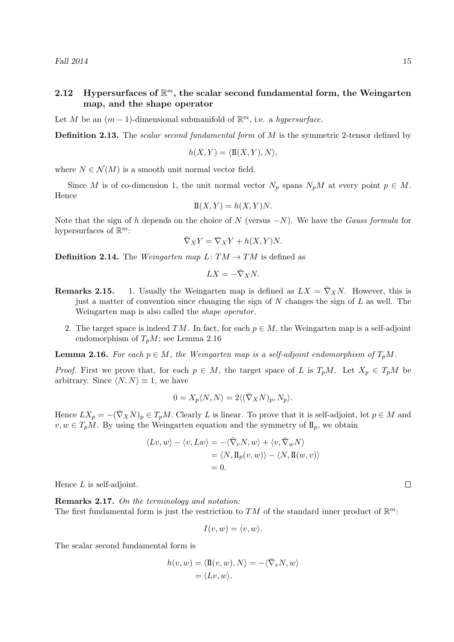### 2.12 Hypersurfaces of  $\mathbb{R}^m$ , the scalar second fundamental form, the Weingarten map, and the shape operator

Let M be an  $(m-1)$ -dimensional submanifold of  $\mathbb{R}^m$ , i.e. a hypersurface.

**Definition 2.13.** The scalar second fundamental form of M is the symmetric 2-tensor defined by

$$
h(X, Y) = \langle \mathbf{I}(X, Y), N \rangle,
$$

where  $N \in \mathcal{N}(M)$  is a smooth unit normal vector field.

Since M is of co-dimension 1, the unit normal vector  $N_p$  spans  $N_pM$  at every point  $p \in M$ . Hence

$$
\mathcal{I}(X,Y) = h(X,Y)N.
$$

Note that the sign of h depends on the choice of N (versus  $-N$ ). We have the Gauss formula for hypersurfaces of  $\mathbb{R}^m$ :

$$
\bar{\nabla}_X Y = \nabla_X Y + h(X, Y)N.
$$

**Definition 2.14.** The *Weingarten map*  $L: TM \rightarrow TM$  is defined as

$$
LX = -\bar{\nabla}_X N.
$$

- **Remarks 2.15.** 1. Usually the Weingarten map is defined as  $LX = \overline{\nabla}_X N$ . However, this is just a matter of convention since changing the sign of  $N$  changes the sign of  $L$  as well. The Weingarten map is also called the *shape operator*.
	- 2. The target space is indeed  $TM$ . In fact, for each  $p \in M$ , the Weingarten map is a self-adjoint endomorphism of  $T_pM$ ; see Lemma 2.16

**Lemma 2.16.** For each  $p \in M$ , the Weingarten map is a self-adjoint endomorphism of  $T_pM$ .

*Proof.* First we prove that, for each  $p \in M$ , the target space of L is  $T_pM$ . Let  $X_p \in T_pM$  be arbitrary. Since  $\langle N, N \rangle \equiv 1$ , we have

$$
0 = X_p \langle N, N \rangle = 2 \langle (\bar{\nabla}_X N)_p, N_p \rangle.
$$

Hence  $LX_p = -(\bar{\nabla}_X N)_p \in T_pM$ . Clearly L is linear. To prove that it is self-adjoint, let  $p \in M$  and  $v, w \in T_pM$ . By using the Weingarten equation and the symmetry of  $\mathbb{I}_p$ , we obtain

$$
\langle Lv, w \rangle - \langle v, Lw \rangle = -\langle \bar{\nabla}_v N, w \rangle + \langle v, \bar{\nabla}_w N \rangle
$$
  
=  $\langle N, \Pi_p(v, w) \rangle - \langle N, \Pi(w, v) \rangle$   
= 0.

Hence  $L$  is self-adjoint.

Remarks 2.17. On the terminology and notation: The first fundamental form is just the restriction to TM of the standard inner product of  $\mathbb{R}^m$ :

$$
I(v, w) = \langle v, w \rangle.
$$

The scalar second fundamental form is

$$
h(v, w) = \langle \Pi(v, w), N \rangle = -\langle \overline{\nabla}_v N, w \rangle
$$
  
=  $\langle Lv, w \rangle$ .

 $\Box$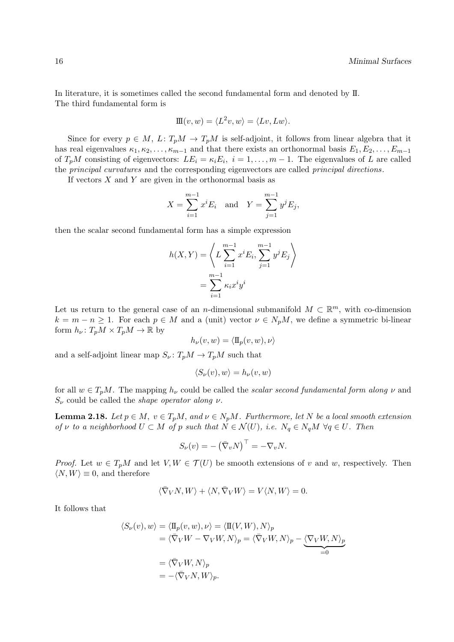In literature, it is sometimes called the second fundamental form and denoted by II. The third fundamental form is

$$
\mathbf{III}(v, w) = \langle L^2 v, w \rangle = \langle Lv, Lw \rangle.
$$

Since for every  $p \in M$ ,  $L: T_pM \to T_pM$  is self-adjoint, it follows from linear algebra that it has real eigenvalues  $\kappa_1, \kappa_2, \ldots, \kappa_{m-1}$  and that there exists an orthonormal basis  $E_1, E_2, \ldots, E_{m-1}$ of  $T_pM$  consisting of eigenvectors:  $LE_i = \kappa_i E_i$ ,  $i = 1, \ldots, m-1$ . The eigenvalues of L are called the principal curvatures and the corresponding eigenvectors are called principal directions.

If vectors  $X$  and  $Y$  are given in the orthonormal basis as

$$
X = \sum_{i=1}^{m-1} x^i E_i \text{ and } Y = \sum_{j=1}^{m-1} y^j E_j,
$$

then the scalar second fundamental form has a simple expression

$$
h(X,Y) = \left\langle L \sum_{i=1}^{m-1} x^i E_i, \sum_{j=1}^{m-1} y^j E_j \right\rangle
$$
  
= 
$$
\sum_{i=1}^{m-1} \kappa_i x^i y^i
$$

Let us return to the general case of an *n*-dimensional submanifold  $M \subset \mathbb{R}^m$ , with co-dimension  $k = m - n \ge 1$ . For each  $p \in M$  and a (unit) vector  $\nu \in N_pM$ , we define a symmetric bi-linear form  $h_{\nu} \colon T_p M \times T_p M \to \mathbb{R}$  by

$$
h_{\nu}(v, w) = \langle \Pi_p(v, w), \nu \rangle
$$

and a self-adjoint linear map  $S_{\nu} : T_pM \to T_pM$  such that

$$
\langle S_{\nu}(v), w \rangle = h_{\nu}(v, w)
$$

for all  $w \in T_pM$ . The mapping  $h_{\nu}$  could be called the scalar second fundamental form along  $\nu$  and  $S_{\nu}$  could be called the *shape operator along v*.

**Lemma 2.18.** Let  $p \in M$ ,  $v \in T_pM$ , and  $v \in N_pM$ . Furthermore, let N be a local smooth extension of v to a neighborhood  $U \subset M$  of p such that  $N \in \mathcal{N}(U)$ , i.e.  $N_q \in N_qM$   $\forall q \in U$ . Then

$$
S_{\nu}(v) = -(\bar{\nabla}_{v}N)^{\top} = -\nabla_{v}N.
$$

*Proof.* Let  $w \in T_pM$  and let  $V, W \in T(U)$  be smooth extensions of v and w, respectively. Then  $\langle N, W \rangle \equiv 0$ , and therefore

$$
\langle \bar{\nabla}_V N, W \rangle + \langle N, \bar{\nabla}_V W \rangle = V \langle N, W \rangle = 0.
$$

It follows that

$$
\langle S_{\nu}(v), w \rangle = \langle \Pi_{p}(v, w), \nu \rangle = \langle \Pi(V, W), N \rangle_{p}
$$
  
=  $\langle \bar{\nabla}_{V} W - \nabla_{V} W, N \rangle_{p} = \langle \bar{\nabla}_{V} W, N \rangle_{p} - \underbrace{\langle \nabla_{V} W, N \rangle_{p}}_{=0}$   
=  $\langle \bar{\nabla}_{V} W, N \rangle_{p}$   
=  $-\langle \bar{\nabla}_{V} N, W \rangle_{p}$ .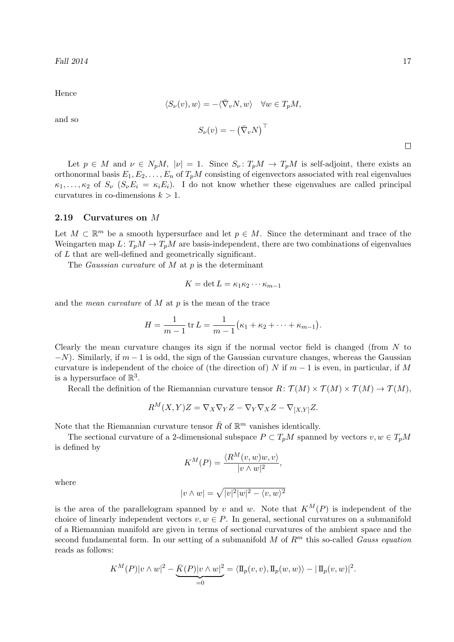Hence

and so

$$
\langle S_{\nu}(v), w \rangle = -\langle \bar{\nabla}_{v} N, w \rangle \quad \forall w \in T_{p}M,
$$
  

$$
S_{\nu}(v) = -(\bar{\nabla}_{v} N)^{\top}
$$

Let  $p \in M$  and  $\nu \in N_pM$ ,  $|\nu| = 1$ . Since  $S_{\nu}: T_pM \to T_pM$  is self-adjoint, there exists an orthonormal basis  $E_1, E_2, \ldots, E_n$  of  $T_pM$  consisting of eigenvectors associated with real eigenvalues  $\kappa_1, \ldots, \kappa_2$  of  $S_\nu$   $(S_\nu E_i = \kappa_i E_i)$ . I do not know whether these eigenvalues are called principal curvatures in co-dimensions  $k > 1$ .

### 2.19 Curvatures on M

Let  $M \subset \mathbb{R}^m$  be a smooth hypersurface and let  $p \in M$ . Since the determinant and trace of the Weingarten map  $L: T_pM \to T_pM$  are basis-independent, there are two combinations of eigenvalues of L that are well-defined and geometrically significant.

The *Gaussian curvature* of  $M$  at  $p$  is the determinant

$$
K = \det L = \kappa_1 \kappa_2 \cdots \kappa_{m-1}
$$

and the *mean curvature* of  $M$  at  $p$  is the mean of the trace

$$
H = \frac{1}{m-1} \operatorname{tr} L = \frac{1}{m-1} (\kappa_1 + \kappa_2 + \dots + \kappa_{m-1}).
$$

Clearly the mean curvature changes its sign if the normal vector field is changed (from N to  $-N$ ). Similarly, if  $m-1$  is odd, the sign of the Gaussian curvature changes, whereas the Gaussian curvature is independent of the choice of (the direction of) N if  $m-1$  is even, in particular, if M is a hypersurface of  $\mathbb{R}^3$ .

Recall the definition of the Riemannian curvature tensor  $R: \mathcal{T}(M) \times \mathcal{T}(M) \times \mathcal{T}(M) \to \mathcal{T}(M)$ ,

$$
R^M(X,Y)Z = \nabla_X \nabla_Y Z - \nabla_Y \nabla_X Z - \nabla_{[X,Y]} Z.
$$

Note that the Riemannian curvature tensor  $\bar{R}$  of  $\mathbb{R}^m$  vanishes identically.

The sectional curvature of a 2-dimensional subspace  $P \subset T_pM$  spanned by vectors  $v, w \in T_pM$ is defined by

$$
K^{M}(P) = \frac{\langle R^{M}(v, w)w, v \rangle}{|v \wedge w|^{2}},
$$

where

$$
|v\wedge w|=\sqrt{|v|^2|w|^2-\langle v,w\rangle^2}
$$

is the area of the parallelogram spanned by v and w. Note that  $K^M(P)$  is independent of the choice of linearly independent vectors  $v, w \in P$ . In general, sectional curvatures on a submanifold of a Riemannian manifold are given in terms of sectional curvatures of the ambient space and the second fundamental form. In our setting of a submanifold  $M$  of  $R<sup>m</sup>$  this so-called Gauss equation reads as follows:

$$
K^M(P)|v \wedge w|^2 - \underbrace{\overline{K}(P)|v \wedge w|^2}_{=0} = \langle \Pi_p(v,v), \Pi_p(w,w) \rangle - |\Pi_p(v,w)|^2.
$$

 $\Box$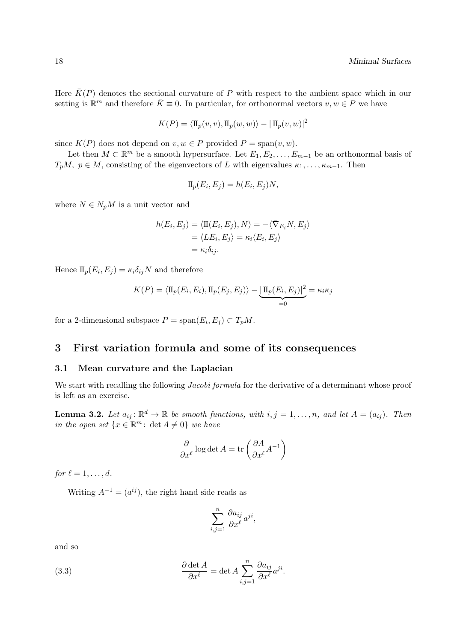Here  $\bar{K}(P)$  denotes the sectional curvature of P with respect to the ambient space which in our setting is  $\mathbb{R}^m$  and therefore  $\bar{K} \equiv 0$ . In particular, for orthonormal vectors  $v, w \in P$  we have

$$
K(P) = \langle \mathbf{I}_{p}(v, v), \mathbf{I}_{p}(w, w) \rangle - |\mathbf{I}_{p}(v, w)|^{2}
$$

since  $K(P)$  does not depend on  $v, w \in P$  provided  $P = span(v, w)$ .

Let then  $M \subset \mathbb{R}^m$  be a smooth hypersurface. Let  $E_1, E_2, \ldots, E_{m-1}$  be an orthonormal basis of  $T_pM$ ,  $p \in M$ , consisting of the eigenvectors of L with eigenvalues  $\kappa_1, \ldots, \kappa_{m-1}$ . Then

$$
\Pi_p(E_i, E_j) = h(E_i, E_j)N,
$$

where  $N \in N_pM$  is a unit vector and

$$
h(E_i, E_j) = \langle \Pi(E_i, E_j), N \rangle = -\langle \overline{\nabla}_{E_i} N, E_j \rangle
$$
  
=  $\langle LE_i, E_j \rangle = \kappa_i \langle E_i, E_j \rangle$   
=  $\kappa_i \delta_{ij}$ .

Hence  $\mathbb{I}_p(E_i, E_j) = \kappa_i \delta_{ij} N$  and therefore

$$
K(P) = \langle \Pi_p(E_i, E_i), \Pi_p(E_j, E_j) \rangle - \underbrace{|\Pi_p(E_i, E_j)|^2}_{=0} = \kappa_i \kappa_j
$$

for a 2-dimensional subspace  $P = \text{span}(E_i, E_j) \subset T_pM$ .

### 3 First variation formula and some of its consequences

### 3.1 Mean curvature and the Laplacian

We start with recalling the following *Jacobi formula* for the derivative of a determinant whose proof is left as an exercise.

**Lemma 3.2.** Let  $a_{ij} \colon \mathbb{R}^d \to \mathbb{R}$  be smooth functions, with  $i, j = 1, \ldots, n$ , and let  $A = (a_{ij})$ . Then in the open set  $\{x \in \mathbb{R}^m : \det A \neq 0\}$  we have

$$
\frac{\partial}{\partial x^{\ell}} \log \det A = \text{tr}\left(\frac{\partial A}{\partial x^{\ell}} A^{-1}\right)
$$

for  $\ell = 1, \ldots, d$ .

Writing  $A^{-1} = (a^{ij})$ , the right hand side reads as

$$
\sum_{i,j=1}^n \frac{\partial a_{ij}}{\partial x^{\ell}} a^{ji},
$$

and so

(3.3) 
$$
\frac{\partial \det A}{\partial x^{\ell}} = \det A \sum_{i,j=1}^{n} \frac{\partial a_{ij}}{\partial x^{\ell}} a^{ji}.
$$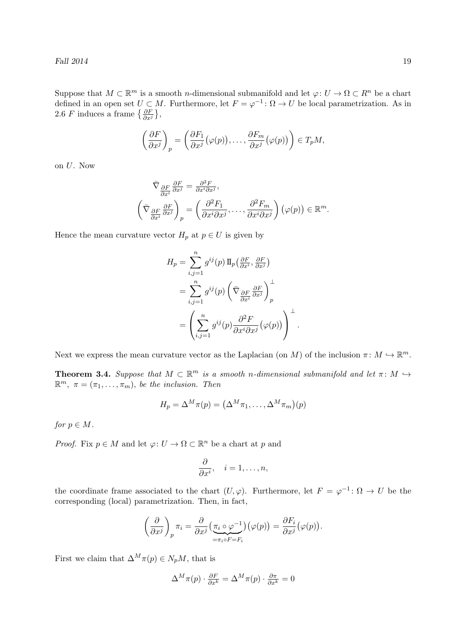Fall  $2014$  19

Suppose that  $M \subset \mathbb{R}^m$  is a smooth *n*-dimensional submanifold and let  $\varphi: U \to \Omega \subset \mathbb{R}^n$  be a chart defined in an open set  $U \subset M$ . Furthermore, let  $F = \varphi^{-1} \colon \Omega \to U$  be local parametrization. As in 2.6 *F* induces a frame  $\{\frac{\partial F}{\partial x^j}\},\$ 

$$
\left(\frac{\partial F}{\partial x^j}\right)_p = \left(\frac{\partial F_1}{\partial x^j}(\varphi(p)),\ldots,\frac{\partial F_m}{\partial x^j}(\varphi(p))\right) \in T_pM,
$$

on U. Now

$$
\bar{\nabla}_{\frac{\partial F}{\partial x^i}} \frac{\partial F}{\partial x^j} = \frac{\partial^2 F}{\partial x^i \partial x^j},
$$
\n
$$
\left(\bar{\nabla}_{\frac{\partial F}{\partial x^i}} \frac{\partial F}{\partial x^j}\right)_p = \left(\frac{\partial^2 F_1}{\partial x^i \partial x^j}, \dots, \frac{\partial^2 F_m}{\partial x^i \partial x^j}\right) (\varphi(p)) \in \mathbb{R}^m.
$$

Hence the mean curvature vector  $H_p$  at  $p \in U$  is given by

$$
H_p = \sum_{i,j=1}^n g^{ij}(p) \Pi_p\left(\frac{\partial F}{\partial x^i}, \frac{\partial F}{\partial x^j}\right)
$$
  
= 
$$
\sum_{i,j=1}^n g^{ij}(p) \left(\bar{\nabla} \frac{\partial F}{\partial x^i} \frac{\partial F}{\partial x^j}\right)_p^{\perp}
$$
  
= 
$$
\left(\sum_{i,j=1}^n g^{ij}(p) \frac{\partial^2 F}{\partial x^i \partial x^j} (\varphi(p))\right)^{\perp}
$$

Next we express the mean curvature vector as the Laplacian (on M) of the inclusion  $\pi \colon M \hookrightarrow \mathbb{R}^m$ .

.

**Theorem 3.4.** Suppose that  $M \subset \mathbb{R}^m$  is a smooth n-dimensional submanifold and let  $\pi \colon M \hookrightarrow$  $\mathbb{R}^m$ ,  $\pi = (\pi_1, \ldots, \pi_m)$ , be the inclusion. Then

$$
H_p = \Delta^M \pi(p) = (\Delta^M \pi_1, \dots, \Delta^M \pi_m)(p)
$$

for  $p \in M$ .

*Proof.* Fix  $p \in M$  and let  $\varphi: U \to \Omega \subset \mathbb{R}^n$  be a chart at p and

$$
\frac{\partial}{\partial x^i}, \quad i = 1, \dots, n,
$$

the coordinate frame associated to the chart  $(U, \varphi)$ . Furthermore, let  $F = \varphi^{-1} \colon \Omega \to U$  be the corresponding (local) parametrization. Then, in fact,

$$
\left(\frac{\partial}{\partial x^j}\right)_p \pi_i = \frac{\partial}{\partial x^j} \left(\frac{\pi_i \circ \varphi^{-1}}{\pi_i \circ F = F_i}\right) (\varphi(p)) = \frac{\partial F_i}{\partial x^j} (\varphi(p)).
$$

First we claim that  $\Delta^M \pi(p) \in N_pM$ , that is

$$
\Delta^M \pi(p) \cdot \frac{\partial F}{\partial x^k} = \Delta^M \pi(p) \cdot \frac{\partial \pi}{\partial x^k} = 0
$$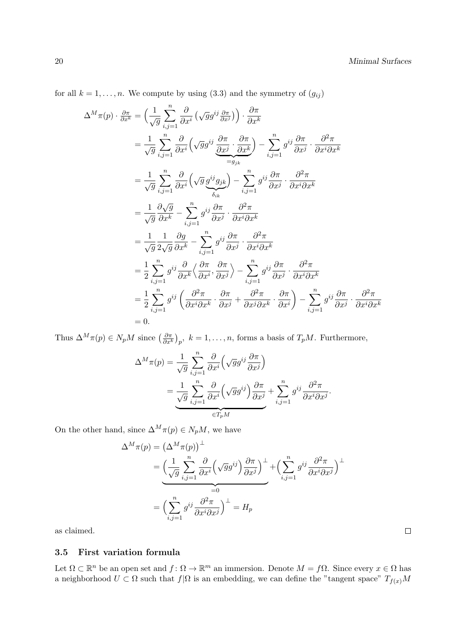for all  $k = 1, \ldots, n$ . We compute by using (3.3) and the symmetry of  $(g_{ij})$ 

$$
\Delta^{M}\pi(p) \cdot \frac{\partial\pi}{\partial x^{k}} = \left(\frac{1}{\sqrt{g}}\sum_{i,j=1}^{n} \frac{\partial}{\partial x^{i}}\left(\sqrt{g}g^{ij}\frac{\partial\pi}{\partial x^{j}}\right)\right) \cdot \frac{\partial\pi}{\partial x^{k}}
$$
  
\n
$$
= \frac{1}{\sqrt{g}}\sum_{i,j=1}^{n} \frac{\partial}{\partial x^{i}}\left(\sqrt{g}g^{ij}\frac{\partial\pi}{\partial x^{j}}\cdot\frac{\partial\pi}{\partial x^{k}}\right) - \sum_{i,j=1}^{n} g^{ij}\frac{\partial\pi}{\partial x^{j}}\cdot\frac{\partial^{2}\pi}{\partial x^{i}\partial x^{k}}
$$
  
\n
$$
= \frac{1}{\sqrt{g}}\sum_{i,j=1}^{n} \frac{\partial}{\partial x^{i}}\left(\sqrt{g}\frac{g^{ij}g_{jk}}{\delta_{ik}}\right) - \sum_{i,j=1}^{n} g^{ij}\frac{\partial\pi}{\partial x^{j}}\cdot\frac{\partial^{2}\pi}{\partial x^{i}\partial x^{k}}
$$
  
\n
$$
= \frac{1}{\sqrt{g}}\frac{\partial\sqrt{g}}{\partial x^{k}} - \sum_{i,j=1}^{n} g^{ij}\frac{\partial\pi}{\partial x^{j}}\cdot\frac{\partial^{2}\pi}{\partial x^{i}\partial x^{k}}
$$
  
\n
$$
= \frac{1}{\sqrt{g}}\frac{1}{2\sqrt{g}}\frac{\partial g}{\partial x^{k}} - \sum_{i,j=1}^{n} g^{ij}\frac{\partial\pi}{\partial x^{j}}\cdot\frac{\partial^{2}\pi}{\partial x^{i}\partial x^{k}}
$$
  
\n
$$
= \frac{1}{2}\sum_{i,j=1}^{n} g^{ij}\left(\frac{\partial\pi}{\partial x^{i}}\cdot\frac{\partial\pi}{\partial x^{j}}\right) - \sum_{i,j=1}^{n} g^{ij}\frac{\partial\pi}{\partial x^{j}}\cdot\frac{\partial^{2}\pi}{\partial x^{i}\partial x^{k}}
$$
  
\n
$$
= \frac{1}{2}\sum_{i,j=1}^{n} g^{ij}\left(\frac{\partial^{2}\pi}{\partial x^{i}\partial x^{k}}\cdot\frac{\partial\pi}{\partial x^{j}} + \frac{\partial^{2}\pi}{\partial x^{j}\partial x^{k}}\cdot\frac{\partial\pi}{\partial x^{i}}\right)
$$

Thus  $\Delta^M \pi(p) \in N_p M$  since  $\left(\frac{\partial \pi}{\partial x^k}\right)_p$ ,  $k = 1, \ldots, n$ , forms a basis of  $T_p M$ . Furthermore,

$$
\Delta^{M}\pi(p) = \frac{1}{\sqrt{g}}\sum_{i,j=1}^{n} \frac{\partial}{\partial x^{i}} \left(\sqrt{g}g^{ij}\frac{\partial \pi}{\partial x^{j}}\right)
$$

$$
= \underbrace{\frac{1}{\sqrt{g}}\sum_{i,j=1}^{n} \frac{\partial}{\partial x^{i}} \left(\sqrt{g}g^{ij}\right) \frac{\partial \pi}{\partial x^{j}}}_{\in T_{p}M} + \sum_{i,j=1}^{n} g^{ij}\frac{\partial^{2}\pi}{\partial x^{i}\partial x^{j}}
$$

.

On the other hand, since  $\Delta^M \pi(p) \in N_p M$ , we have

$$
\Delta^{M}\pi(p) = (\Delta^{M}\pi(p))^{\perp}
$$
  
= 
$$
\underbrace{\left(\frac{1}{\sqrt{g}}\sum_{i,j=1}^{n}\frac{\partial}{\partial x^{i}}\left(\sqrt{g}g^{ij}\right)\frac{\partial\pi}{\partial x^{j}}\right)^{\perp}}_{=0} + \left(\sum_{i,j=1}^{n}g^{ij}\frac{\partial^{2}\pi}{\partial x^{i}\partial x^{j}}\right)^{\perp}
$$
  
= 
$$
\underbrace{\left(\sum_{i,j=1}^{n}g^{ij}\frac{\partial^{2}\pi}{\partial x^{i}\partial x^{j}}\right)^{\perp}}_{=H_{p}} = H_{p}
$$

as claimed.

### 3.5 First variation formula

Let  $\Omega \subset \mathbb{R}^n$  be an open set and  $f: \Omega \to \mathbb{R}^m$  an immersion. Denote  $M = f\Omega$ . Since every  $x \in \Omega$  has a neighborhood  $U \subset \Omega$  such that  $f|\Omega$  is an embedding, we can define the "tangent space"  $T_{f(x)}M$ 

 $\Box$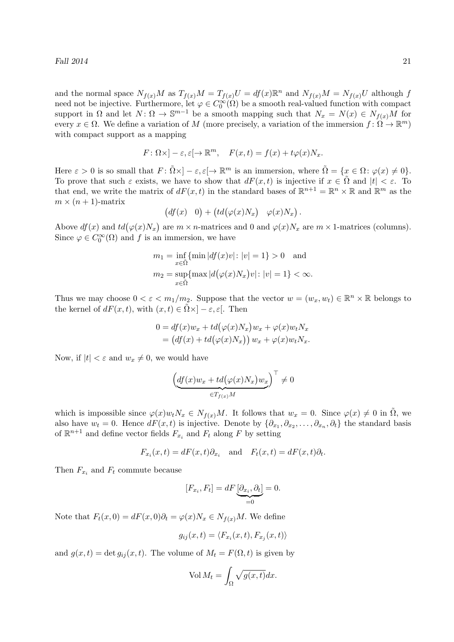Fall  $2014$  21

and the normal space  $N_{f(x)}M$  as  $T_{f(x)}M = T_{f(x)}U = df(x)\mathbb{R}^n$  and  $N_{f(x)}M = N_{f(x)}U$  although f need not be injective. Furthermore, let  $\varphi \in C_0^{\infty}(\Omega)$  be a smooth real-valued function with compact support in  $\Omega$  and let  $N: \Omega \to \mathbb{S}^{m-1}$  be a smooth mapping such that  $N_x = N(x) \in N_{f(x)}M$  for every  $x \in \Omega$ . We define a variation of M (more precisely, a variation of the immersion  $f: \Omega \to \mathbb{R}^m$ ) with compact support as a mapping

$$
F: \Omega \times ]-\varepsilon, \varepsilon[ \to \mathbb{R}^m, \quad F(x,t) = f(x) + t\varphi(x)N_x.
$$

Here  $\varepsilon > 0$  is so small that  $F: \tilde{\Omega} \times ]-\varepsilon, \varepsilon[ \to \mathbb{R}^m$  is an immersion, where  $\tilde{\Omega} = \{x \in \Omega : \varphi(x) \neq 0\}.$ To prove that such  $\varepsilon$  exists, we have to show that  $dF(x,t)$  is injective if  $x \in \tilde{\Omega}$  and  $|t| < \varepsilon$ . To that end, we write the matrix of  $dF(x,t)$  in the standard bases of  $\mathbb{R}^{n+1} = \mathbb{R}^n \times \mathbb{R}$  and  $\mathbb{R}^m$  as the  $m \times (n + 1)$ -matrix

$$
(df(x) \quad 0) + (td(\varphi(x)N_x) \quad \varphi(x)N_x).
$$

Above  $df(x)$  and  $td(\varphi(x)N_x)$  are  $m \times n$ -matrices and 0 and  $\varphi(x)N_x$  are  $m \times 1$ -matrices (columns). Since  $\varphi \in C_0^{\infty}(\Omega)$  and f is an immersion, we have

$$
m_1 = \inf_{x \in \tilde{\Omega}} \{ \min |df(x)v| : |v| = 1 \} > 0 \text{ and}
$$
  
\n
$$
m_2 = \sup_{x \in \tilde{\Omega}} \{ \max |d(\varphi(x)N_x)v| : |v| = 1 \} < \infty.
$$

Thus we may choose  $0 < \varepsilon < m_1/m_2$ . Suppose that the vector  $w = (w_x, w_t) \in \mathbb{R}^n \times \mathbb{R}$  belongs to the kernel of  $dF(x, t)$ , with  $(x, t) \in \Omega \times ]-\varepsilon, \varepsilon[$ . Then

$$
0 = df(x)w_x + td(\varphi(x)N_x)w_x + \varphi(x)w_tN_x
$$
  
=  $(df(x) + td(\varphi(x)N_x))w_x + \varphi(x)w_tN_x.$ 

Now, if  $|t| < \varepsilon$  and  $w_x \neq 0$ , we would have

$$
\left(\underbrace{df(x)w_x + td\big(\varphi(x)N_x\big)w_x}_{\in T_{f(x)}M}\right)^{\top} \neq 0
$$

which is impossible since  $\varphi(x)w_tN_x \in N_{f(x)}M$ . It follows that  $w_x = 0$ . Since  $\varphi(x) \neq 0$  in  $\Omega$ , we also have  $w_t = 0$ . Hence  $dF(x,t)$  is injective. Denote by  $\{\partial_{x_1}, \partial_{x_2}, \dots, \partial_{x_n}, \partial_t\}$  the standard basis of  $\mathbb{R}^{n+1}$  and define vector fields  $F_{x_i}$  and  $F_t$  along F by setting

$$
F_{x_i}(x,t) = dF(x,t)\partial_{x_i}
$$
 and  $F_t(x,t) = dF(x,t)\partial_t$ .

Then  $F_{x_i}$  and  $F_t$  commute because

$$
[F_{x_i}, F_t] = dF \underbrace{[\partial_{x_i}, \partial_t]}_{=0} = 0.
$$

Note that  $F_t(x, 0) = dF(x, 0)\partial_t = \varphi(x)N_x \in N_{f(x)}M$ . We define

$$
g_{ij}(x,t) = \langle F_{x_i}(x,t), F_{x_j}(x,t) \rangle
$$

and  $g(x, t) = \det g_{ij}(x, t)$ . The volume of  $M_t = F(\Omega, t)$  is given by

$$
\text{Vol}\,M_t = \int_{\Omega} \sqrt{g(x,t)} dx.
$$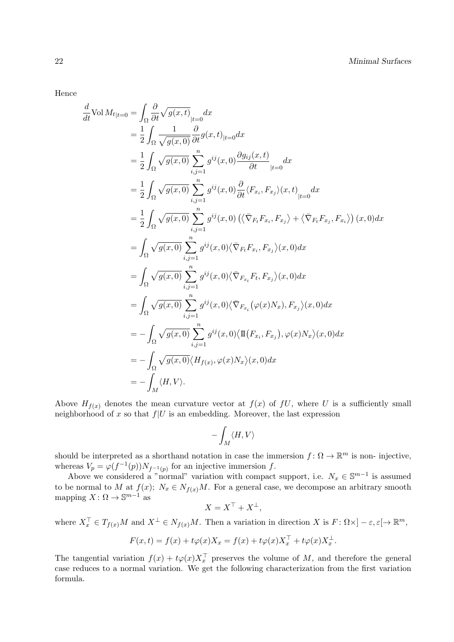Hence

$$
\frac{d}{dt}\text{Vol }M_{t|t=0} = \int_{\Omega} \frac{\partial}{\partial t} \sqrt{g(x,t)} \Big|_{t=0} dx \n= \frac{1}{2} \int_{\Omega} \frac{1}{\sqrt{g(x,0)}} \frac{\partial}{\partial t} g(x,t)_{|t=0} dx \n= \frac{1}{2} \int_{\Omega} \sqrt{g(x,0)} \sum_{i,j=1}^{n} g^{ij}(x,0) \frac{\partial g_{ij}(x,t)}{\partial t} \Big|_{|t=0} dx \n= \frac{1}{2} \int_{\Omega} \sqrt{g(x,0)} \sum_{i,j=1}^{n} g^{ij}(x,0) \frac{\partial}{\partial t} \langle F_{x_i}, F_{x_j} \rangle (x,t) \Big|_{|t=0} dx \n= \frac{1}{2} \int_{\Omega} \sqrt{g(x,0)} \sum_{i,j=1}^{n} g^{ij}(x,0) \left( \langle \nabla_{F_t} F_{x_i}, F_{x_j} \rangle + \langle \nabla_{F_t} F_{x_j}, F_{x_i} \rangle \right) (x,0) dx \n= \int_{\Omega} \sqrt{g(x,0)} \sum_{i,j=1}^{n} g^{ij}(x,0) \langle \nabla_{F_t} F_{x_i}, F_{x_j} \rangle (x,0) dx \n= \int_{\Omega} \sqrt{g(x,0)} \sum_{i,j=1}^{n} g^{ij}(x,0) \langle \nabla_{F_{x_i}} F_t, F_{x_j} \rangle (x,0) dx \n= \int_{\Omega} \sqrt{g(x,0)} \sum_{i,j=1}^{n} g^{ij}(x,0) \langle \nabla_{F_{x_i}} (\varphi(x)N_x), F_{x_j} \rangle (x,0) dx \n= - \int_{\Omega} \sqrt{g(x,0)} \sum_{i,j=1}^{n} g^{ij}(x,0) \langle \Pi (F_{x_i}, F_{x_j}), \varphi(x)N_x \rangle (x,0) dx \n= - \int_{\Omega} \sqrt{g(x,0)} \langle H_{f(x)}, \varphi(x)N_x \rangle (x,0) dx \n= - \int_{M} \langle H, V \rangle.
$$

Above  $H_{f(x)}$  denotes the mean curvature vector at  $f(x)$  of  $f(x)$ , where U is a sufficiently small neighborhood of x so that  $f|U$  is an embedding. Moreover, the last expression

$$
-\int_M \langle H,V\rangle
$$

should be interpreted as a shorthand notation in case the immersion  $f: \Omega \to \mathbb{R}^m$  is non-injective, whereas  $V_p = \varphi(f^{-1}(p))N_{f^{-1}(p)}$  for an injective immersion f.

Above we considered a "normal" variation with compact support, i.e.  $N_x \in \mathbb{S}^{m-1}$  is assumed to be normal to M at  $f(x)$ ;  $N_x \in N_{f(x)}M$ . For a general case, we decompose an arbitrary smooth mapping  $X: \Omega \to \mathbb{S}^{m-1}$  as

$$
X = X^{\top} + X^{\perp},
$$

where  $X_x^{\top} \in T_{f(x)}M$  and  $X^{\perp} \in N_{f(x)}M$ . Then a variation in direction X is  $F: \Omega \times ]-\varepsilon, \varepsilon[ \to \mathbb{R}^m,$ 

$$
F(x,t) = f(x) + t\varphi(x)X_x = f(x) + t\varphi(x)X_x^{\top} + t\varphi(x)X_x^{\perp}.
$$

The tangential variation  $f(x) + t\varphi(x)X_x^{\top}$  preserves the volume of M, and therefore the general case reduces to a normal variation. We get the following characterization from the first variation formula.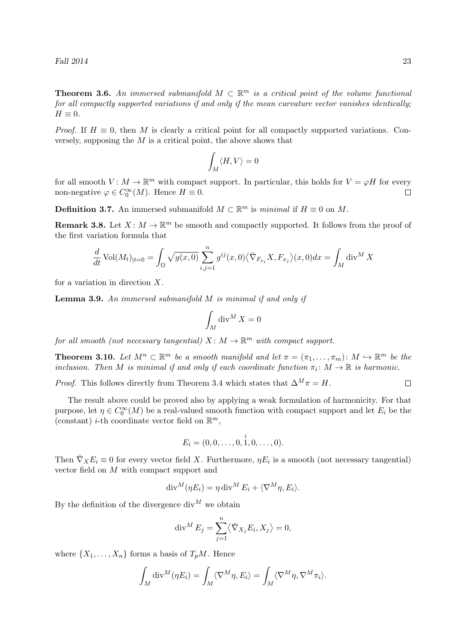Fall  $2014$  23

**Theorem 3.6.** An immersed submanifold  $M \subset \mathbb{R}^m$  is a critical point of the volume functional for all compactly supported variations if and only if the mean curvature vector vanishes identically;  $H \equiv 0.$ 

*Proof.* If  $H \equiv 0$ , then M is clearly a critical point for all compactly supported variations. Conversely, supposing the  $M$  is a critical point, the above shows that

$$
\int_M \langle H,V\rangle=0
$$

for all smooth  $V: M \to \mathbb{R}^m$  with compact support. In particular, this holds for  $V = \varphi H$  for every non-negative  $\varphi \in C_0^{\infty}(M)$ . Hence  $H \equiv 0$ .  $\Box$ 

**Definition 3.7.** An immersed submanifold  $M \subset \mathbb{R}^m$  is *minimal* if  $H \equiv 0$  on M.

**Remark 3.8.** Let  $X: M \to \mathbb{R}^m$  be smooth and compactly supported. It follows from the proof of the first variation formula that

$$
\frac{d}{dt}\operatorname{Vol}(M_t)_{|t=0} = \int_{\Omega} \sqrt{g(x,0)} \sum_{i,j=1}^n g^{ij}(x,0) \langle \bar{\nabla}_{F_{x_i}} X, F_{x_j} \rangle (x,0) dx = \int_M \operatorname{div}^M X
$$

for a variation in direction X.

**Lemma 3.9.** An immersed submanifold  $M$  is minimal if and only if

$$
\int_M \operatorname{div}^M X = 0
$$

for all smooth (not necessary tangential)  $X \colon M \to \mathbb{R}^m$  with compact support.

**Theorem 3.10.** Let  $M^n \subset \mathbb{R}^m$  be a smooth manifold and let  $\pi = (\pi_1, \ldots, \pi_m) : M \hookrightarrow \mathbb{R}^m$  be the inclusion. Then M is minimal if and only if each coordinate function  $\pi_i \colon M \to \mathbb{R}$  is harmonic.

*Proof.* This follows directly from Theorem 3.4 which states that  $\Delta^M \pi = H$ .  $\Box$ 

The result above could be proved also by applying a weak formulation of harmonicity. For that purpose, let  $\eta \in C_0^{\infty}(M)$  be a real-valued smooth function with compact support and let  $E_i$  be the (constant) *i*-th coordinate vector field on  $\mathbb{R}^m$ ,

$$
E_i = (0, 0, \ldots, 0, \stackrel{i}{1}, 0, \ldots, 0).
$$

Then  $\bar{\nabla}_X E_i \equiv 0$  for every vector field X. Furthermore,  $\eta E_i$  is a smooth (not necessary tangential) vector field on M with compact support and

$$
\operatorname{div}^M(\eta E_i) = \eta \operatorname{div}^M E_i + \langle \nabla^M \eta, E_i \rangle.
$$

By the definition of the divergence  $div^M$  we obtain

$$
\operatorname{div}^M E_j = \sum_{j=1}^n \langle \bar{\nabla}_{X_j} E_i, X_j \rangle = 0,
$$

where  $\{X_1, \ldots, X_n\}$  forms a basis of  $T_pM$ . Hence

$$
\int_M \text{div}^M(\eta E_i) = \int_M \langle \nabla^M \eta, E_i \rangle = \int_M \langle \nabla^M \eta, \nabla^M \pi_i \rangle.
$$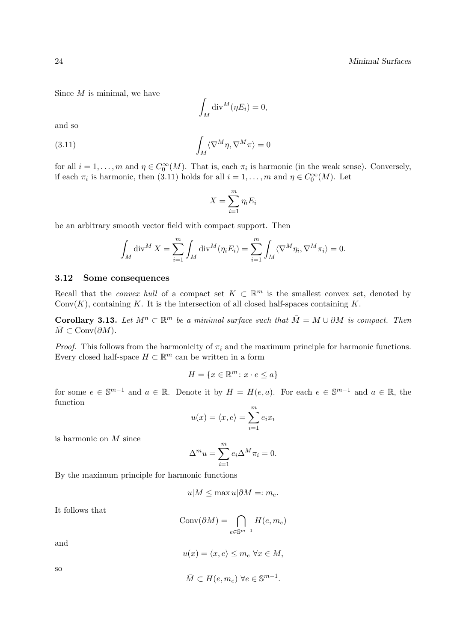Since  $M$  is minimal, we have

$$
\int_M \mathrm{div}^M(\eta E_i) = 0,
$$

and so

(3.11) 
$$
\int_M \langle \nabla^M \eta, \nabla^M \pi \rangle = 0
$$

for all  $i = 1, \ldots, m$  and  $\eta \in C_0^{\infty}(M)$ . That is, each  $\pi_i$  is harmonic (in the weak sense). Conversely, if each  $\pi_i$  is harmonic, then (3.11) holds for all  $i = 1, ..., m$  and  $\eta \in C_0^{\infty}(M)$ . Let

$$
X = \sum_{i=1}^{m} \eta_i E_i
$$

be an arbitrary smooth vector field with compact support. Then

$$
\int_M \operatorname{div}^M X = \sum_{i=1}^m \int_M \operatorname{div}^M(\eta_i E_i) = \sum_{i=1}^m \int_M \langle \nabla^M \eta_i, \nabla^M \pi_i \rangle = 0.
$$

#### 3.12 Some consequences

Recall that the *convex hull* of a compact set  $K \subset \mathbb{R}^m$  is the smallest convex set, denoted by  $Conv(K)$ , containing K. It is the intersection of all closed half-spaces containing K.

**Corollary 3.13.** Let  $M^n \subset \mathbb{R}^m$  be a minimal surface such that  $\overline{M} = M \cup \partial M$  is compact. Then  $M \subset \text{Conv}(\partial M)$ .

*Proof.* This follows from the harmonicity of  $\pi_i$  and the maximum principle for harmonic functions. Every closed half-space  $H \subset \mathbb{R}^m$  can be written in a form

$$
H = \{ x \in \mathbb{R}^m \colon x \cdot e \le a \}
$$

for some  $e \in \mathbb{S}^{m-1}$  and  $a \in \mathbb{R}$ . Denote it by  $H = H(e, a)$ . For each  $e \in \mathbb{S}^{m-1}$  and  $a \in \mathbb{R}$ , the function

$$
u(x) = \langle x, e \rangle = \sum_{i=1}^{m} e_i x_i
$$

is harmonic on M since

$$
\Delta^m u = \sum_{i=1}^m e_i \Delta^M \pi_i = 0.
$$

By the maximum principle for harmonic functions

$$
u|M \le \max u|\partial M =: m_e.
$$

It follows that

$$
Conv(\partial M) = \bigcap_{e \in \mathbb{S}^{m-1}} H(e, m_e)
$$

and

$$
u(x) = \langle x, e \rangle \le m_e \,\,\forall x \in M,
$$

so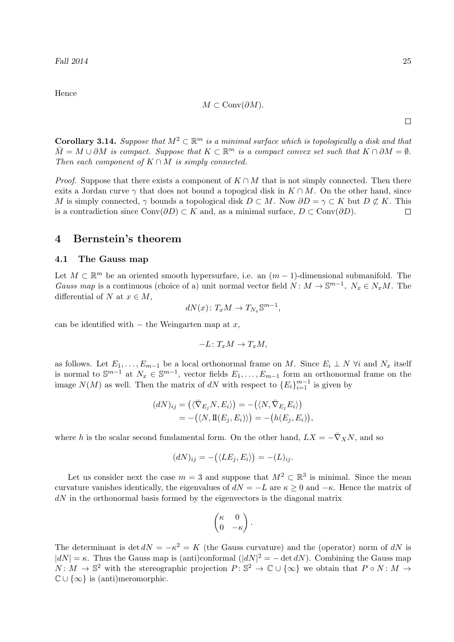Hence

$$
M \subset \text{Conv}(\partial M).
$$

 $\Box$ 

**Corollary 3.14.** Suppose that  $M^2 \subset \mathbb{R}^m$  is a minimal surface which is topologically a disk and that  $\overline{M} = M \cup \partial M$  is compact. Suppose that  $K \subset \mathbb{R}^m$  is a compact convex set such that  $K \cap \partial M = \emptyset$ . Then each component of  $K \cap M$  is simply connected.

*Proof.* Suppose that there exists a component of  $K \cap M$  that is not simply connected. Then there exits a Jordan curve  $\gamma$  that does not bound a topogical disk in  $K \cap M$ . On the other hand, since M is simply connected,  $\gamma$  bounds a topological disk  $D \subset M$ . Now  $\partial D = \gamma \subset K$  but  $D \not\subset K$ . This is a contradiction since  $Conv(\partial D) \subset K$  and, as a minimal surface,  $D \subset Conv(\partial D)$ .  $\Box$ 

### 4 Bernstein's theorem

### 4.1 The Gauss map

Let  $M \subset \mathbb{R}^m$  be an oriented smooth hypersurface, i.e. an  $(m-1)$ -dimensional submanifold. The Gauss map is a continuous (choice of a) unit normal vector field  $N: M \to \mathbb{S}^{m-1}$ ,  $N_x \in N_xM$ . The differential of N at  $x \in M$ ,

$$
dN(x) \colon T_x M \to T_{N_x} \mathbb{S}^{m-1},
$$

can be identified with  $-$  the Weingarten map at  $x$ ,

$$
-L\colon T_xM\to T_xM,
$$

as follows. Let  $E_1, \ldots, E_{m-1}$  be a local orthonormal frame on M. Since  $E_i \perp N$   $\forall i$  and  $N_x$  itself is normal to  $\mathbb{S}^{m-1}$  at  $N_x \in \mathbb{S}^{m-1}$ , vector fields  $E_1, \ldots, E_{m-1}$  form an orthonormal frame on the image  $N(M)$  as well. Then the matrix of dN with respect to  ${E_i}_{i=1}^{m-1}$  is given by

$$
\begin{aligned} (dN)_{ij} &= \left( \langle \bar{\nabla}_{E_j} N, E_i \rangle \right) = -\left( \langle N, \bar{\nabla}_{E_j} E_i \rangle \right) \\ &= -\left( \langle N, \mathbf{I}(E_j, E_i) \rangle \right) = -\left( h(E_j, E_i) \right), \end{aligned}
$$

where h is the scalar second fundamental form. On the other hand,  $LX = -\bar{\nabla}_X N$ , and so

$$
(dN)_{ij} = -(\langle LE_j, E_i \rangle) = -(L)_{ij}.
$$

Let us consider next the case  $m = 3$  and suppose that  $M^2 \subset \mathbb{R}^3$  is minimal. Since the mean curvature vanishes identically, the eigenvalues of  $dN = -L$  are  $\kappa \geq 0$  and  $-\kappa$ . Hence the matrix of  $dN$  in the orthonormal basis formed by the eigenvectors is the diagonal matrix

$$
\begin{pmatrix} \kappa & 0 \\ 0 & -\kappa \end{pmatrix}.
$$

The determinant is det  $dN = -\kappa^2 = K$  (the Gauss curvature) and the (operator) norm of dN is  $|dN| = \kappa$ . Thus the Gauss map is (anti)conformal  $(|dN|^2 = -\det dN)$ . Combining the Gauss map  $N: M \to \mathbb{S}^2$  with the stereographic projection  $P: \mathbb{S}^2 \to \mathbb{C} \cup {\infty}$  we obtain that  $P \circ N: M \to$  $\mathbb{C} \cup \{\infty\}$  is (anti)meromorphic.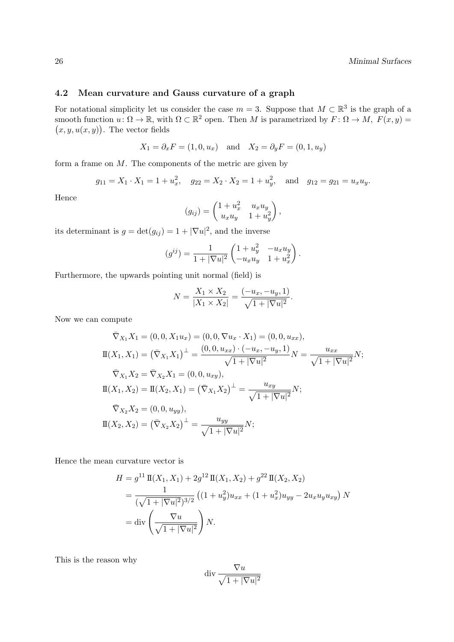### 4.2 Mean curvature and Gauss curvature of a graph

For notational simplicity let us consider the case  $m = 3$ . Suppose that  $M \subset \mathbb{R}^3$  is the graph of a smooth function  $u: \Omega \to \mathbb{R}$ , with  $\Omega \subset \mathbb{R}^2$  open. Then M is parametrized by  $F: \Omega \to M$ ,  $F(x, y) =$  $(x, y, u(x, y))$ . The vector fields

$$
X_1 = \partial_x F = (1, 0, u_x)
$$
 and  $X_2 = \partial_y F = (0, 1, u_y)$ 

form a frame on  $M$ . The components of the metric are given by

$$
g_{11} = X_1 \cdot X_1 = 1 + u_x^2
$$
,  $g_{22} = X_2 \cdot X_2 = 1 + u_y^2$ , and  $g_{12} = g_{21} = u_x u_y$ .

Hence

$$
(g_{ij}) = \begin{pmatrix} 1 + u_x^2 & u_x u_y \\ u_x u_y & 1 + u_y^2 \end{pmatrix},
$$

its determinant is  $g = det(g_{ij}) = 1 + |\nabla u|^2$ , and the inverse

$$
(g^{ij}) = \frac{1}{1 + |\nabla u|^2} \begin{pmatrix} 1 + u_y^2 & -u_x u_y \\ -u_x u_y & 1 + u_x^2 \end{pmatrix}.
$$

Furthermore, the upwards pointing unit normal (field) is

$$
N = \frac{X_1 \times X_2}{|X_1 \times X_2|} = \frac{(-u_x, -u_y, 1)}{\sqrt{1 + |\nabla u|^2}}.
$$

Now we can compute

$$
\begin{aligned}\n\bar{\nabla}_{X_1} X_1 &= (0, 0, X_1 u_x) = (0, 0, \nabla u_x \cdot X_1) = (0, 0, u_{xx}), \\
\Pi(X_1, X_1) &= (\bar{\nabla}_{X_1} X_1)^\perp = \frac{(0, 0, u_{xx}) \cdot (-u_x, -u_y, 1)}{\sqrt{1 + |\nabla u|^2}} N = \frac{u_{xx}}{\sqrt{1 + |\nabla u|^2}} N; \\
\bar{\nabla}_{X_1} X_2 &= \bar{\nabla}_{X_2} X_1 = (0, 0, u_{xy}), \\
\Pi(X_1, X_2) &= \Pi(X_2, X_1) = (\bar{\nabla}_{X_1} X_2)^\perp = \frac{u_{xy}}{\sqrt{1 + |\nabla u|^2}} N; \\
\bar{\nabla}_{X_2} X_2 &= (0, 0, u_{yy}), \\
\Pi(X_2, X_2) &= (\bar{\nabla}_{X_2} X_2)^\perp = \frac{u_{yy}}{\sqrt{1 + |\nabla u|^2}} N;\n\end{aligned}
$$

Hence the mean curvature vector is

$$
H = g^{11} \Pi(X_1, X_1) + 2g^{12} \Pi(X_1, X_2) + g^{22} \Pi(X_2, X_2)
$$
  
= 
$$
\frac{1}{(\sqrt{1+|\nabla u|^2})^{3/2}} \left( (1+u_y^2) u_{xx} + (1+u_x^2) u_{yy} - 2u_x u_y u_{xy} \right) N
$$
  
= 
$$
\text{div}\left(\frac{\nabla u}{\sqrt{1+|\nabla u|^2}}\right) N.
$$

This is the reason why

$$
\text{div}\, \frac{\nabla u}{\sqrt{1+|\nabla u|^2}}
$$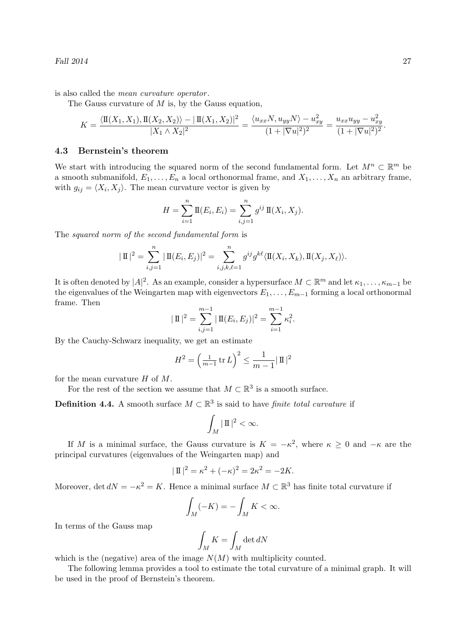is also called the *mean curvature operator*.

The Gauss curvature of  $M$  is, by the Gauss equation,

$$
K = \frac{\langle \mathbf{I}(X_1, X_1), \mathbf{I}(X_2, X_2) \rangle - |\mathbf{I}(X_1, X_2)|^2}{|X_1 \wedge X_2|^2} = \frac{\langle u_{xx}N, u_{yy}N \rangle - u_{xy}^2}{(1 + |\nabla u|^2)^2} = \frac{u_{xx}u_{yy} - u_{xy}^2}{(1 + |\nabla u|^2)^2}.
$$

### 4.3 Bernstein's theorem

We start with introducing the squared norm of the second fundamental form. Let  $M^n \subset \mathbb{R}^m$  be a smooth submanifold,  $E_1, \ldots, E_n$  a local orthonormal frame, and  $X_1, \ldots, X_n$  an arbitrary frame, with  $g_{ij} = \langle X_i, X_j \rangle$ . The mean curvature vector is given by

$$
H = \sum_{i=1}^{n} \mathbb{I}(E_i, E_i) = \sum_{i,j=1}^{n} g^{ij} \mathbb{I}(X_i, X_j).
$$

The squared norm of the second fundamental form is

$$
|\mathbf{I}|^{2} = \sum_{i,j=1}^{n} |\mathbf{I}(E_{i}, E_{j})|^{2} = \sum_{i,j,k,\ell=1}^{n} g^{ij} g^{k\ell} \langle \mathbf{I}(X_{i}, X_{k}), \mathbf{I}(X_{j}, X_{\ell}) \rangle.
$$

It is often denoted by  $|A|^2$ . As an example, consider a hypersurface  $M \subset \mathbb{R}^m$  and let  $\kappa_1, \ldots, \kappa_{m-1}$  be the eigenvalues of the Weingarten map with eigenvectors  $E_1, \ldots, E_{m-1}$  forming a local orthonormal frame. Then

$$
|\mathbf{I}|^2 = \sum_{i,j=1}^{m-1} |\mathbf{I}(E_i, E_j)|^2 = \sum_{i=1}^{m-1} \kappa_i^2.
$$

By the Cauchy-Schwarz inequality, we get an estimate

$$
H^{2} = \left(\frac{1}{m-1} \operatorname{tr} L\right)^{2} \le \frac{1}{m-1} |\operatorname{I} |^{2}
$$

for the mean curvature  $H$  of  $M$ .

For the rest of the section we assume that  $M \subset \mathbb{R}^3$  is a smooth surface.

**Definition 4.4.** A smooth surface  $M \subset \mathbb{R}^3$  is said to have *finite total curvature* if

$$
\int_M |\, \mathrm{I\hspace{-.1em}I\hspace{-.1em}I}|^{\, 2} < \infty.
$$

If M is a minimal surface, the Gauss curvature is  $K = -\kappa^2$ , where  $\kappa \geq 0$  and  $-\kappa$  are the principal curvatures (eigenvalues of the Weingarten map) and

$$
|\mathbf{I}|^2 = \kappa^2 + (-\kappa)^2 = 2\kappa^2 = -2K.
$$

Moreover, det  $dN = -\kappa^2 = K$ . Hence a minimal surface  $M \subset \mathbb{R}^3$  has finite total curvature if

$$
\int_M (-K) = -\int_M K < \infty.
$$

In terms of the Gauss map

$$
\int_M K = \int_M \det dN
$$

which is the (negative) area of the image  $N(M)$  with multiplicity counted.

The following lemma provides a tool to estimate the total curvature of a minimal graph. It will be used in the proof of Bernstein's theorem.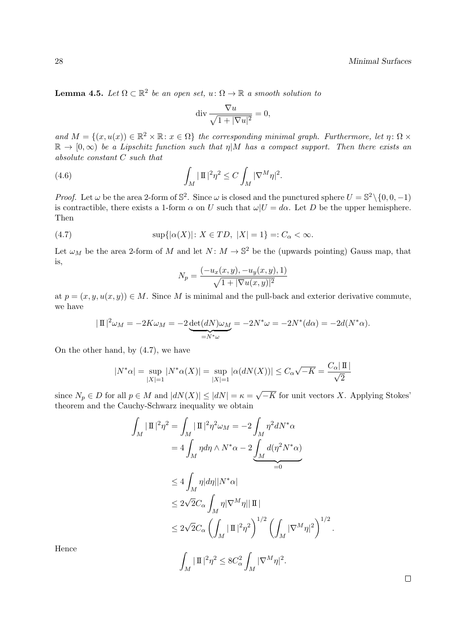**Lemma 4.5.** Let  $\Omega \subset \mathbb{R}^2$  be an open set,  $u: \Omega \to \mathbb{R}$  a smooth solution to

$$
\operatorname{div} \frac{\nabla u}{\sqrt{1+|\nabla u|^2}} = 0,
$$

and  $M = \{(x, u(x)) \in \mathbb{R}^2 \times \mathbb{R} : x \in \Omega\}$  the corresponding minimal graph. Furthermore, let  $\eta \colon \Omega \times$  $\mathbb{R} \to [0,\infty)$  be a Lipschitz function such that  $\eta \vert M$  has a compact support. Then there exists an absolute constant C such that

(4.6) 
$$
\int_M |\Pi|^2 \eta^2 \leq C \int_M |\nabla^M \eta|^2.
$$

*Proof.* Let  $\omega$  be the area 2-form of  $\mathbb{S}^2$ . Since  $\omega$  is closed and the punctured sphere  $U = \mathbb{S}^2 \setminus \{0, 0, -1\}$ is contractible, there exists a 1-form  $\alpha$  on U such that  $\omega|U = d\alpha$ . Let D be the upper hemisphere. Then

(4.7) 
$$
\sup\{|\alpha(X)| \colon X \in TD, |X| = 1\} =: C_{\alpha} < \infty.
$$

Let  $\omega_M$  be the area 2-form of M and let  $N: M \to \mathbb{S}^2$  be the (upwards pointing) Gauss map, that is,

$$
N_p = \frac{(-u_x(x, y), -u_y(x, y), 1)}{\sqrt{1 + |\nabla u(x, y)|^2}}
$$

at  $p = (x, y, u(x, y)) \in M$ . Since M is minimal and the pull-back and exterior derivative commute, we have

$$
|\Pi|^2 \omega_M = -2K\omega_M = -2\underbrace{\det(dN)\omega_M}_{=N^*\omega} = -2N^*\omega = -2N^*(d\alpha) = -2d(N^*\alpha).
$$

On the other hand, by (4.7), we have

$$
|N^*\alpha| = \sup_{|X|=1} |N^*\alpha(X)| = \sup_{|X|=1} |\alpha(dN(X))| \le C_\alpha \sqrt{-K} = \frac{C_\alpha |\Pi|}{\sqrt{2}}
$$

since  $N_p \in D$  for all  $p \in M$  and  $|dN(X)| \leq |dN| = \kappa$ √  $-K$  for unit vectors X. Applying Stokes' theorem and the Cauchy-Schwarz inequality we obtain

$$
\int_M |\Pi|^2 \eta^2 = \int_M |\Pi|^2 \eta^2 \omega_M = -2 \int_M \eta^2 dN^* \alpha
$$
  
=  $4 \int_M \eta d\eta \wedge N^* \alpha - 2 \int_M d(\eta^2 N^* \alpha)$   
 $\leq 4 \int_M \eta |d\eta| |N^* \alpha|$   
 $\leq 2\sqrt{2}C_\alpha \int_M \eta |\nabla^M \eta| |\Pi|$   
 $\leq 2\sqrt{2}C_\alpha \left( \int_M |\Pi|^2 \eta^2 \right)^{1/2} \left( \int_M |\nabla^M \eta|^2 \right)^{1/2}$   
 $\int_M |\Pi|^2 \eta^2 \leq 8C_\alpha^2 \int_M |\nabla^M \eta|^2.$ 

Hence

 $\Box$ 

.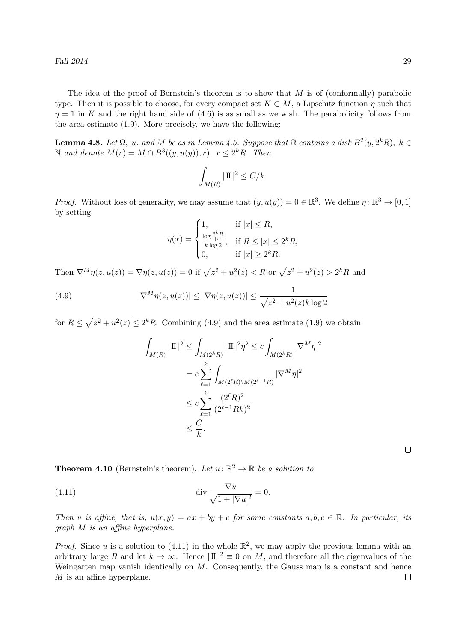The idea of the proof of Bernstein's theorem is to show that  $M$  is of (conformally) parabolic type. Then it is possible to choose, for every compact set  $K \subset M$ , a Lipschitz function  $\eta$  such that  $\eta = 1$  in K and the right hand side of (4.6) is as small as we wish. The parabolicity follows from the area estimate (1.9). More precisely, we have the following:

**Lemma 4.8.** Let  $\Omega$ , u, and M be as in Lemma 4.5. Suppose that  $\Omega$  contains a disk  $B^2(y, 2^k R)$ ,  $k \in$ N and denote  $M(r) = M ∩ B^3((y, u(y)), r), r ≤ 2<sup>k</sup>R$ . Then

$$
\int_{M(R)} |\Pi|^2 \le C/k.
$$

*Proof.* Without loss of generality, we may assume that  $(y, u(y)) = 0 \in \mathbb{R}^3$ . We define  $\eta \colon \mathbb{R}^3 \to [0, 1]$ by setting

$$
\eta(x) = \begin{cases} 1, & \text{if } |x| \le R, \\ \frac{\log \frac{2^k R}{|x|}}{k \log 2}, & \text{if } R \le |x| \le 2^k R, \\ 0, & \text{if } |x| \ge 2^k R. \end{cases}
$$

Then  $\nabla^M \eta(z, u(z)) = \nabla \eta(z, u(z)) = 0$  if  $\sqrt{z^2 + u^2(z)} < R$  or  $\sqrt{z^2 + u^2(z)} > 2^k R$  and

(4.9) 
$$
|\nabla^M \eta(z, u(z))| \leq |\nabla \eta(z, u(z))| \leq \frac{1}{\sqrt{z^2 + u^2(z)k \log 2}}
$$

for  $R \leq \sqrt{z^2 + u^2(z)} \leq 2^k R$ . Combining (4.9) and the area estimate (1.9) we obtain

$$
\int_{M(R)} |\Pi|^2 \leq \int_{M(2^k R)} |\Pi|^2 \eta^2 \leq c \int_{M(2^k R)} |\nabla^M \eta|^2
$$
  
=  $c \sum_{\ell=1}^k \int_{M(2^{\ell} R) \backslash M(2^{\ell-1} R)} |\nabla^M \eta|^2$   
 $\leq c \sum_{\ell=1}^k \frac{(2^{\ell} R)^2}{(2^{\ell-1} R k)^2}$   
 $\leq \frac{C}{k}.$ 

 $\Box$ 

**Theorem 4.10** (Bernstein's theorem). Let  $u: \mathbb{R}^2 \to \mathbb{R}$  be a solution to

(4.11) 
$$
\operatorname{div} \frac{\nabla u}{\sqrt{1+|\nabla u|^2}} = 0.
$$

Then u is affine, that is,  $u(x, y) = ax + by + c$  for some constants  $a, b, c \in \mathbb{R}$ . In particular, its graph M is an affine hyperplane.

*Proof.* Since u is a solution to (4.11) in the whole  $\mathbb{R}^2$ , we may apply the previous lemma with an arbitrary large R and let  $k \to \infty$ . Hence  $|\mathbb{I}|^2 \equiv 0$  on M, and therefore all the eigenvalues of the Weingarten map vanish identically on  $M$ . Consequently, the Gauss map is a constant and hence M is an affine hyperplane.  $\Box$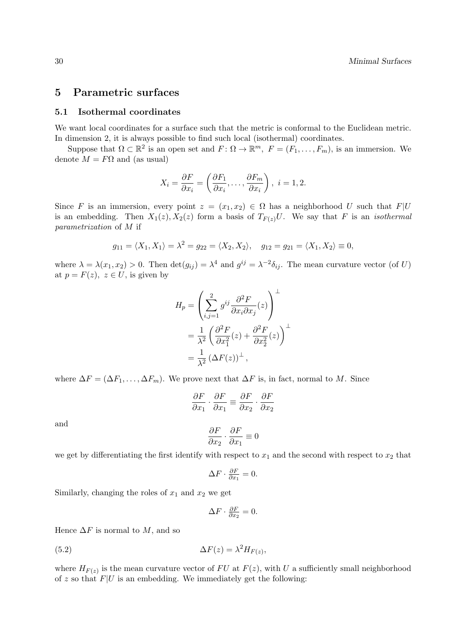### 5 Parametric surfaces

#### 5.1 Isothermal coordinates

We want local coordinates for a surface such that the metric is conformal to the Euclidean metric. In dimension 2, it is always possible to find such local (isothermal) coordinates.

Suppose that  $\Omega \subset \mathbb{R}^2$  is an open set and  $F: \Omega \to \mathbb{R}^m$ ,  $F = (F_1, \ldots, F_m)$ , is an immersion. We denote  $M = F\Omega$  and (as usual)

$$
X_i = \frac{\partial F}{\partial x_i} = \left(\frac{\partial F_1}{\partial x_i}, \dots, \frac{\partial F_m}{\partial x_i}\right), \ i = 1, 2.
$$

Since F is an immersion, every point  $z = (x_1, x_2) \in \Omega$  has a neighborhood U such that  $F|U$ is an embedding. Then  $X_1(z)$ ,  $X_2(z)$  form a basis of  $T_{F(z)}U$ . We say that F is an *isothermal* parametrization of M if

$$
g_{11} = \langle X_1, X_1 \rangle = \lambda^2 = g_{22} = \langle X_2, X_2 \rangle, \quad g_{12} = g_{21} = \langle X_1, X_2 \rangle \equiv 0,
$$

where  $\lambda = \lambda(x_1, x_2) > 0$ . Then  $\det(g_{ij}) = \lambda^4$  and  $g^{ij} = \lambda^{-2} \delta_{ij}$ . The mean curvature vector (of U) at  $p = F(z)$ ,  $z \in U$ , is given by

$$
H_p = \left(\sum_{i,j=1}^2 g^{ij} \frac{\partial^2 F}{\partial x_i \partial x_j}(z)\right)^{\perp}
$$
  
=  $\frac{1}{\lambda^2} \left(\frac{\partial^2 F}{\partial x_1^2}(z) + \frac{\partial^2 F}{\partial x_2^2}(z)\right)^{\perp}$   
=  $\frac{1}{\lambda^2} (\Delta F(z))^{\perp}$ ,

where  $\Delta F = (\Delta F_1, \ldots, \Delta F_m)$ . We prove next that  $\Delta F$  is, in fact, normal to M. Since

$$
\frac{\partial F}{\partial x_1} \cdot \frac{\partial F}{\partial x_1} \equiv \frac{\partial F}{\partial x_2} \cdot \frac{\partial F}{\partial x_2}
$$

and

$$
\frac{\partial F}{\partial x_2} \cdot \frac{\partial F}{\partial x_1} \equiv 0
$$

we get by differentiating the first identify with respect to  $x_1$  and the second with respect to  $x_2$  that

$$
\Delta F \cdot \frac{\partial F}{\partial x_1} = 0.
$$

Similarly, changing the roles of  $x_1$  and  $x_2$  we get

$$
\Delta F \cdot \frac{\partial F}{\partial x_2} = 0.
$$

Hence  $\Delta F$  is normal to M, and so

$$
\Delta F(z) = \lambda^2 H_{F(z)},
$$

where  $H_{F(z)}$  is the mean curvature vector of FU at  $F(z)$ , with U a sufficiently small neighborhood of z so that  $F|U$  is an embedding. We immediately get the following: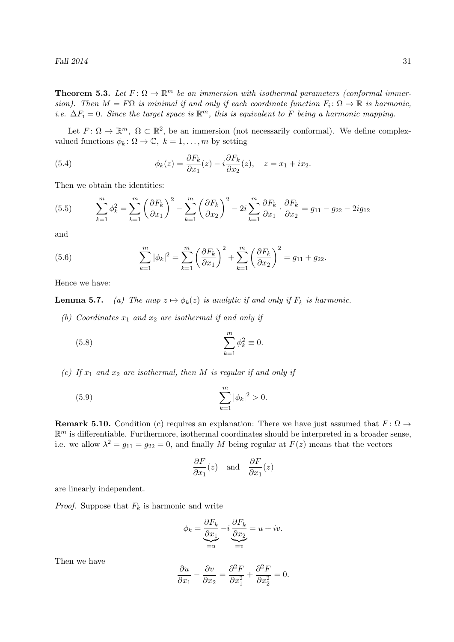#### Fall  $2014$  31

**Theorem 5.3.** Let  $F: \Omega \to \mathbb{R}^m$  be an immersion with isothermal parameters (conformal immersion). Then  $M = F\Omega$  is minimal if and only if each coordinate function  $F_i : \Omega \to \mathbb{R}$  is harmonic, i.e.  $\Delta F_i = 0$ . Since the target space is  $\mathbb{R}^m$ , this is equivalent to F being a harmonic mapping.

Let  $F: \Omega \to \mathbb{R}^m$ ,  $\Omega \subset \mathbb{R}^2$ , be an immersion (not necessarily conformal). We define complexvalued functions  $\phi_k : \Omega \to \mathbb{C}, k = 1, \ldots, m$  by setting

(5.4) 
$$
\phi_k(z) = \frac{\partial F_k}{\partial x_1}(z) - i \frac{\partial F_k}{\partial x_2}(z), \quad z = x_1 + ix_2.
$$

Then we obtain the identities:

(5.5) 
$$
\sum_{k=1}^{m} \phi_k^2 = \sum_{k=1}^{m} \left(\frac{\partial F_k}{\partial x_1}\right)^2 - \sum_{k=1}^{m} \left(\frac{\partial F_k}{\partial x_2}\right)^2 - 2i \sum_{k=1}^{m} \frac{\partial F_k}{\partial x_1} \cdot \frac{\partial F_k}{\partial x_2} = g_{11} - g_{22} - 2ig_{12}
$$

and

(5.6) 
$$
\sum_{k=1}^{m} |\phi_k|^2 = \sum_{k=1}^{m} \left(\frac{\partial F_k}{\partial x_1}\right)^2 + \sum_{k=1}^{m} \left(\frac{\partial F_k}{\partial x_2}\right)^2 = g_{11} + g_{22}.
$$

Hence we have:

**Lemma 5.7.** (a) The map  $z \mapsto \phi_k(z)$  is analytic if and only if  $F_k$  is harmonic.

(b) Coordinates  $x_1$  and  $x_2$  are isothermal if and only if

(5.8) 
$$
\sum_{k=1}^{m} \phi_k^2 \equiv 0.
$$

(c) If  $x_1$  and  $x_2$  are isothermal, then M is regular if and only if

(5.9) 
$$
\sum_{k=1}^{m} |\phi_k|^2 > 0.
$$

**Remark 5.10.** Condition (c) requires an explanation: There we have just assumed that  $F: \Omega \to$  $\mathbb{R}^m$  is differentiable. Furthermore, isothermal coordinates should be interpreted in a broader sense, i.e. we allow  $\lambda^2 = g_{11} = g_{22} = 0$ , and finally M being regular at  $F(z)$  means that the vectors

$$
\frac{\partial F}{\partial x_1}(z)
$$
 and  $\frac{\partial F}{\partial x_1}(z)$ 

are linearly independent.

*Proof.* Suppose that  $F_k$  is harmonic and write

$$
\phi_k = \underbrace{\frac{\partial F_k}{\partial x_1}}_{=u} - i \underbrace{\frac{\partial F_k}{\partial x_2}}_{=v} = u + iv.
$$

Then we have

$$
\frac{\partial u}{\partial x_1} - \frac{\partial v}{\partial x_2} = \frac{\partial^2 F}{\partial x_1^2} + \frac{\partial^2 F}{\partial x_2^2} = 0.
$$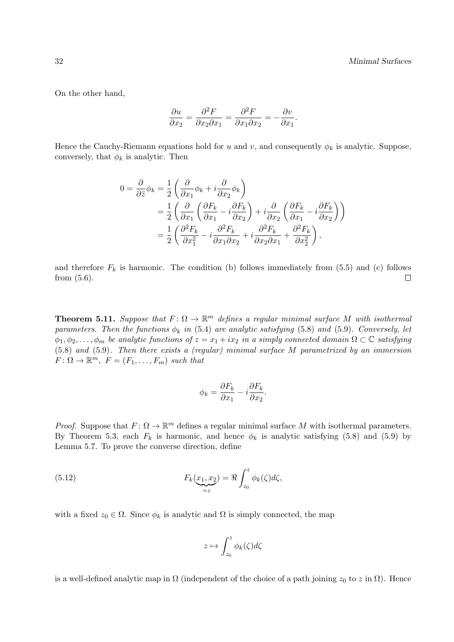On the other hand,

$$
\frac{\partial u}{\partial x_2} = \frac{\partial^2 F}{\partial x_2 \partial x_1} = \frac{\partial^2 F}{\partial x_1 \partial x_2} = -\frac{\partial v}{\partial x_1}.
$$

Hence the Cauchy-Riemann equations hold for u and v, and consequently  $\phi_k$  is analytic. Suppose, conversely, that  $\phi_k$  is analytic. Then

$$
0 = \frac{\partial}{\partial \bar{z}} \phi_k = \frac{1}{2} \left( \frac{\partial}{\partial x_1} \phi_k + i \frac{\partial}{\partial x_2} \phi_k \right)
$$
  
=  $\frac{1}{2} \left( \frac{\partial}{\partial x_1} \left( \frac{\partial F_k}{\partial x_1} - i \frac{\partial F_k}{\partial x_2} \right) + i \frac{\partial}{\partial x_2} \left( \frac{\partial F_k}{\partial x_1} - i \frac{\partial F_k}{\partial x_2} \right) \right)$   
=  $\frac{1}{2} \left( \frac{\partial^2 F_k}{\partial x_1^2} - i \frac{\partial^2 F_k}{\partial x_1 \partial x_2} + i \frac{\partial^2 F_k}{\partial x_2 \partial x_1} + \frac{\partial^2 F_k}{\partial x_2^2} \right),$ 

and therefore  $F_k$  is harmonic. The condition (b) follows immediately from (5.5) and (c) follows from (5.6).  $\Box$ 

**Theorem 5.11.** Suppose that  $F: \Omega \to \mathbb{R}^m$  defines a regular minimal surface M with isothermal parameters. Then the functions  $\phi_k$  in (5.4) are analytic satisfying (5.8) and (5.9). Conversely, let  $\phi_1, \phi_2, \ldots, \phi_m$  be analytic functions of  $z = x_1 + ix_2$  in a simply connected domain  $\Omega \subset \mathbb{C}$  satisfying (5.8) and (5.9). Then there exists a (regular) minimal surface M parametrized by an immersion  $F: \Omega \to \mathbb{R}^m$ ,  $F = (F_1, \ldots, F_m)$  such that

$$
\phi_k = \frac{\partial F_k}{\partial x_1} - i \frac{\partial F_k}{\partial x_2}.
$$

*Proof.* Suppose that  $F: \Omega \to \mathbb{R}^m$  defines a regular minimal surface M with isothermal parameters. By Theorem 5.3, each  $F_k$  is harmonic, and hence  $\phi_k$  is analytic satisfying (5.8) and (5.9) by Lemma 5.7. To prove the converse direction, define

(5.12) 
$$
F_k(\underline{x}_1, \underline{x}_2) = \Re \int_{z_0}^z \phi_k(\zeta) d\zeta,
$$

with a fixed  $z_0 \in \Omega$ . Since  $\phi_k$  is analytic and  $\Omega$  is simply connected, the map

$$
z \mapsto \int_{z_0}^z \phi_k(\zeta) d\zeta
$$

is a well-defined analytic map in  $\Omega$  (independent of the choice of a path joining  $z_0$  to  $z$  in  $\Omega$ ). Hence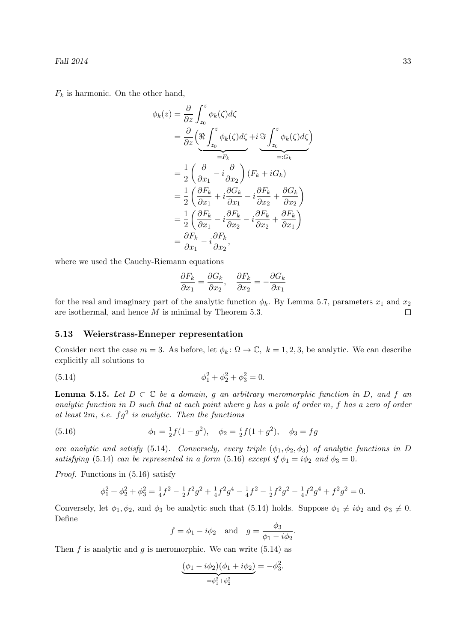$F_k$  is harmonic. On the other hand,

$$
\phi_k(z) = \frac{\partial}{\partial z} \int_{z_0}^z \phi_k(\zeta) d\zeta
$$
  
\n
$$
= \frac{\partial}{\partial z} \left( \underbrace{\Re \int_{z_0}^z \phi_k(\zeta) d\zeta}_{=F_k} + i \underbrace{\Im \int_{z_0}^z \phi_k(\zeta) d\zeta}_{=:G_k} \right)
$$
  
\n
$$
= \frac{1}{2} \left( \frac{\partial}{\partial x_1} - i \frac{\partial}{\partial x_2} \right) (F_k + iG_k)
$$
  
\n
$$
= \frac{1}{2} \left( \frac{\partial F_k}{\partial x_1} + i \frac{\partial G_k}{\partial x_1} - i \frac{\partial F_k}{\partial x_2} + \frac{\partial G_k}{\partial x_2} \right)
$$
  
\n
$$
= \frac{1}{2} \left( \frac{\partial F_k}{\partial x_1} - i \frac{\partial F_k}{\partial x_2} - i \frac{\partial F_k}{\partial x_2} + \frac{\partial F_k}{\partial x_1} \right)
$$
  
\n
$$
= \frac{\partial F_k}{\partial x_1} - i \frac{\partial F_k}{\partial x_2},
$$

where we used the Cauchy-Riemann equations

$$
\frac{\partial F_k}{\partial x_1} = \frac{\partial G_k}{\partial x_2}, \quad \frac{\partial F_k}{\partial x_2} = -\frac{\partial G_k}{\partial x_1}
$$

for the real and imaginary part of the analytic function  $\phi_k$ . By Lemma 5.7, parameters  $x_1$  and  $x_2$ are isothermal, and hence M is minimal by Theorem 5.3.  $\Box$ 

### 5.13 Weierstrass-Enneper representation

Consider next the case  $m = 3$ . As before, let  $\phi_k : \Omega \to \mathbb{C}$ ,  $k = 1, 2, 3$ , be analytic. We can describe explicitly all solutions to

(5.14) 
$$
\phi_1^2 + \phi_2^2 + \phi_3^2 = 0.
$$

**Lemma 5.15.** Let  $D \subset \mathbb{C}$  be a domain, g an arbitrary meromorphic function in D, and f an analytic function in D such that at each point where g has a pole of order m, f has a zero of order at least  $2m$ , i.e.  $fg^2$  is analytic. Then the functions

(5.16) 
$$
\phi_1 = \frac{1}{2}f(1-g^2), \quad \phi_2 = \frac{i}{2}f(1+g^2), \quad \phi_3 = fg
$$

are analytic and satisfy (5.14). Conversely, every triple  $(\phi_1, \phi_2, \phi_3)$  of analytic functions in D satisfying (5.14) can be represented in a form (5.16) except if  $\phi_1 = i\phi_2$  and  $\phi_3 = 0$ .

Proof. Functions in (5.16) satisfy

$$
\phi_1^2 + \phi_2^2 + \phi_3^2 = \frac{1}{4}f^2 - \frac{1}{2}f^2g^2 + \frac{1}{4}f^2g^4 - \frac{1}{4}f^2 - \frac{1}{2}f^2g^2 - \frac{1}{4}f^2g^4 + f^2g^2 = 0.
$$

Conversely, let  $\phi_1, \phi_2$ , and  $\phi_3$  be analytic such that (5.14) holds. Suppose  $\phi_1 \not\equiv i\phi_2$  and  $\phi_3 \not\equiv 0$ . Define

$$
f = \phi_1 - i\phi_2
$$
 and  $g = \frac{\phi_3}{\phi_1 - i\phi_2}$ 

.

Then f is analytic and g is meromorphic. We can write  $(5.14)$  as

$$
\underbrace{(\phi_1 - i\phi_2)(\phi_1 + i\phi_2)}_{=\phi_1^2 + \phi_2^2} = -\phi_3^2.
$$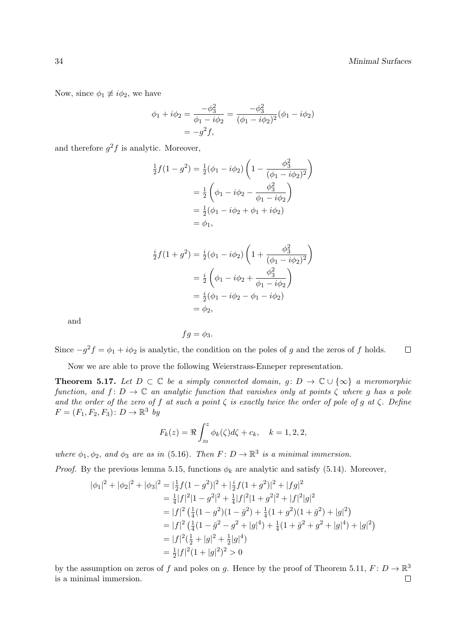Now, since  $\phi_1 \not\equiv i\phi_2$ , we have

$$
\phi_1 + i\phi_2 = \frac{-\phi_3^2}{\phi_1 - i\phi_2} = \frac{-\phi_3^2}{(\phi_1 - i\phi_2)^2}(\phi_1 - i\phi_2)
$$

$$
= -g^2 f,
$$

and therefore  $g^2 f$  is analytic. Moreover,

$$
\frac{1}{2}f(1-g^2) = \frac{1}{2}(\phi_1 - i\phi_2)\left(1 - \frac{\phi_3^2}{(\phi_1 - i\phi_2)^2}\right)
$$

$$
= \frac{1}{2}\left(\phi_1 - i\phi_2 - \frac{\phi_3^2}{\phi_1 - i\phi_2}\right)
$$

$$
= \frac{1}{2}(\phi_1 - i\phi_2 + \phi_1 + i\phi_2)
$$

$$
= \phi_1,
$$

$$
\frac{i}{2}f(1+g^2) = \frac{i}{2}(\phi_1 - i\phi_2)\left(1 + \frac{\phi_3^2}{(\phi_1 - i\phi_2)^2}\right)
$$

$$
= \frac{i}{2}\left(\phi_1 - i\phi_2 + \frac{\phi_3^2}{\phi_1 - i\phi_2}\right)
$$

$$
= \frac{i}{2}(\phi_1 - i\phi_2 - \phi_1 - i\phi_2)
$$

$$
= \phi_2,
$$

and

$$
fg=\phi_3.
$$

Since  $-g^2 f = \phi_1 + i \phi_2$  is analytic, the condition on the poles of g and the zeros of f holds.  $\Box$ 

Now we are able to prove the following Weierstrass-Enneper representation.

**Theorem 5.17.** Let  $D \subset \mathbb{C}$  be a simply connected domain,  $g: D \to \mathbb{C} \cup \{\infty\}$  a meromorphic function, and  $f: D \to \mathbb{C}$  an analytic function that vanishes only at points  $\zeta$  where g has a pole and the order of the zero of f at such a point  $\zeta$  is exactly twice the order of pole of g at  $\zeta$ . Define  $F = (F_1, F_2, F_3) : D \to \mathbb{R}^3$  by

$$
F_k(z) = \Re \int_{z_0}^z \phi_k(\zeta) d\zeta + c_k, \quad k = 1, 2, 2,
$$

 $\alpha$ 

where  $\phi_1, \phi_2$ , and  $\phi_3$  are as in (5.16). Then  $F: D \to \mathbb{R}^3$  is a minimal immersion.

*Proof.* By the previous lemma 5.15, functions  $\phi_k$  are analytic and satisfy (5.14). Moreover,

$$
|\phi_1|^2 + |\phi_2|^2 + |\phi_3|^2 = |\frac{1}{2}f(1-g^2)|^2 + |\frac{i}{2}f(1+g^2)|^2 + |fg|^2
$$
  
\n
$$
= \frac{1}{4}|f|^2|1-g^2|^2 + \frac{1}{4}|f|^2|1+g^2|^2 + |f|^2|g|^2
$$
  
\n
$$
= |f|^2(\frac{1}{4}(1-g^2)(1-\bar{g}^2) + \frac{1}{4}(1+g^2)(1+\bar{g}^2) + |g|^2)
$$
  
\n
$$
= |f|^2(\frac{1}{4}(1-\bar{g}^2-g^2+|g|^4) + \frac{1}{4}(1+\bar{g}^2+g^2+|g|^4) + |g|^2)
$$
  
\n
$$
= |f|^2(\frac{1}{2}+|g|^2+\frac{1}{2}|g|^4)
$$
  
\n
$$
= \frac{1}{2}|f|^2(1+|g|^2)^2 > 0
$$

by the assumption on zeros of f and poles on g. Hence by the proof of Theorem 5.11,  $F: D \to \mathbb{R}^3$ is a minimal immersion. $\Box$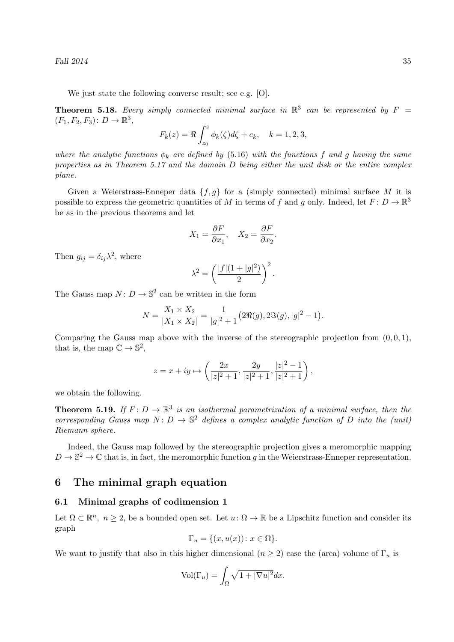Fall  $2014$  35

We just state the following converse result; see e.g. [O].

**Theorem 5.18.** Every simply connected minimal surface in  $\mathbb{R}^3$  can be represented by  $F =$  $(F_1, F_2, F_3) : D \to \mathbb{R}^3,$ 

$$
F_k(z) = \Re \int_{z_0}^z \phi_k(\zeta) d\zeta + c_k, \quad k = 1, 2, 3,
$$

where the analytic functions  $\phi_k$  are defined by (5.16) with the functions f and g having the same properties as in Theorem 5.17 and the domain  $D$  being either the unit disk or the entire complex plane.

Given a Weierstrass-Enneper data  $\{f, g\}$  for a (simply connected) minimal surface M it is possible to express the geometric quantities of M in terms of f and g only. Indeed, let  $F: D \to \mathbb{R}^3$ be as in the previous theorems and let

$$
X_1 = \frac{\partial F}{\partial x_1}, \quad X_2 = \frac{\partial F}{\partial x_2}.
$$

Then  $g_{ij} = \delta_{ij} \lambda^2$ , where

$$
\lambda^2 = \left(\frac{|f|(1+|g|^2)}{2}\right)^2.
$$

The Gauss map  $N: D \to \mathbb{S}^2$  can be written in the form

$$
N = \frac{X_1 \times X_2}{|X_1 \times X_2|} = \frac{1}{|g|^2 + 1} (2\Re(g), 2\Im(g), |g|^2 - 1).
$$

Comparing the Gauss map above with the inverse of the stereographic projection from  $(0, 0, 1)$ , that is, the map  $\mathbb{C} \to \mathbb{S}^2$ ,

$$
z = x + iy \mapsto \left(\frac{2x}{|z|^2 + 1}, \frac{2y}{|z|^2 + 1}, \frac{|z|^2 - 1}{|z|^2 + 1}\right),\,
$$

we obtain the following.

**Theorem 5.19.** If  $F: D \to \mathbb{R}^3$  is an isothermal parametrization of a minimal surface, then the corresponding Gauss map  $N: D \to \mathbb{S}^2$  defines a complex analytic function of D into the (unit) Riemann sphere.

Indeed, the Gauss map followed by the stereographic projection gives a meromorphic mapping  $D \to \mathbb{S}^2 \to \mathbb{C}$  that is, in fact, the meromorphic function g in the Weierstrass-Enneper representation.

### 6 The minimal graph equation

### 6.1 Minimal graphs of codimension 1

Let  $\Omega \subset \mathbb{R}^n$ ,  $n \geq 2$ , be a bounded open set. Let  $u: \Omega \to \mathbb{R}$  be a Lipschitz function and consider its graph

$$
\Gamma_u = \{(x, u(x)) \colon x \in \Omega\}.
$$

We want to justify that also in this higher dimensional  $(n \geq 2)$  case the (area) volume of  $\Gamma_u$  is

$$
\text{Vol}(\Gamma_u) = \int_{\Omega} \sqrt{1 + |\nabla u|^2} dx.
$$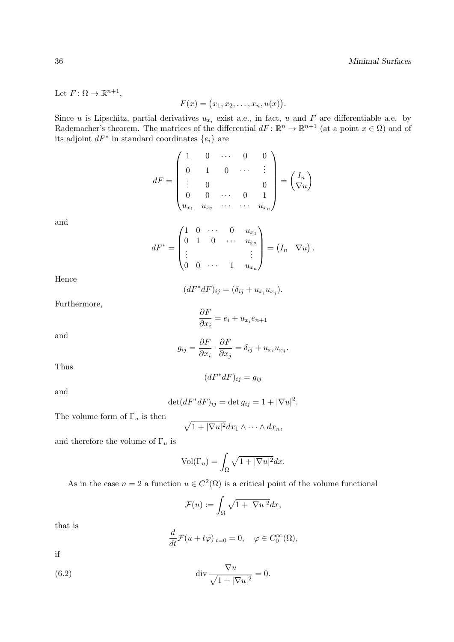Let  $F: \Omega \to \mathbb{R}^{n+1}$ ,

$$
F(x) = (x_1, x_2, \ldots, x_n, u(x))
$$

.

Since u is Lipschitz, partial derivatives  $u_{x_i}$  exist a.e., in fact, u and F are differentiable a.e. by Rademacher's theorem. The matrices of the differential  $dF: \mathbb{R}^n \to \mathbb{R}^{n+1}$  (at a point  $x \in \Omega$ ) and of its adjoint  $dF^*$  in standard coordinates  $\{e_i\}$  are

$$
dF = \begin{pmatrix} 1 & 0 & \cdots & 0 & 0 \\ 0 & 1 & 0 & \cdots & \vdots \\ \vdots & 0 & & & 0 \\ 0 & 0 & \cdots & 0 & 1 \\ u_{x_1} & u_{x_2} & \cdots & \cdots & u_{x_n} \end{pmatrix} = \begin{pmatrix} I_n \\ \nabla u \end{pmatrix}
$$

and

$$
dF^* = \begin{pmatrix} 1 & 0 & \cdots & 0 & u_{x_1} \\ 0 & 1 & 0 & \cdots & u_{x_2} \\ \vdots & & & \vdots \\ 0 & 0 & \cdots & 1 & u_{x_n} \end{pmatrix} = (I_n \quad \nabla u).
$$

Hence

$$
(dF^*dF)_{ij} = (\delta_{ij} + u_{x_i}u_{x_j}).
$$

Furthermore,

$$
\frac{\partial F}{\partial x_i} = e_i + u_{x_i} e_{n+1}
$$

and

$$
g_{ij} = \frac{\partial F}{\partial x_i} \cdot \frac{\partial F}{\partial x_j} = \delta_{ij} + u_{x_i} u_{x_j}.
$$

Thus

and

$$
\det(dF^*dF)_{ij} = \det g_{ij} = 1 + |\nabla u|^2.
$$

 $(dF^*dF)_{ij} = g_{ij}$ 

The volume form of  $\Gamma_u$  is then

$$
\sqrt{1+|\nabla u|^2}dx_1\wedge\cdots\wedge dx_n,
$$

and therefore the volume of  $\Gamma_u$  is

$$
Vol(\Gamma_u) = \int_{\Omega} \sqrt{1 + |\nabla u|^2} dx.
$$

As in the case  $n = 2$  a function  $u \in C^2(\Omega)$  is a critical point of the volume functional

$$
\mathcal{F}(u) := \int_{\Omega} \sqrt{1 + |\nabla u|^2} dx,
$$

that is

$$
\frac{d}{dt}\mathcal{F}(u+t\varphi)|_{t=0}=0, \quad \varphi \in C_0^{\infty}(\Omega),
$$

if

(6.2) 
$$
\operatorname{div} \frac{\nabla u}{\sqrt{1+|\nabla u|^2}} = 0.
$$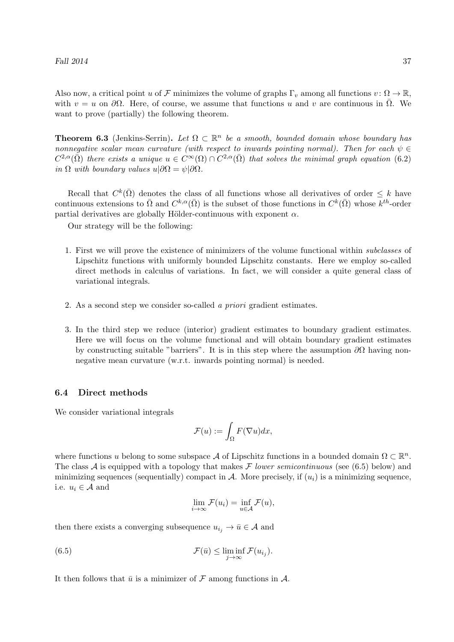Also now, a critical point u of F minimizes the volume of graphs  $\Gamma_v$  among all functions  $v: \Omega \to \mathbb{R}$ , with  $v = u$  on  $\partial\Omega$ . Here, of course, we assume that functions u and v are continuous in  $\overline{\Omega}$ . We want to prove (partially) the following theorem.

**Theorem 6.3** (Jenkins-Serrin). Let  $\Omega \subset \mathbb{R}^n$  be a smooth, bounded domain whose boundary has nonnegative scalar mean curvature (with respect to inwards pointing normal). Then for each  $\psi \in$  $C^{2,\alpha}(\bar{\Omega})$  there exists a unique  $u \in C^{\infty}(\Omega) \cap C^{2,\alpha}(\bar{\Omega})$  that solves the minimal graph equation (6.2) in  $\Omega$  with boundary values  $u|\partial\Omega = \psi|\partial\Omega$ .

Recall that  $C^k(\overline{\Omega})$  denotes the class of all functions whose all derivatives of order  $\leq k$  have continuous extensions to  $\overline{\Omega}$  and  $C^{k,\alpha}(\overline{\Omega})$  is the subset of those functions in  $C^k(\overline{\Omega})$  whose  $k^{th}$ -order partial derivatives are globally Hölder-continuous with exponent  $\alpha$ .

Our strategy will be the following:

- 1. First we will prove the existence of minimizers of the volume functional within subclasses of Lipschitz functions with uniformly bounded Lipschitz constants. Here we employ so-called direct methods in calculus of variations. In fact, we will consider a quite general class of variational integrals.
- 2. As a second step we consider so-called a priori gradient estimates.
- 3. In the third step we reduce (interior) gradient estimates to boundary gradient estimates. Here we will focus on the volume functional and will obtain boundary gradient estimates by constructing suitable "barriers". It is in this step where the assumption  $\partial\Omega$  having nonnegative mean curvature (w.r.t. inwards pointing normal) is needed.

#### 6.4 Direct methods

We consider variational integrals

$$
\mathcal{F}(u) := \int_{\Omega} F(\nabla u) dx,
$$

where functions u belong to some subspace A of Lipschitz functions in a bounded domain  $\Omega \subset \mathbb{R}^n$ . The class A is equipped with a topology that makes F lower semicontinuous (see  $(6.5)$  below) and minimizing sequences (sequentially) compact in  $A$ . More precisely, if  $(u_i)$  is a minimizing sequence, i.e.  $u_i \in \mathcal{A}$  and

$$
\lim_{i \to \infty} \mathcal{F}(u_i) = \inf_{u \in \mathcal{A}} \mathcal{F}(u),
$$

then there exists a converging subsequence  $u_{i_j} \to \bar{u} \in \mathcal{A}$  and

(6.5) 
$$
\mathcal{F}(\bar{u}) \leq \liminf_{j \to \infty} \mathcal{F}(u_{i_j}).
$$

It then follows that  $\bar{u}$  is a minimizer of  $\mathcal F$  among functions in  $\mathcal A$ .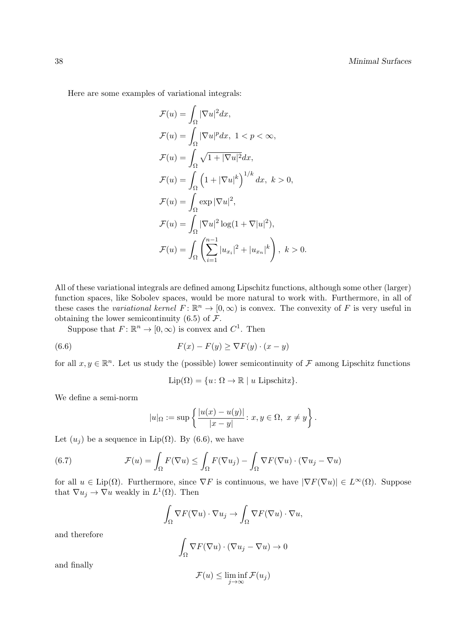Here are some examples of variational integrals:

$$
\mathcal{F}(u) = \int_{\Omega} |\nabla u|^2 dx,
$$
  
\n
$$
\mathcal{F}(u) = \int_{\Omega} |\nabla u|^p dx, \quad 1 < p < \infty,
$$
  
\n
$$
\mathcal{F}(u) = \int_{\Omega} \sqrt{1 + |\nabla u|^2} dx,
$$
  
\n
$$
\mathcal{F}(u) = \int_{\Omega} \left( 1 + |\nabla u|^k \right)^{1/k} dx, \quad k > 0,
$$
  
\n
$$
\mathcal{F}(u) = \int_{\Omega} \exp |\nabla u|^2,
$$
  
\n
$$
\mathcal{F}(u) = \int_{\Omega} |\nabla u|^2 \log(1 + \nabla |u|^2),
$$
  
\n
$$
\mathcal{F}(u) = \int_{\Omega} \left( \sum_{i=1}^{n-1} |u_{x_i}|^2 + |u_{x_n}|^k \right), \quad k > 0.
$$

All of these variational integrals are defined among Lipschitz functions, although some other (larger) function spaces, like Sobolev spaces, would be more natural to work with. Furthermore, in all of these cases the variational kernel  $F: \mathbb{R}^n \to [0, \infty)$  is convex. The convexity of F is very useful in obtaining the lower semicontinuity  $(6.5)$  of  $\mathcal{F}$ .

Suppose that  $F: \mathbb{R}^n \to [0, \infty)$  is convex and  $C^1$ . Then

(6.6) 
$$
F(x) - F(y) \geq \nabla F(y) \cdot (x - y)
$$

for all  $x, y \in \mathbb{R}^n$ . Let us study the (possible) lower semicontinuity of F among Lipschitz functions

$$
Lip(\Omega) = \{u \colon \Omega \to \mathbb{R} \mid u \text{ Lipschitz}\}.
$$

We define a semi-norm

$$
|u|_{\Omega} := \sup \left\{ \frac{|u(x) - u(y)|}{|x - y|} : x, y \in \Omega, \ x \neq y \right\}.
$$

Let  $(u_i)$  be a sequence in Lip( $\Omega$ ). By (6.6), we have

(6.7) 
$$
\mathcal{F}(u) = \int_{\Omega} F(\nabla u) \le \int_{\Omega} F(\nabla u_j) - \int_{\Omega} \nabla F(\nabla u) \cdot (\nabla u_j - \nabla u)
$$

for all  $u \in \text{Lip}(\Omega)$ . Furthermore, since  $\nabla F$  is continuous, we have  $|\nabla F(\nabla u)| \in L^{\infty}(\Omega)$ . Suppose that  $\nabla u_j \to \nabla u$  weakly in  $L^1(\Omega)$ . Then

$$
\int_{\Omega} \nabla F(\nabla u) \cdot \nabla u_j \to \int_{\Omega} \nabla F(\nabla u) \cdot \nabla u,
$$

and therefore

$$
\int_{\Omega} \nabla F(\nabla u) \cdot (\nabla u_j - \nabla u) \to 0
$$

and finally

$$
\mathcal{F}(u) \le \liminf_{j \to \infty} \mathcal{F}(u_j)
$$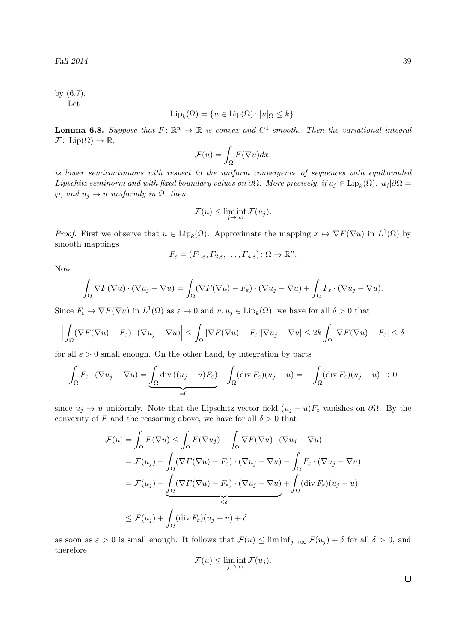by (6.7). Let

$$
\mathrm{Lip}_k(\Omega) = \{ u \in \mathrm{Lip}(\Omega) \colon |u|_{\Omega} \le k \}.
$$

**Lemma 6.8.** Suppose that  $F: \mathbb{R}^n \to \mathbb{R}$  is convex and  $C^1$ -smooth. Then the variational integral  $\mathcal{F}$ : Lip( $\Omega$ )  $\rightarrow \mathbb{R}$ ,

$$
\mathcal{F}(u) = \int_{\Omega} F(\nabla u) dx,
$$

is lower semicontinuous with respect to the uniform convergence of sequences with equibounded Lipschitz seminorm and with fixed boundary values on  $\partial\Omega$ . More precisely, if  $u_j \in \mathrm{Lip}_k(\bar{\Omega})$ ,  $u_j|\partial\Omega =$  $\varphi$ , and  $u_j \to u$  uniformly in  $\Omega$ , then

$$
\mathcal{F}(u) \le \liminf_{j \to \infty} \mathcal{F}(u_j).
$$

*Proof.* First we observe that  $u \in \text{Lip}_k(\Omega)$ . Approximate the mapping  $x \mapsto \nabla F(\nabla u)$  in  $L^1(\Omega)$  by smooth mappings

$$
F_{\varepsilon} = (F_{1,\varepsilon}, F_{2,\varepsilon}, \dots, F_{n,\varepsilon}) \colon \Omega \to \mathbb{R}^n.
$$

Now

$$
\int_{\Omega} \nabla F(\nabla u) \cdot (\nabla u_j - \nabla u) = \int_{\Omega} (\nabla F(\nabla u) - F_{\varepsilon}) \cdot (\nabla u_j - \nabla u) + \int_{\Omega} F_{\varepsilon} \cdot (\nabla u_j - \nabla u).
$$

Since  $F_{\varepsilon} \to \nabla F(\nabla u)$  in  $L^1(\Omega)$  as  $\varepsilon \to 0$  and  $u, u_j \in \text{Lip}_k(\Omega)$ , we have for all  $\delta > 0$  that

$$
\left| \int_{\Omega} (\nabla F(\nabla u) - F_{\varepsilon}) \cdot (\nabla u_j - \nabla u) \right| \leq \int_{\Omega} |\nabla F(\nabla u) - F_{\varepsilon}| |\nabla u_j - \nabla u| \leq 2k \int_{\Omega} |\nabla F(\nabla u) - F_{\varepsilon}| \leq \delta
$$

for all  $\varepsilon > 0$  small enough. On the other hand, by integration by parts

$$
\int_{\Omega} F_{\varepsilon} \cdot (\nabla u_j - \nabla u) = \underbrace{\int_{\Omega} \text{div} \left( (u_j - u) F_{\varepsilon} \right)}_{=0} - \int_{\Omega} (\text{div } F_{\varepsilon}) (u_j - u) = - \int_{\Omega} (\text{div } F_{\varepsilon}) (u_j - u) \to 0
$$

since  $u_j \to u$  uniformly. Note that the Lipschitz vector field  $(u_j - u)F_\varepsilon$  vanishes on  $\partial\Omega$ . By the convexity of F and the reasoning above, we have for all  $\delta > 0$  that

$$
\mathcal{F}(u) = \int_{\Omega} F(\nabla u) \le \int_{\Omega} F(\nabla u_j) - \int_{\Omega} \nabla F(\nabla u) \cdot (\nabla u_j - \nabla u)
$$
  
\n
$$
= \mathcal{F}(u_j) - \int_{\Omega} (\nabla F(\nabla u) - F_{\varepsilon}) \cdot (\nabla u_j - \nabla u) - \int_{\Omega} F_{\varepsilon} \cdot (\nabla u_j - \nabla u)
$$
  
\n
$$
= \mathcal{F}(u_j) - \underbrace{\int_{\Omega} (\nabla F(\nabla u) - F_{\varepsilon}) \cdot (\nabla u_j - \nabla u)}_{\leq \delta} + \int_{\Omega} (\text{div } F_{\varepsilon}) (u_j - u)
$$
  
\n
$$
\leq \mathcal{F}(u_j) + \int_{\Omega} (\text{div } F_{\varepsilon}) (u_j - u) + \delta
$$

as soon as  $\varepsilon > 0$  is small enough. It follows that  $\mathcal{F}(u) \leq \liminf_{j \to \infty} \mathcal{F}(u_j) + \delta$  for all  $\delta > 0$ , and therefore

$$
\mathcal{F}(u) \le \liminf_{j \to \infty} \mathcal{F}(u_j).
$$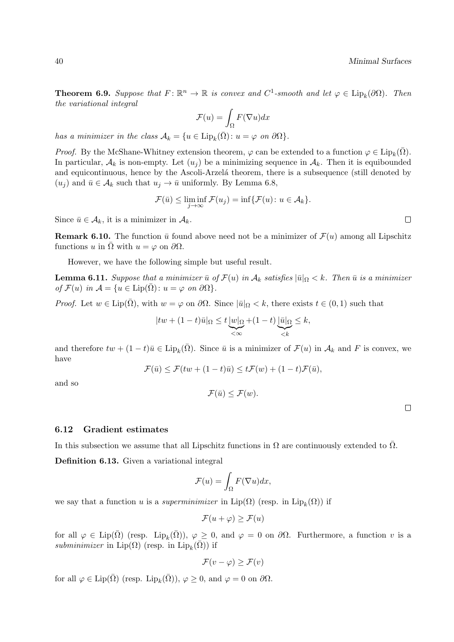**Theorem 6.9.** Suppose that  $F: \mathbb{R}^n \to \mathbb{R}$  is convex and  $C^1$ -smooth and let  $\varphi \in \text{Lip}_k(\partial \Omega)$ . Then the variational integral

$$
\mathcal{F}(u) = \int_{\Omega} F(\nabla u) dx
$$

has a minimizer in the class  $A_k = \{u \in \text{Lip}_k(\bar{\Omega}) : u = \varphi \text{ on } \partial \Omega\}.$ 

*Proof.* By the McShane-Whitney extension theorem,  $\varphi$  can be extended to a function  $\varphi \in \text{Lip}_k(\bar{\Omega})$ . In particular,  $A_k$  is non-empty. Let  $(u_i)$  be a minimizing sequence in  $A_k$ . Then it is equibounded and equicontinuous, hence by the Ascoli-Arzelá theorem, there is a subsequence (still denoted by  $(u_i)$  and  $\bar{u} \in A_k$  such that  $u_j \to \bar{u}$  uniformly. By Lemma 6.8,

$$
\mathcal{F}(\bar{u}) \le \liminf_{j \to \infty} \mathcal{F}(u_j) = \inf \{ \mathcal{F}(u) \colon u \in \mathcal{A}_k \}.
$$

Since  $\bar{u} \in \mathcal{A}_k$ , it is a minimizer in  $\mathcal{A}_k$ .

**Remark 6.10.** The function  $\bar{u}$  found above need not be a minimizer of  $\mathcal{F}(u)$  among all Lipschitz functions u in  $\Omega$  with  $u = \varphi$  on  $\partial \Omega$ .

However, we have the following simple but useful result.

**Lemma 6.11.** Suppose that a minimizer  $\bar{u}$  of  $\mathcal{F}(u)$  in  $\mathcal{A}_k$  satisfies  $|\bar{u}|_{\Omega} < k$ . Then  $\bar{u}$  is a minimizer of  $\mathcal{F}(u)$  in  $\mathcal{A} = \{u \in \text{Lip}(\Omega) : u = \varphi \text{ on } \partial\Omega\}.$ 

*Proof.* Let  $w \in \text{Lip}(\overline{\Omega})$ , with  $w = \varphi$  on  $\partial \Omega$ . Since  $|\overline{u}|_{\Omega} < k$ , there exists  $t \in (0,1)$  such that

$$
|tw + (1-t)\bar{u}|_{\Omega} \le t \underbrace{|w|_{\Omega}}_{\le \infty} + (1-t) \underbrace{|\bar{u}|_{\Omega}}_{\le k} \le k,
$$

and therefore  $tw + (1-t)\overline{u} \in \text{Lip}_k(\overline{\Omega})$ . Since  $\overline{u}$  is a minimizer of  $\mathcal{F}(u)$  in  $\mathcal{A}_k$  and F is convex, we have

$$
\mathcal{F}(\bar{u}) \le \mathcal{F}(tw + (1-t)\bar{u}) \le t\mathcal{F}(w) + (1-t)\mathcal{F}(\bar{u}),
$$

and so

$$
\mathcal{F}(\bar{u}) \leq \mathcal{F}(w).
$$

6.12 Gradient estimates

In this subsection we assume that all Lipschitz functions in  $\Omega$  are continuously extended to  $\Omega$ .

Definition 6.13. Given a variational integral

$$
\mathcal{F}(u) = \int_{\Omega} F(\nabla u) dx,
$$

we say that a function u is a *superminimizer* in  $\text{Lip}(\Omega)$  (resp. in  $\text{Lip}_k(\Omega)$ ) if

$$
\mathcal{F}(u+\varphi) \ge \mathcal{F}(u)
$$

for all  $\varphi \in \text{Lip}(\overline{\Omega})$  (resp.  $\text{Lip}_k(\overline{\Omega})$ ),  $\varphi \geq 0$ , and  $\varphi = 0$  on  $\partial \Omega$ . Furthermore, a function v is a subminimizer in  $\text{Lip}(\Omega)$  (resp. in  $\text{Lip}_k(\overline{\Omega})$ ) if

$$
\mathcal{F}(v - \varphi) \ge \mathcal{F}(v)
$$

for all  $\varphi \in \text{Lip}(\bar{\Omega})$  (resp.  $\text{Lip}_k(\bar{\Omega})$ ),  $\varphi \geq 0$ , and  $\varphi = 0$  on  $\partial \Omega$ .

 $\Box$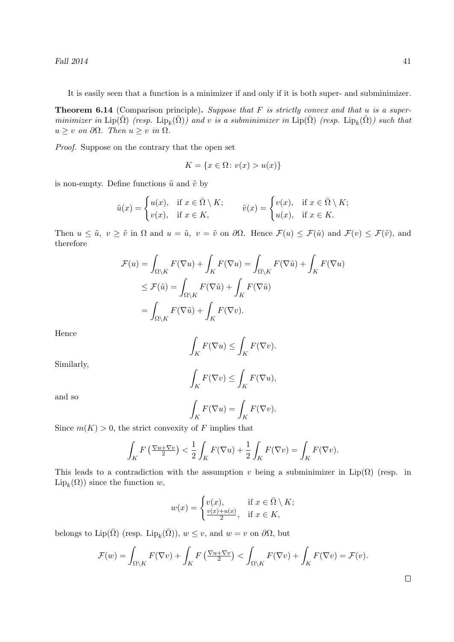Fall  $2014$  41

It is easily seen that a function is a minimizer if and only if it is both super- and subminimizer.

**Theorem 6.14** (Comparison principle). Suppose that  $F$  is strictly convex and that u is a superminimizer in  $\mathrm{Lip}(\bar{\Omega})$  (resp.  $\mathrm{Lip}_k(\bar{\Omega})$ ) and v is a subminimizer in  $\mathrm{Lip}(\bar{\Omega})$  (resp.  $\mathrm{Lip}_k(\bar{\Omega})$ ) such that  $u \geq v$  on  $\partial \Omega$ . Then  $u \geq v$  in  $\Omega$ .

Proof. Suppose on the contrary that the open set

$$
K = \{x \in \Omega \colon v(x) > u(x)\}
$$

is non-empty. Define functions  $\tilde{u}$  and  $\tilde{v}$  by

$$
\tilde{u}(x) = \begin{cases} u(x), & \text{if } x \in \bar{\Omega} \setminus K; \\ v(x), & \text{if } x \in K, \end{cases} \qquad \tilde{v}(x) = \begin{cases} v(x), & \text{if } x \in \bar{\Omega} \setminus K; \\ u(x), & \text{if } x \in K. \end{cases}
$$

Then  $u \leq \tilde{u}$ ,  $v \geq \tilde{v}$  in  $\Omega$  and  $u = \tilde{u}$ ,  $v = \tilde{v}$  on  $\partial\Omega$ . Hence  $\mathcal{F}(u) \leq \mathcal{F}(\tilde{u})$  and  $\mathcal{F}(v) \leq \mathcal{F}(\tilde{v})$ , and therefore

$$
\mathcal{F}(u) = \int_{\Omega \setminus K} F(\nabla u) + \int_K F(\nabla u) = \int_{\Omega \setminus K} F(\nabla \tilde{u}) + \int_K F(\nabla u)
$$
  
\n
$$
\leq \mathcal{F}(\tilde{u}) = \int_{\Omega \setminus K} F(\nabla \tilde{u}) + \int_K F(\nabla \tilde{u})
$$
  
\n
$$
= \int_{\Omega \setminus K} F(\nabla \tilde{u}) + \int_K F(\nabla v).
$$

Hence

$$
\int_K F(\nabla u) \le \int_K F(\nabla v).
$$

Similarly,

$$
\int_K F(\nabla v) \le \int_K F(\nabla u),
$$

and so

$$
\int_K F(\nabla u) = \int_K F(\nabla v).
$$

Since  $m(K) > 0$ , the strict convexity of F implies that

$$
\int_{K} F\left(\frac{\nabla u + \nabla v}{2}\right) < \frac{1}{2} \int_{K} F(\nabla u) + \frac{1}{2} \int_{K} F(\nabla v) = \int_{K} F(\nabla v).
$$

This leads to a contradiction with the assumption v being a subminimizer in  $Lip(\Omega)$  (resp. in  $\mathrm{Lip}_k(\Omega)$ ) since the function w,

$$
w(x) = \begin{cases} v(x), & \text{if } x \in \bar{\Omega} \setminus K; \\ \frac{v(x) + u(x)}{2}, & \text{if } x \in K, \end{cases}
$$

belongs to Lip( $\bar{\Omega}$ ) (resp. Lip<sub>k</sub>( $\bar{\Omega}$ )),  $w \le v$ , and  $w = v$  on  $\partial \Omega$ , but

$$
\mathcal{F}(w) = \int_{\Omega \setminus K} F(\nabla v) + \int_K F\left(\frac{\nabla u + \nabla v}{2}\right) < \int_{\Omega \setminus K} F(\nabla v) + \int_K F(\nabla v) = \mathcal{F}(v).
$$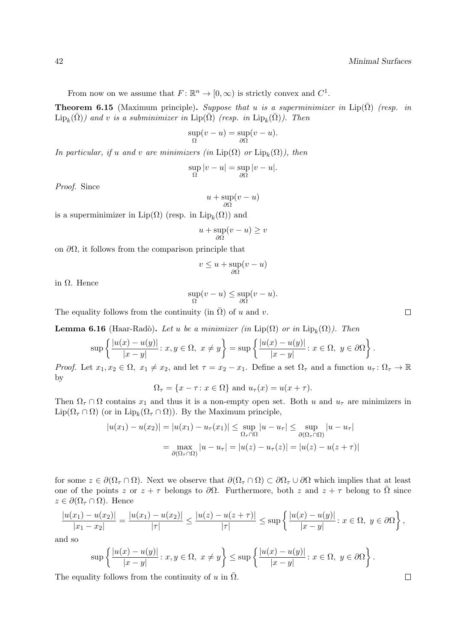From now on we assume that  $F: \mathbb{R}^n \to [0, \infty)$  is strictly convex and  $C^1$ .

**Theorem 6.15** (Maximum principle). Suppose that u is a superminimizer in Lip( $\overline{\Omega}$ ) (resp. in  $\mathrm{Lip}_k(\bar{\Omega})$ ) and v is a subminimizer in  $\mathrm{Lip}(\bar{\Omega})$  (resp. in  $\mathrm{Lip}_k(\bar{\Omega})$ ). Then

$$
\sup_{\Omega}(v-u) = \sup_{\partial\Omega}(v-u).
$$

In particular, if u and v are minimizers (in  $\text{Lip}(\Omega)$  or  $\text{Lip}_k(\Omega)$ ), then

$$
\sup_{\Omega}|v-u|=\sup_{\partial\Omega}|v-u|.
$$

Proof. Since

$$
u + \sup_{\partial \Omega} (v - u)
$$

is a superminimizer in  $\text{Lip}(\Omega)$  (resp. in  $\text{Lip}_k(\Omega)$ ) and

$$
u + \sup_{\partial \Omega} (v - u) \ge v
$$

on  $\partial\Omega$ , it follows from the comparison principle that

$$
v \le u + \sup_{\partial \Omega} (v - u)
$$

in Ω. Hence

$$
\sup_{\Omega}(v-u) \le \sup_{\partial\Omega}(v-u).
$$

The equality follows from the continuity (in  $\overline{\Omega}$ ) of u and v.

**Lemma 6.16** (Haar-Radò). Let u be a minimizer (in  $\text{Lip}(\Omega)$  or in  $\text{Lip}_k(\Omega)$ ). Then

$$
\sup\left\{\frac{|u(x)-u(y)|}{|x-y|}:\,x,y\in\Omega,\,\,x\neq y\right\}=\sup\left\{\frac{|u(x)-u(y)|}{|x-y|}:\,x\in\Omega,\,\,y\in\partial\Omega\right\}.
$$

*Proof.* Let  $x_1, x_2 \in \Omega$ ,  $x_1 \neq x_2$ , and let  $\tau = x_2 - x_1$ . Define a set  $\Omega_{\tau}$  and a function  $u_{\tau} : \Omega_{\tau} \to \mathbb{R}$ by

 $\Omega_{\tau} = \{x - \tau : x \in \Omega\}$  and  $u_{\tau}(x) = u(x + \tau)$ .

Then  $\Omega_{\tau} \cap \Omega$  contains  $x_1$  and thus it is a non-empty open set. Both u and  $u_{\tau}$  are minimizers in  $\text{Lip}(\Omega_{\tau} \cap \Omega)$  (or in  $\text{Lip}_k(\Omega_{\tau} \cap \Omega)$ ). By the Maximum principle,

$$
|u(x_1) - u(x_2)| = |u(x_1) - u_\tau(x_1)| \le \sup_{\Omega_\tau \cap \Omega} |u - u_\tau| \le \sup_{\partial(\Omega_\tau \cap \Omega)} |u - u_\tau|
$$
  
= 
$$
\max_{\partial(\Omega_\tau \cap \Omega)} |u - u_\tau| = |u(z) - u_\tau(z)| = |u(z) - u(z + \tau)|
$$

for some  $z \in \partial(\Omega_\tau \cap \Omega)$ . Next we observe that  $\partial(\Omega_\tau \cap \Omega) \subset \partial\Omega_\tau \cup \partial\Omega$  which implies that at least one of the points z or  $z + \tau$  belongs to  $\partial\Omega$ . Furthermore, both z and  $z + \tau$  belong to  $\overline{\Omega}$  since  $z \in \partial(\Omega_\tau \cap \Omega)$ . Hence

$$
\frac{|u(x_1) - u(x_2)|}{|x_1 - x_2|} = \frac{|u(x_1) - u(x_2)|}{|\tau|} \le \frac{|u(z) - u(z + \tau)|}{|\tau|} \le \sup \left\{ \frac{|u(x) - u(y)|}{|x - y|} : x \in \Omega, \ y \in \partial\Omega \right\},\
$$

and so

$$
\sup\left\{\frac{|u(x)-u(y)|}{|x-y|}\colon x,y\in\Omega,\ x\neq y\right\}\leq \sup\left\{\frac{|u(x)-u(y)|}{|x-y|}\colon x\in\Omega,\ y\in\partial\Omega\right\}.
$$

The equality follows from the continuity of u in  $\overline{\Omega}$ .

 $\Box$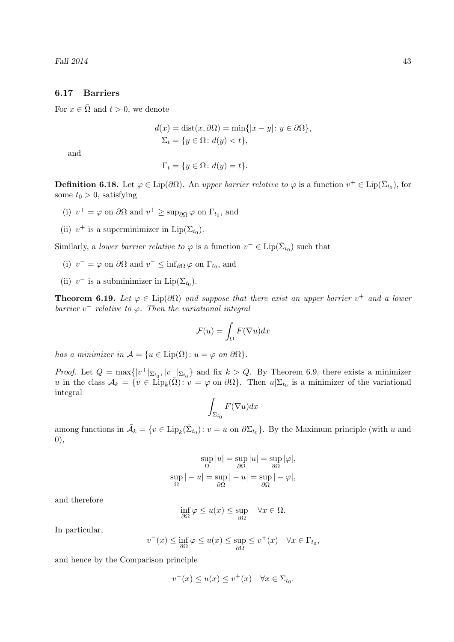## 6.17 Barriers

For  $x \in \overline{\Omega}$  and  $t > 0$ , we denote

$$
d(x) = \text{dist}(x, \partial \Omega) = \min\{|x - y| : y \in \partial \Omega\},
$$
  

$$
\Sigma_t = \{y \in \Omega : d(y) < t\},
$$

and

 $\Gamma_t = \{ y \in \Omega : d(y) = t \}.$ 

**Definition 6.18.** Let  $\varphi \in \text{Lip}(\partial \Omega)$ . An upper barrier relative to  $\varphi$  is a function  $v^+ \in \text{Lip}(\bar{\Sigma}_{t_0})$ , for some  $t_0 > 0$ , satisfying

- (i)  $v^+ = \varphi$  on  $\partial\Omega$  and  $v^+ \ge \sup_{\partial\Omega} \varphi$  on  $\Gamma_{t_0}$ , and
- (ii)  $v^+$  is a superminimizer in Lip( $\Sigma_{t_0}$ ).

Similarly, a *lower barrier relative to*  $\varphi$  is a function  $v^- \in \text{Lip}(\bar{\Sigma}_{t_0})$  such that

- (i)  $v^- = \varphi$  on  $\partial\Omega$  and  $v^- \leq \inf_{\partial\Omega} \varphi$  on  $\Gamma_{t_0}$ , and
- (ii)  $v^-$  is a subminimizer in  $\text{Lip}(\Sigma_{t_0})$ .

**Theorem 6.19.** Let  $\varphi \in \text{Lip}(\partial \Omega)$  and suppose that there exist an upper barrier  $v^+$  and a lower barrier  $v^-$  relative to  $\varphi$ . Then the variational integral

$$
\mathcal{F}(u) = \int_{\Omega} F(\nabla u) dx
$$

has a minimizer in  $\mathcal{A} = \{u \in \text{Lip}(\bar{\Omega}) : u = \varphi \text{ on } \partial\Omega\}.$ 

*Proof.* Let  $Q = \max\{|v^+|_{\Sigma_{t_0}}, |v^-|_{\Sigma_{t_0}}\}$  and fix  $k > Q$ . By Theorem 6.9, there exists a minimizer u in the class  $A_k = \{v \in \text{Lip}_k(\overline{\Omega}) : v = \varphi \text{ on } \partial\Omega\}$ . Then  $u|\Sigma_{t_0}$  is a minimizer of the variational integral

$$
\int_{\Sigma_{t_0}} F(\nabla u) dx
$$

among functions in  $\tilde{\mathcal{A}}_k = \{v \in \text{Lip}_k(\bar{\Sigma}_{t_0}) : v = u \text{ on } \partial \Sigma_{t_0}\}.$  By the Maximum principle (with u and 0),

$$
\sup_{\Omega} |u| = \sup_{\partial \Omega} |u| = \sup_{\partial \Omega} |\varphi|,
$$
  

$$
\sup_{\Omega} |-u| = \sup_{\partial \Omega} |-u| = \sup_{\partial \Omega} |- \varphi|,
$$

and therefore

$$
\inf_{\partial\Omega}\varphi \le u(x) \le \sup_{\partial\Omega} \quad \forall x \in \Omega.
$$

In particular,

$$
v^{-}(x) \le \inf_{\partial \Omega} \varphi \le u(x) \le \sup_{\partial \Omega} \le v^{+}(x) \quad \forall x \in \Gamma_{t_0},
$$

and hence by the Comparison principle

$$
v^-(x) \le u(x) \le v^+(x) \quad \forall x \in \Sigma_{t_0}.
$$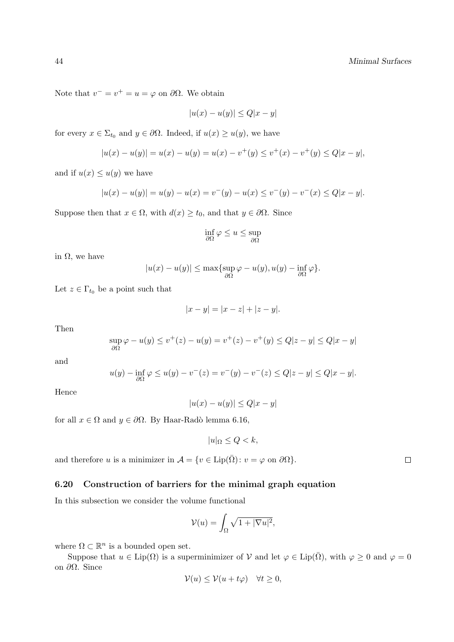Note that  $v^- = v^+ = u = \varphi$  on  $\partial\Omega$ . We obtain

$$
|u(x) - u(y)| \le Q|x - y|
$$

for every  $x \in \Sigma_{t_0}$  and  $y \in \partial \Omega$ . Indeed, if  $u(x) \ge u(y)$ , we have

$$
|u(x) - u(y)| = u(x) - u(y) = u(x) - v^{+}(y) \le v^{+}(x) - v^{+}(y) \le Q|x - y|,
$$

and if  $u(x) \leq u(y)$  we have

$$
|u(x) - u(y)| = u(y) - u(x) = v^{-}(y) - u(x) \le v^{-}(y) - v^{-}(x) \le Q|x - y|.
$$

Suppose then that  $x \in \Omega$ , with  $d(x) \ge t_0$ , and that  $y \in \partial \Omega$ . Since

$$
\inf_{\partial\Omega}\varphi\leq u\leq \sup_{\partial\Omega}
$$

in  $Ω$ , we have

$$
|u(x) - u(y)| \le \max\{\sup_{\partial \Omega} \varphi - u(y), u(y) - \inf_{\partial \Omega} \varphi\}.
$$

Let  $z \in \Gamma_{t_0}$  be a point such that

$$
|x - y| = |x - z| + |z - y|.
$$

Then

$$
\sup_{\partial \Omega} \varphi - u(y) \le v^+(z) - u(y) = v^+(z) - v^+(y) \le Q|z - y| \le Q|x - y|
$$

and

$$
u(y) - \inf_{\partial \Omega} \varphi \le u(y) - v^{-}(z) = v^{-}(y) - v^{-}(z) \le Q|z - y| \le Q|x - y|.
$$

Hence

$$
|u(x) - u(y)| \le Q|x - y|
$$

for all  $x \in \Omega$  and  $y \in \partial\Omega$ . By Haar-Radò lemma 6.16,

$$
|u|_{\Omega} \le Q < k,
$$

and therefore u is a minimizer in  $\mathcal{A} = \{v \in \text{Lip}(\overline{\Omega}) : v = \varphi \text{ on } \partial \Omega\}.$ 

## 6.20 Construction of barriers for the minimal graph equation

In this subsection we consider the volume functional

$$
\mathcal{V}(u) = \int_{\Omega} \sqrt{1 + |\nabla u|^2},
$$

where  $\Omega \subset \mathbb{R}^n$  is a bounded open set.

Suppose that  $u \in \text{Lip}(\Omega)$  is a superminimizer of V and let  $\varphi \in \text{Lip}(\overline{\Omega})$ , with  $\varphi \geq 0$  and  $\varphi = 0$ on ∂Ω. Since

$$
\mathcal{V}(u) \le \mathcal{V}(u + t\varphi) \quad \forall t \ge 0,
$$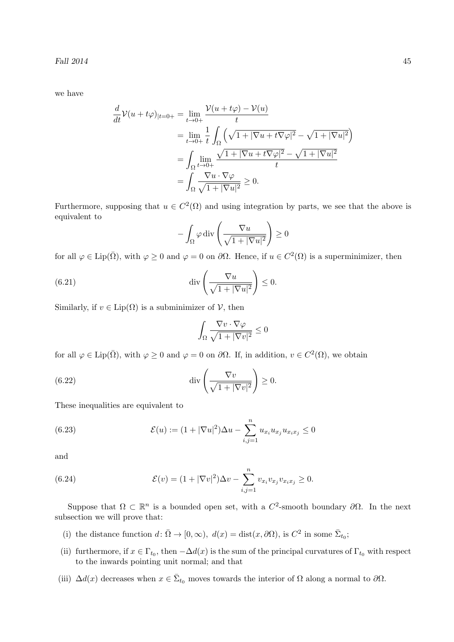Fall 2014 45

we have

$$
\frac{d}{dt}\mathcal{V}(u+t\varphi)_{|t=0+} = \lim_{t\to 0+} \frac{\mathcal{V}(u+t\varphi) - \mathcal{V}(u)}{t}
$$
\n
$$
= \lim_{t\to 0+} \frac{1}{t} \int_{\Omega} \left( \sqrt{1+|\nabla u + t\nabla \varphi|^2} - \sqrt{1+|\nabla u|^2} \right)
$$
\n
$$
= \int_{\Omega} \lim_{t\to 0+} \frac{\sqrt{1+|\nabla u + t\nabla \varphi|^2} - \sqrt{1+|\nabla u|^2}}{t}
$$
\n
$$
= \int_{\Omega} \frac{\nabla u \cdot \nabla \varphi}{\sqrt{1+|\nabla u|^2}} \ge 0.
$$

Furthermore, supposing that  $u \in C^2(\Omega)$  and using integration by parts, we see that the above is equivalent to

$$
-\int_{\Omega} \varphi \operatorname{div}\left(\frac{\nabla u}{\sqrt{1+|\nabla u|^2}}\right) \ge 0
$$

for all  $\varphi \in \text{Lip}(\bar{\Omega})$ , with  $\varphi \geq 0$  and  $\varphi = 0$  on  $\partial \Omega$ . Hence, if  $u \in C^2(\Omega)$  is a superminimizer, then

(6.21) 
$$
\operatorname{div}\left(\frac{\nabla u}{\sqrt{1+|\nabla u|^2}}\right) \leq 0.
$$

Similarly, if  $v \in \text{Lip}(\Omega)$  is a subminimizer of  $\mathcal V$ , then

$$
\int_{\Omega} \frac{\nabla v \cdot \nabla \varphi}{\sqrt{1 + |\nabla v|^2}} \le 0
$$

for all  $\varphi \in \text{Lip}(\bar{\Omega})$ , with  $\varphi \geq 0$  and  $\varphi = 0$  on  $\partial \Omega$ . If, in addition,  $v \in C^2(\Omega)$ , we obtain

(6.22) 
$$
\operatorname{div}\left(\frac{\nabla v}{\sqrt{1+|\nabla v|^2}}\right) \ge 0.
$$

These inequalities are equivalent to

(6.23) 
$$
\mathcal{E}(u) := (1 + |\nabla u|^2) \Delta u - \sum_{i,j=1}^n u_{x_i} u_{x_j} u_{x_ix_j} \le 0
$$

and

(6.24) 
$$
\mathcal{E}(v) = (1 + |\nabla v|^2) \Delta v - \sum_{i,j=1}^n v_{x_i} v_{x_j} v_{x_ix_j} \ge 0.
$$

Suppose that  $\Omega \subset \mathbb{R}^n$  is a bounded open set, with a  $C^2$ -smooth boundary  $\partial\Omega$ . In the next subsection we will prove that:

- (i) the distance function  $d \colon \bar{\Omega} \to [0, \infty)$ ,  $d(x) = \text{dist}(x, \partial \Omega)$ , is  $C^2$  in some  $\bar{\Sigma}_{t_0}$ ;
- (ii) furthermore, if  $x \in \Gamma_{t_0}$ , then  $-\Delta d(x)$  is the sum of the principal curvatures of  $\Gamma_{t_0}$  with respect to the inwards pointing unit normal; and that
- (iii)  $\Delta d(x)$  decreases when  $x \in \bar{\Sigma}_{t_0}$  moves towards the interior of  $\Omega$  along a normal to  $\partial \Omega$ .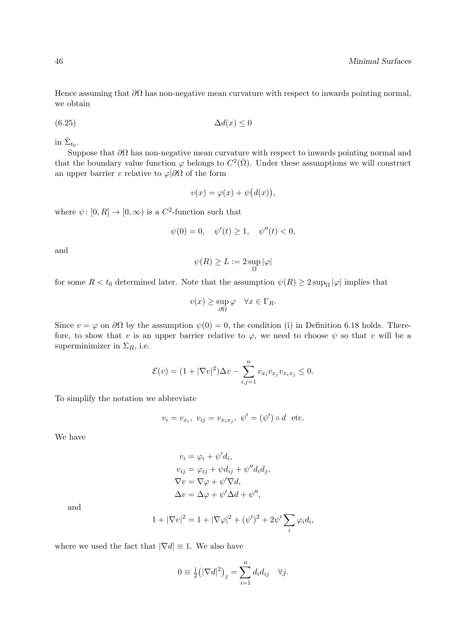Hence assuming that  $\partial\Omega$  has non-negative mean curvature with respect to inwards pointing normal, we obtain

$$
(6.25)\qquad \qquad \Delta d(x) \le 0
$$

in  $\bar{\Sigma}_{t_0}$ .

Suppose that  $\partial\Omega$  has non-negative mean curvature with respect to inwards pointing normal and that the boundary value function  $\varphi$  belongs to  $C^2(\overline{\Omega})$ . Under these assumptions we will construct an upper barrier v relative to  $\varphi|\partial\Omega$  of the form

$$
v(x) = \varphi(x) + \psi(d(x)),
$$

where  $\psi: [0, R] \to [0, \infty)$  is a  $C^2$ -function such that

$$
\psi(0) = 0, \quad \psi'(t) \ge 1, \quad \psi''(t) < 0,
$$

and

$$
\psi(R)\geq L:=2\sup_{\Omega}|\varphi|
$$

for some  $R < t_0$  determined later. Note that the assumption  $\psi(R) \geq 2 \sup_{\Omega} |\varphi|$  implies that

$$
v(x) \ge \sup_{\partial \Omega} \varphi \quad \forall x \in \Gamma_R.
$$

Since  $v = \varphi$  on  $\partial\Omega$  by the assumption  $\psi(0) = 0$ , the condition (i) in Definition 6.18 holds. Therefore, to show that v is an upper barrier relative to  $\varphi$ , we need to choose  $\psi$  so that v will be a superminimizer in  $\Sigma_R$ , i.e.

$$
\mathcal{E}(v) = (1 + |\nabla v|^2)\Delta v - \sum_{i,j=1}^n v_{x_i} v_{x_j} v_{x_i x_j} \le 0.
$$

To simplify the notation we abbreviate

$$
v_i = v_{x_i}, \ v_{ij} = v_{x_i x_j}, \ \psi' = (\psi') \circ d \ \text{etc.}
$$

We have

$$
v_i = \varphi_i + \psi' d_i,
$$
  
\n
$$
v_{ij} = \varphi_{ij} + \psi d_{ij} + \psi'' d_i d_j,
$$
  
\n
$$
\nabla v = \nabla \varphi + \psi' \nabla d,
$$
  
\n
$$
\Delta v = \Delta \varphi + \psi' \Delta d + \psi'',
$$

and

$$
1 + |\nabla v|^2 = 1 + |\nabla \varphi|^2 + (\psi')^2 + 2\psi' \sum_i \varphi_i d_i,
$$

where we used the fact that  $|\nabla d| \equiv 1$ . We also have

$$
0 \equiv \frac{1}{2} (|\nabla d|^2)_j = \sum_{i=1}^n d_i d_{ij} \quad \forall j.
$$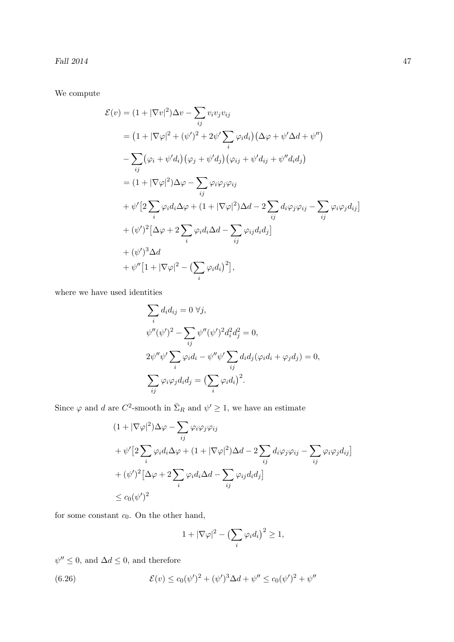Fall 2014 47

We compute

$$
\mathcal{E}(v) = (1 + |\nabla v|^2) \Delta v - \sum_{ij} v_i v_j v_{ij}
$$
  
\n
$$
= (1 + |\nabla \varphi|^2 + (\psi')^2 + 2\psi' \sum_i \varphi_i d_i) (\Delta \varphi + \psi' \Delta d + \psi'')
$$
  
\n
$$
- \sum_{ij} (\varphi_i + \psi' d_i) (\varphi_j + \psi' d_j) (\varphi_{ij} + \psi' d_{ij} + \psi'' d_i d_j)
$$
  
\n
$$
= (1 + |\nabla \varphi|^2) \Delta \varphi - \sum_{ij} \varphi_i \varphi_j \varphi_{ij}
$$
  
\n
$$
+ \psi' [2 \sum_i \varphi_i d_i \Delta \varphi + (1 + |\nabla \varphi|^2) \Delta d - 2 \sum_{ij} d_i \varphi_j \varphi_{ij} - \sum_{ij} \varphi_i \varphi_j d_{ij}]
$$
  
\n
$$
+ (\psi')^2 [\Delta \varphi + 2 \sum_i \varphi_i d_i \Delta d - \sum_{ij} \varphi_{ij} d_i d_j]
$$
  
\n
$$
+ (\psi')^3 \Delta d
$$
  
\n
$$
+ \psi'' [1 + |\nabla \varphi|^2 - (\sum_i \varphi_i d_i)^2],
$$

where we have used identities

$$
\sum_{i} d_i d_{ij} = 0 \ \forall j,
$$
  
\n
$$
\psi''(\psi')^2 - \sum_{ij} \psi''(\psi')^2 d_i^2 d_j^2 = 0,
$$
  
\n
$$
2\psi''\psi' \sum_{i} \varphi_i d_i - \psi''\psi' \sum_{ij} d_i d_j (\varphi_i d_i + \varphi_j d_j) = 0,
$$
  
\n
$$
\sum_{ij} \varphi_i \varphi_j d_i d_j = \left(\sum_{i} \varphi_i d_i\right)^2.
$$

Since  $\varphi$  and d are C<sup>2</sup>-smooth in  $\bar{\Sigma}_R$  and  $\psi' \geq 1$ , we have an estimate

$$
(1 + |\nabla \varphi|^2) \Delta \varphi - \sum_{ij} \varphi_i \varphi_j \varphi_{ij}
$$
  
+  $\psi' [2 \sum_i \varphi_i d_i \Delta \varphi + (1 + |\nabla \varphi|^2) \Delta d - 2 \sum_{ij} d_i \varphi_j \varphi_{ij} - \sum_{ij} \varphi_i \varphi_j d_{ij}]$   
+  $(\psi')^2 [\Delta \varphi + 2 \sum_i \varphi_i d_i \Delta d - \sum_{ij} \varphi_i d_i d_j]$   
 $\leq c_0 (\psi')^2$ 

for some constant  $c_0$ . On the other hand,

$$
1 + |\nabla \varphi|^2 - \left(\sum_i \varphi_i d_i\right)^2 \ge 1,
$$

 $\psi'' \leq 0$ , and  $\Delta d \leq 0$ , and therefore

(6.26) 
$$
\mathcal{E}(v) \le c_0(\psi')^2 + (\psi')^3 \Delta d + \psi'' \le c_0(\psi')^2 + \psi''
$$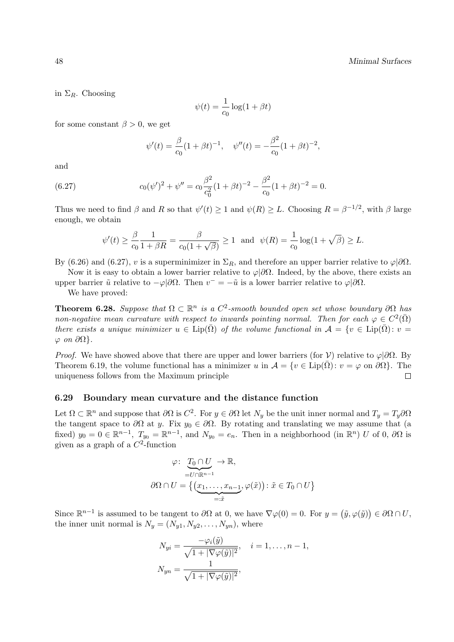in  $\Sigma_R$ . Choosing

$$
\psi(t) = \frac{1}{c_0} \log(1 + \beta t)
$$

for some constant  $\beta > 0$ , we get

$$
\psi'(t) = \frac{\beta}{c_0} (1 + \beta t)^{-1}, \quad \psi''(t) = -\frac{\beta^2}{c_0} (1 + \beta t)^{-2},
$$

and

(6.27) 
$$
c_0(\psi')^2 + \psi'' = c_0 \frac{\beta^2}{c_0^2} (1 + \beta t)^{-2} - \frac{\beta^2}{c_0} (1 + \beta t)^{-2} = 0.
$$

Thus we need to find  $\beta$  and R so that  $\psi'(t) \geq 1$  and  $\psi(R) \geq L$ . Choosing  $R = \beta^{-1/2}$ , with  $\beta$  large enough, we obtain

$$
\psi'(t) \ge \frac{\beta}{c_0} \frac{1}{1 + \beta R} = \frac{\beta}{c_0(1 + \sqrt{\beta})} \ge 1
$$
 and  $\psi(R) = \frac{1}{c_0} \log(1 + \sqrt{\beta}) \ge L$ .

By (6.26) and (6.27), v is a superminimizer in  $\Sigma_R$ , and therefore an upper barrier relative to  $\varphi|\partial\Omega$ .

Now it is easy to obtain a lower barrier relative to  $\varphi|\partial\Omega$ . Indeed, by the above, there exists an upper barrier  $\tilde{u}$  relative to  $-\varphi|\partial\Omega$ . Then  $v^- = -\tilde{u}$  is a lower barrier relative to  $\varphi|\partial\Omega$ .

We have proved:

**Theorem 6.28.** Suppose that  $\Omega \subset \mathbb{R}^n$  is a  $C^2$ -smooth bounded open set whose boundary  $\partial\Omega$  has non-negative mean curvature with respect to inwards pointing normal. Then for each  $\varphi \in C^2(\overline{\Omega})$ there exists a unique minimizer  $u \in \text{Lip}(\bar{\Omega})$  of the volume functional in  $\mathcal{A} = \{v \in \text{Lip}(\bar{\Omega}) : v =$  $\varphi$  on  $\partial\Omega$ .

*Proof.* We have showed above that there are upper and lower barriers (for V) relative to  $\varphi|\partial\Omega$ . By Theorem 6.19, the volume functional has a minimizer u in  $\mathcal{A} = \{v \in \text{Lip}(\overline{\Omega}) : v = \varphi \text{ on } \partial\Omega\}$ . The uniqueness follows from the Maximum principle  $\Box$ 

#### 6.29 Boundary mean curvature and the distance function

Let  $\Omega \subset \mathbb{R}^n$  and suppose that  $\partial\Omega$  is  $C^2$ . For  $y \in \partial\Omega$  let  $N_y$  be the unit inner normal and  $T_y = T_y \partial\Omega$ the tangent space to  $\partial\Omega$  at y. Fix  $y_0 \in \partial\Omega$ . By rotating and translating we may assume that (a fixed)  $y_0 = 0 \in \mathbb{R}^{n-1}$ ,  $T_{y_0} = \mathbb{R}^{n-1}$ , and  $N_{y_0} = e_n$ . Then in a neighborhood (in  $\mathbb{R}^n$ ) U of 0,  $\partial\Omega$  is given as a graph of a  $C^2$ -function

$$
\varphi \colon \underbrace{T_0 \cap U}_{=U \cap \mathbb{R}^{n-1}} \to \mathbb{R},
$$
  

$$
\partial \Omega \cap U = \left\{ \underbrace{(x_1, \dots, x_{n-1}}_{=: \tilde{x}}, \varphi(\tilde{x}) \right\} : \tilde{x} \in T_0 \cap U \right\}
$$

Since  $\mathbb{R}^{n-1}$  is assumed to be tangent to  $\partial\Omega$  at 0, we have  $\nabla\varphi(0) = 0$ . For  $y = (\tilde{y}, \varphi(\tilde{y})) \in \partial\Omega \cap U$ , the inner unit normal is  $N_y = (N_{y1}, N_{y2}, \ldots, N_{yn})$ , where

$$
N_{yi} = \frac{-\varphi_i(\tilde{y})}{\sqrt{1 + |\nabla \varphi(\tilde{y})|^2}}, \quad i = 1, \dots, n-1,
$$
  

$$
N_{yn} = \frac{1}{\sqrt{1 + |\nabla \varphi(\tilde{y})|^2}},
$$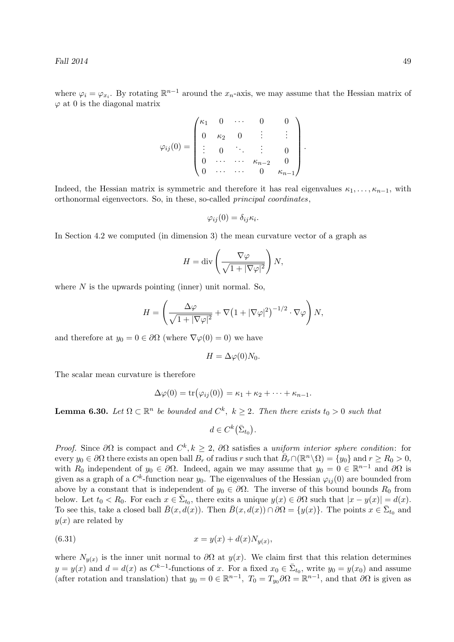where  $\varphi_i = \varphi_{x_i}$ . By rotating  $\mathbb{R}^{n-1}$  around the  $x_n$ -axis, we may assume that the Hessian matrix of  $\varphi$  at 0 is the diagonal matrix

$$
\varphi_{ij}(0) = \begin{pmatrix} \kappa_1 & 0 & \cdots & 0 & 0 \\ 0 & \kappa_2 & 0 & \vdots & \vdots \\ \vdots & 0 & \ddots & \vdots & 0 \\ 0 & \cdots & \cdots & \kappa_{n-2} & 0 \\ 0 & \cdots & \cdots & 0 & \kappa_{n-1} \end{pmatrix}.
$$

Indeed, the Hessian matrix is symmetric and therefore it has real eigenvalues  $\kappa_1, \ldots, \kappa_{n-1}$ , with orthonormal eigenvectors. So, in these, so-called principal coordinates,

$$
\varphi_{ij}(0) = \delta_{ij} \kappa_i.
$$

In Section 4.2 we computed (in dimension 3) the mean curvature vector of a graph as

$$
H = \text{div}\left(\frac{\nabla \varphi}{\sqrt{1 + |\nabla \varphi|^2}}\right) N,
$$

where  $N$  is the upwards pointing (inner) unit normal. So,

$$
H = \left(\frac{\Delta \varphi}{\sqrt{1 + |\nabla \varphi|^2}} + \nabla (1 + |\nabla \varphi|^2)^{-1/2} \cdot \nabla \varphi\right) N,
$$

and therefore at  $y_0 = 0 \in \partial\Omega$  (where  $\nabla \varphi(0) = 0$ ) we have

$$
H = \Delta \varphi(0) N_0.
$$

The scalar mean curvature is therefore

$$
\Delta\varphi(0) = \text{tr}(\varphi_{ij}(0)) = \kappa_1 + \kappa_2 + \cdots + \kappa_{n-1}.
$$

**Lemma 6.30.** Let  $\Omega \subset \mathbb{R}^n$  be bounded and  $C^k$ ,  $k \geq 2$ . Then there exists  $t_0 > 0$  such that

$$
d \in C^k(\bar{\Sigma}_{t_0}).
$$

*Proof.* Since  $\partial\Omega$  is compact and  $C^k, k \geq 2, \partial\Omega$  satisfies a uniform interior sphere condition: for every  $y_0 \in \partial\Omega$  there exists an open ball  $B_r$  of radius r such that  $\bar{B}_r \cap (\mathbb{R}^n \setminus \Omega) = \{y_0\}$  and  $r \ge R_0 > 0$ , with  $R_0$  independent of  $y_0 \in \partial\Omega$ . Indeed, again we may assume that  $y_0 = 0 \in \mathbb{R}^{n-1}$  and  $\partial\Omega$  is given as a graph of a  $C^k$ -function near  $y_0$ . The eigenvalues of the Hessian  $\varphi_{ij}(0)$  are bounded from above by a constant that is independent of  $y_0 \in \partial\Omega$ . The inverse of this bound bounds  $R_0$  from below. Let  $t_0 < R_0$ . For each  $x \in \bar{\Sigma}_{t_0}$ , there exits a unique  $y(x) \in \partial\Omega$  such that  $|x - y(x)| = d(x)$ . To see this, take a closed ball  $\bar{B}(x, d(x))$ . Then  $\bar{B}(x, d(x)) \cap \partial \Omega = \{y(x)\}\.$  The points  $x \in \bar{\Sigma}_{t_0}$  and  $y(x)$  are related by

(6.31) 
$$
x = y(x) + d(x)N_{y(x)},
$$

where  $N_{y(x)}$  is the inner unit normal to  $\partial\Omega$  at  $y(x)$ . We claim first that this relation determines  $y = y(x)$  and  $d = d(x)$  as  $C^{k-1}$ -functions of x. For a fixed  $x_0 \in \bar{\Sigma}_{t_0}$ , write  $y_0 = y(x_0)$  and assume (after rotation and translation) that  $y_0 = 0 \in \mathbb{R}^{n-1}$ ,  $T_0 = T_{y_0} \partial \Omega = \mathbb{R}^{n-1}$ , and that  $\partial \Omega$  is given as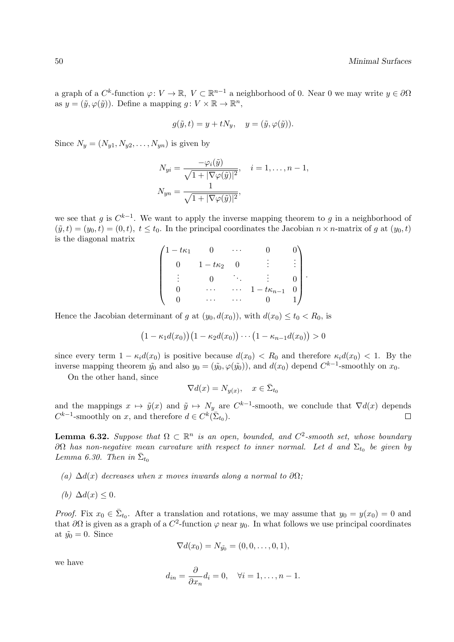a graph of a  $C^k$ -function  $\varphi: V \to \mathbb{R}, V \subset \mathbb{R}^{n-1}$  a neighborhood of 0. Near 0 we may write  $y \in \partial \Omega$ as  $y = (\tilde{y}, \varphi(\tilde{y}))$ . Define a mapping  $g: V \times \mathbb{R} \to \mathbb{R}^n$ ,

$$
g(\tilde{y},t) = y + tN_y, \quad y = (\tilde{y}, \varphi(\tilde{y})).
$$

Since  $N_y = (N_{y1}, N_{y2}, \ldots, N_{yn})$  is given by

$$
N_{yi} = \frac{-\varphi_i(\tilde{y})}{\sqrt{1+|\nabla\varphi(\tilde{y})|^2}}, \quad i = 1, \dots, n-1,
$$
  

$$
N_{yn} = \frac{1}{\sqrt{1+|\nabla\varphi(\tilde{y})|^2}},
$$

we see that g is  $C^{k-1}$ . We want to apply the inverse mapping theorem to g in a neighborhood of  $(\tilde{y}, t) = (y_0, t) = (0, t), t \leq t_0$ . In the principal coordinates the Jacobian  $n \times n$ -matrix of g at  $(y_0, t)$ is the diagonal matrix

| $1-t\kappa_1$ |               |   |                   |  |
|---------------|---------------|---|-------------------|--|
|               | $1-t\kappa_2$ |   |                   |  |
|               |               |   |                   |  |
|               |               | . | $1-t\kappa_{n-1}$ |  |
|               |               |   |                   |  |

Hence the Jacobian determinant of g at  $(y_0, d(x_0))$ , with  $d(x_0) \le t_0 < R_0$ , is

$$
(1 - \kappa_1 d(x_0)) (1 - \kappa_2 d(x_0)) \cdots (1 - \kappa_{n-1} d(x_0)) > 0
$$

since every term  $1 - \kappa_i d(x_0)$  is positive because  $d(x_0) < R_0$  and therefore  $\kappa_i d(x_0) < 1$ . By the inverse mapping theorem  $\tilde{y}_0$  and also  $y_0 = (\tilde{y}_0, \varphi(\tilde{y}_0))$ , and  $d(x_0)$  depend  $C^{k-1}$ -smoothly on  $x_0$ .

On the other hand, since

$$
\nabla d(x) = N_{y(x)}, \quad x \in \bar{\Sigma}_{t_0}
$$

and the mappings  $x \mapsto \tilde{y}(x)$  and  $\tilde{y} \mapsto N_y$  are  $C^{k-1}$ -smooth, we conclude that  $\nabla d(x)$  depends  $C^{k-1}$ -smoothly on x, and therefore  $d \in C^k(\bar{\Sigma}_{t_0}).$  $\Box$ 

**Lemma 6.32.** Suppose that  $\Omega \subset \mathbb{R}^n$  is an open, bounded, and  $C^2$ -smooth set, whose boundary  $\partial \Omega$  has non-negative mean curvature with respect to inner normal. Let d and  $\Sigma_{t_0}$  be given by Lemma 6.30. Then in  $\bar{\Sigma}_{t_0}$ 

- (a)  $\Delta d(x)$  decreases when x moves inwards along a normal to  $\partial\Omega$ ;
- (b)  $\Delta d(x) \leq 0$ .

*Proof.* Fix  $x_0 \in \bar{\Sigma}_{t_0}$ . After a translation and rotations, we may assume that  $y_0 = y(x_0) = 0$  and that  $\partial\Omega$  is given as a graph of a  $C^2$ -function  $\varphi$  near  $y_0$ . In what follows we use principal coordinates at  $\tilde{y}_0 = 0$ . Since

$$
\nabla d(x_0) = N_{\tilde{y_0}} = (0, 0, \dots, 0, 1),
$$

we have

$$
d_{in} = \frac{\partial}{\partial x_n} d_i = 0, \quad \forall i = 1, \dots, n-1.
$$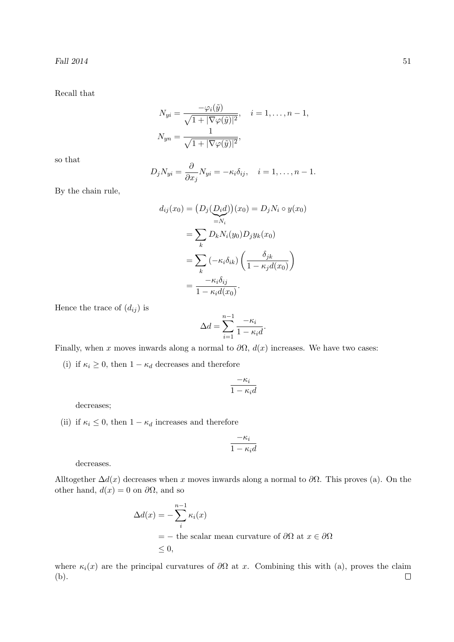Recall that

$$
N_{yi} = \frac{-\varphi_i(\tilde{y})}{\sqrt{1+|\nabla\varphi(\tilde{y})|^2}}, \quad i = 1, \dots, n-1,
$$
  

$$
N_{yn} = \frac{1}{\sqrt{1+|\nabla\varphi(\tilde{y})|^2}},
$$

so that

$$
D_j N_{yi} = \frac{\partial}{\partial x_j} N_{yi} = -\kappa_i \delta_{ij}, \quad i = 1, \dots, n-1.
$$

By the chain rule,

$$
d_{ij}(x_0) = (D_j(\underline{D_i d}))(x_0) = D_j N_i \circ y(x_0)
$$
  
= 
$$
\sum_k D_k N_i(y_0) D_j y_k(x_0)
$$
  
= 
$$
\sum_k (-\kappa_i \delta_{ik}) \left( \frac{\delta_{jk}}{1 - \kappa_j d(x_0)} \right)
$$
  
= 
$$
\frac{-\kappa_i \delta_{ij}}{1 - \kappa_i d(x_0)}.
$$

Hence the trace of  $(d_{ij})$  is

$$
\Delta d = \sum_{i=1}^{n-1} \frac{-\kappa_i}{1 - \kappa_i d}.
$$

Finally, when x moves inwards along a normal to  $\partial\Omega$ ,  $d(x)$  increases. We have two cases:

(i) if  $\kappa_i \geq 0$ , then  $1 - \kappa_d$  decreases and therefore

$$
\frac{-\kappa_i}{1-\kappa_i d}
$$

decreases;

(ii) if  $\kappa_i \leq 0$ , then  $1 - \kappa_d$  increases and therefore

$$
\frac{-\kappa_i}{1-\kappa_id}
$$

decreases.

Alltogether  $\Delta d(x)$  decreases when x moves inwards along a normal to  $\partial\Omega$ . This proves (a). On the other hand,  $d(x) = 0$  on  $\partial\Omega$ , and so

$$
\Delta d(x) = -\sum_{i}^{n-1} \kappa_i(x)
$$
  
= - the scalar mean curvature of  $\partial \Omega$  at  $x \in \partial \Omega$   
 $\leq 0$ ,

where  $\kappa_i(x)$  are the principal curvatures of  $\partial\Omega$  at x. Combining this with (a), proves the claim (b). $\Box$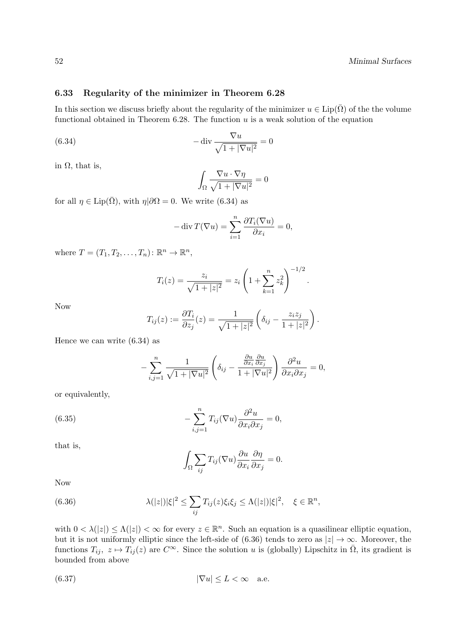## 6.33 Regularity of the minimizer in Theorem 6.28

In this section we discuss briefly about the regularity of the minimizer  $u \in Lip(\overline{\Omega})$  of the the volume functional obtained in Theorem  $6.28$ . The function  $u$  is a weak solution of the equation

(6.34) 
$$
-\operatorname{div}\frac{\nabla u}{\sqrt{1+|\nabla u|^2}}=0
$$

in Ω, that is,

$$
\int_{\Omega} \frac{\nabla u \cdot \nabla \eta}{\sqrt{1 + |\nabla u|^2}} = 0
$$

for all  $\eta \in \text{Lip}(\bar{\Omega})$ , with  $\eta | \partial \Omega = 0$ . We write (6.34) as

$$
-\operatorname{div} T(\nabla u) = \sum_{i=1}^{n} \frac{\partial T_i(\nabla u)}{\partial x_i} = 0,
$$

where  $T = (T_1, T_2, \dots, T_n) : \mathbb{R}^n \to \mathbb{R}^n$ ,

$$
T_i(z) = \frac{z_i}{\sqrt{1+|z|^2}} = z_i \left(1 + \sum_{k=1}^n z_k^2\right)^{-1/2}.
$$

Now

$$
T_{ij}(z) := \frac{\partial T_i}{\partial z_j}(z) = \frac{1}{\sqrt{1+|z|^2}} \left( \delta_{ij} - \frac{z_i z_j}{1+|z|^2} \right).
$$

Hence we can write (6.34) as

$$
-\sum_{i,j=1}^n \frac{1}{\sqrt{1+|\nabla u|^2}} \left( \delta_{ij} - \frac{\frac{\partial u}{\partial x_i} \frac{\partial u}{\partial x_j}}{1+|\nabla u|^2} \right) \frac{\partial^2 u}{\partial x_i \partial x_j} = 0,
$$

or equivalently,

(6.35) 
$$
-\sum_{i,j=1}^{n} T_{ij}(\nabla u) \frac{\partial^2 u}{\partial x_i \partial x_j} = 0,
$$

that is,

$$
\int_{\Omega} \sum_{ij} T_{ij} (\nabla u) \frac{\partial u}{\partial x_i} \frac{\partial \eta}{\partial x_j} = 0.
$$

Now

(6.36) 
$$
\lambda(|z|)|\xi|^2 \leq \sum_{ij} T_{ij}(z)\xi_i\xi_j \leq \Lambda(|z|)|\xi|^2, \quad \xi \in \mathbb{R}^n,
$$

with  $0 < \lambda(|z|) \leq \Lambda(|z|) < \infty$  for every  $z \in \mathbb{R}^n$ . Such an equation is a quasilinear elliptic equation, but it is not uniformly elliptic since the left-side of (6.36) tends to zero as  $|z| \to \infty$ . Moreover, the functions  $T_{ij}$ ,  $z \mapsto T_{ij}(z)$  are  $C^{\infty}$ . Since the solution u is (globally) Lipschitz in  $\overline{\Omega}$ , its gradient is bounded from above

(6.37) 
$$
|\nabla u| \le L < \infty \quad \text{a.e.}
$$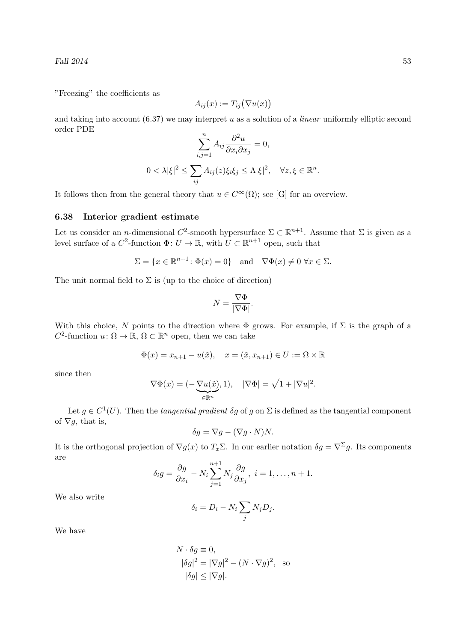Fall  $2014$  53

"Freezing" the coefficients as

$$
A_{ij}(x) := T_{ij}(\nabla u(x))
$$

and taking into account  $(6.37)$  we may interpret u as a solution of a *linear* uniformly elliptic second order PDE

$$
\sum_{i,j=1}^{n} A_{ij} \frac{\partial^2 u}{\partial x_i \partial x_j} = 0,
$$
  

$$
0 < \lambda |\xi|^2 \le \sum_{ij} A_{ij}(z) \xi_i \xi_j \le \Lambda |\xi|^2, \quad \forall z, \xi \in \mathbb{R}^n.
$$

It follows then from the general theory that  $u \in C^{\infty}(\Omega)$ ; see [G] for an overview.

#### 6.38 Interior gradient estimate

Let us consider an *n*-dimensional  $C^2$ -smooth hypersurface  $\Sigma \subset \mathbb{R}^{n+1}$ . Assume that  $\Sigma$  is given as a level surface of a  $C^2$ -function  $\Phi: U \to \mathbb{R}$ , with  $U \subset \mathbb{R}^{n+1}$  open, such that

$$
\Sigma = \{x \in \mathbb{R}^{n+1} \colon \Phi(x) = 0\} \quad \text{and} \quad \nabla \Phi(x) \neq 0 \,\,\forall x \in \Sigma.
$$

The unit normal field to  $\Sigma$  is (up to the choice of direction)

$$
N = \frac{\nabla \Phi}{|\nabla \Phi|}.
$$

With this choice, N points to the direction where  $\Phi$  grows. For example, if  $\Sigma$  is the graph of a  $C^2$ -function  $u: \Omega \to \mathbb{R}, \Omega \subset \mathbb{R}^n$  open, then we can take

$$
\Phi(x) = x_{n+1} - u(\tilde{x}), \quad x = (\tilde{x}, x_{n+1}) \in U := \Omega \times \mathbb{R}
$$

since then

$$
\nabla \Phi(x) = (-\underbrace{\nabla u(\tilde{x})}_{\in \mathbb{R}^n}, 1), \quad |\nabla \Phi| = \sqrt{1 + |\nabla u|^2}.
$$

Let  $g \in C^1(U)$ . Then the *tangential gradient*  $\delta g$  of g on  $\Sigma$  is defined as the tangential component of  $\nabla g$ , that is,

$$
\delta g = \nabla g - (\nabla g \cdot N) N.
$$

It is the orthogonal projection of  $\nabla g(x)$  to  $T_x\Sigma$ . In our earlier notation  $\delta g = \nabla^{\Sigma} g$ . Its components are

$$
\delta_i g = \frac{\partial g}{\partial x_i} - N_i \sum_{j=1}^{n+1} N_j \frac{\partial g}{\partial x_j}, \quad i = 1, \dots, n+1.
$$

We also write

$$
\delta_i = D_i - N_i \sum_j N_j D_j.
$$

We have

$$
N \cdot \delta g \equiv 0,
$$
  
\n
$$
|\delta g|^2 = |\nabla g|^2 - (N \cdot \nabla g)^2, \text{ so}
$$
  
\n
$$
|\delta g| \le |\nabla g|.
$$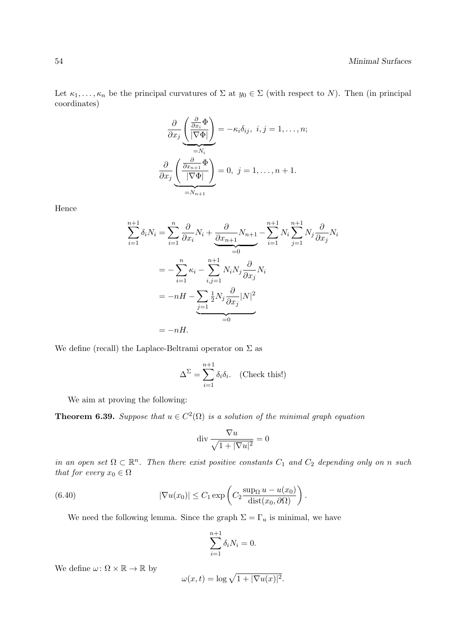Let  $\kappa_1, \ldots, \kappa_n$  be the principal curvatures of  $\Sigma$  at  $y_0 \in \Sigma$  (with respect to N). Then (in principal coordinates)

$$
\frac{\partial}{\partial x_j} \underbrace{\left(\frac{\frac{\partial}{\partial x_i} \Phi}{|\nabla \Phi|}\right)}_{=N_i} = -\kappa_i \delta_{ij}, \ i, j = 1, \dots, n;
$$
\n
$$
\frac{\partial}{\partial x_j} \underbrace{\left(\frac{\frac{\partial}{\partial x_{n+1}} \Phi}{|\nabla \Phi|}\right)}_{=N_{n+1}} = 0, \ j = 1, \dots, n+1.
$$

Hence

$$
\sum_{i=1}^{n+1} \delta_i N_i = \sum_{i=1}^n \frac{\partial}{\partial x_i} N_i + \frac{\partial}{\partial x_{n+1}} N_{n+1} - \sum_{i=1}^{n+1} N_i \sum_{j=1}^{n+1} N_j \frac{\partial}{\partial x_j} N_i
$$
  
= 
$$
- \sum_{i=1}^n \kappa_i - \sum_{i,j=1}^{n+1} N_i N_j \frac{\partial}{\partial x_j} N_i
$$
  
= 
$$
-nH - \sum_{j=1}^n \frac{1}{2} N_j \frac{\partial}{\partial x_j} |N|^2
$$
  
= 
$$
-nH.
$$

We define (recall) the Laplace-Beltrami operator on  $\Sigma$  as

$$
\Delta^{\Sigma} = \sum_{i=1}^{n+1} \delta_i \delta_i.
$$
 (Check this!)

We aim at proving the following:

n

**Theorem 6.39.** Suppose that  $u \in C^2(\Omega)$  is a solution of the minimal graph equation

$$
\operatorname{div} \frac{\nabla u}{\sqrt{1+|\nabla u|^2}} = 0
$$

in an open set  $\Omega \subset \mathbb{R}^n$ . Then there exist positive constants  $C_1$  and  $C_2$  depending only on n such that for every  $x_0 \in \Omega$ 

.

(6.40) 
$$
|\nabla u(x_0)| \leq C_1 \exp\left(C_2 \frac{\sup_{\Omega} u - u(x_0)}{\text{dist}(x_0, \partial \Omega)}\right)
$$

We need the following lemma. Since the graph  $\Sigma = \Gamma_u$  is minimal, we have

$$
\sum_{i=1}^{n+1} \delta_i N_i = 0.
$$

We define  $\omega \colon \Omega \times \mathbb{R} \to \mathbb{R}$  by

$$
\omega(x,t) = \log \sqrt{1 + |\nabla u(x)|^2}.
$$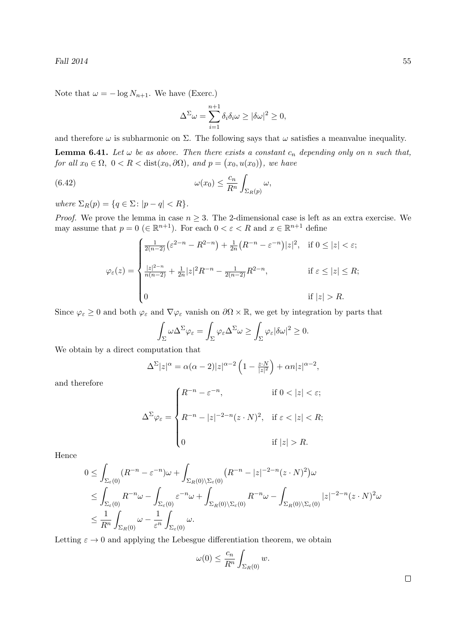Note that  $\omega = -\log N_{n+1}$ . We have (Exerc.)

$$
\Delta^{\Sigma} \omega = \sum_{i=1}^{n+1} \delta_i \delta_i \omega \ge |\delta \omega|^2 \ge 0,
$$

and therefore  $\omega$  is subharmonic on  $\Sigma$ . The following says that  $\omega$  satisfies a meanvalue inequality.

**Lemma 6.41.** Let  $\omega$  be as above. Then there exists a constant  $c_n$  depending only on n such that, for all  $x_0 \in \Omega$ ,  $0 < R <$  dist $(x_0, \partial \Omega)$ , and  $p = (x_0, u(x_0))$ , we have

(6.42) 
$$
\omega(x_0) \leq \frac{c_n}{R^n} \int_{\Sigma_R(p)} \omega,
$$

where  $\Sigma_R(p) = \{q \in \Sigma : |p - q| < R\}.$ 

*Proof.* We prove the lemma in case  $n \geq 3$ . The 2-dimensional case is left as an extra exercise. We may assume that  $p = 0 \ (\in \mathbb{R}^{n+1})$ . For each  $0 < \varepsilon < R$  and  $x \in \mathbb{R}^{n+1}$  define

$$
\varphi_{\varepsilon}(z) = \begin{cases}\n\frac{1}{2(n-2)} (\varepsilon^{2-n} - R^{2-n}) + \frac{1}{2n} (R^{-n} - \varepsilon^{-n}) |z|^2, & \text{if } 0 \le |z| < \varepsilon; \\
\frac{|z|^{2-n}}{n(n-2)} + \frac{1}{2n} |z|^2 R^{-n} - \frac{1}{2(n-2)} R^{2-n}, & \text{if } \varepsilon \le |z| \le R; \\
0 & \text{if } |z| > R.\n\end{cases}
$$

Since  $\varphi_{\varepsilon} \geq 0$  and both  $\varphi_{\varepsilon}$  and  $\nabla \varphi_{\varepsilon}$  vanish on  $\partial \Omega \times \mathbb{R}$ , we get by integration by parts that

$$
\int_{\Sigma} \omega \Delta^{\Sigma} \varphi_{\varepsilon} = \int_{\Sigma} \varphi_{\varepsilon} \Delta^{\Sigma} \omega \ge \int_{\Sigma} \varphi_{\varepsilon} |\delta \omega|^2 \ge 0.
$$

We obtain by a direct computation that

$$
\Delta^{\Sigma} |z|^{\alpha} = \alpha(\alpha - 2)|z|^{\alpha - 2} \left(1 - \frac{z \cdot N}{|z|^2}\right) + \alpha n |z|^{\alpha - 2},
$$

and therefore

$$
\Delta^{\Sigma}\varphi_{\varepsilon} = \begin{cases} R^{-n} - \varepsilon^{-n}, & \text{if } 0 < |z| < \varepsilon; \\ \nR^{-n} - |z|^{-2-n}(z \cdot N)^2, & \text{if } \varepsilon < |z| < R; \\ \n0 & \text{if } |z| > R. \n\end{cases}
$$

Hence

$$
0 \leq \int_{\Sigma_{\varepsilon}(0)} (R^{-n} - \varepsilon^{-n}) \omega + \int_{\Sigma_{R}(0) \setminus \Sigma_{\varepsilon}(0)} (R^{-n} - |z|^{-2-n} (z \cdot N)^{2}) \omega
$$
  
\n
$$
\leq \int_{\Sigma_{\varepsilon}(0)} R^{-n} \omega - \int_{\Sigma_{\varepsilon}(0)} \varepsilon^{-n} \omega + \int_{\Sigma_{R}(0) \setminus \Sigma_{\varepsilon}(0)} R^{-n} \omega - \int_{\Sigma_{R}(0) \setminus \Sigma_{\varepsilon}(0)} |z|^{-2-n} (z \cdot N)^{2} \omega
$$
  
\n
$$
\leq \frac{1}{R^{n}} \int_{\Sigma_{R}(0)} \omega - \frac{1}{\varepsilon^{n}} \int_{\Sigma_{\varepsilon}(0)} \omega.
$$

Letting  $\varepsilon \to 0$  and applying the Lebesgue differentiation theorem, we obtain

$$
\omega(0) \le \frac{c_n}{R^n} \int_{\Sigma_R(0)} w.
$$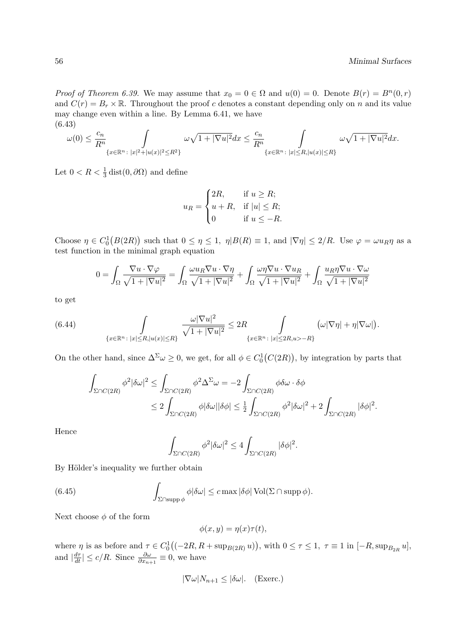*Proof of Theorem 6.39.* We may assume that  $x_0 = 0 \in \Omega$  and  $u(0) = 0$ . Denote  $B(r) = B<sup>n</sup>(0,r)$ and  $C(r) = B_r \times \mathbb{R}$ . Throughout the proof c denotes a constant depending only on n and its value may change even within a line. By Lemma 6.41, we have (6.43)

$$
\omega(0)\leq\frac{c_n}{R^n}\int\limits_{\{x\in\mathbb R^n\colon |x|^2+|u(x)|^2\leq R^2\}}\omega\sqrt{1+|\nabla u|^2}dx\leq\frac{c_n}{R^n}\int\limits_{\{x\in\mathbb R^n\colon |x|\leq R,|u(x)|\leq R\}}\omega\sqrt{1+|\nabla u|^2}dx.
$$

Let  $0 < R < \frac{1}{3}$  dist $(0, \partial \Omega)$  and define

$$
u_R = \begin{cases} 2R, & \text{if } u \ge R; \\ u + R, & \text{if } |u| \le R; \\ 0 & \text{if } u \le -R. \end{cases}
$$

Choose  $\eta \in C_0^1(B(2R))$  such that  $0 \leq \eta \leq 1$ ,  $\eta |B(R) \equiv 1$ , and  $|\nabla \eta| \leq 2/R$ . Use  $\varphi = \omega u_R \eta$  as a test function in the minimal graph equation

$$
0 = \int_{\Omega} \frac{\nabla u \cdot \nabla \varphi}{\sqrt{1 + |\nabla u|^2}} = \int_{\Omega} \frac{\omega u_R \nabla u \cdot \nabla \eta}{\sqrt{1 + |\nabla u|^2}} + \int_{\Omega} \frac{\omega \eta \nabla u \cdot \nabla u_R}{\sqrt{1 + |\nabla u|^2}} + \int_{\Omega} \frac{u_R \eta \nabla u \cdot \nabla \omega}{\sqrt{1 + |\nabla u|^2}}
$$

to get

(6.44) 
$$
\int_{\{x\in\mathbb{R}^n:\ |x|\leq R, |u(x)|\leq R\}} \frac{\omega|\nabla u|^2}{\sqrt{1+|\nabla u|^2}} \leq 2R \int_{\{x\in\mathbb{R}^n:\ |x|\leq 2R, u\geq -R\}} \left(\omega|\nabla \eta| + \eta|\nabla \omega|\right).
$$

On the other hand, since  $\Delta^{\Sigma}\omega \geq 0$ , we get, for all  $\phi \in C_0^1(C(2R))$ , by integration by parts that

$$
\int_{\Sigma \cap C(2R)} \phi^2 |\delta \omega|^2 \le \int_{\Sigma \cap C(2R)} \phi^2 \Delta^{\Sigma} \omega = -2 \int_{\Sigma \cap C(2R)} \phi \delta \omega \cdot \delta \phi
$$
  

$$
\le 2 \int_{\Sigma \cap C(2R)} \phi |\delta \omega| |\delta \phi| \le \frac{1}{2} \int_{\Sigma \cap C(2R)} \phi^2 |\delta \omega|^2 + 2 \int_{\Sigma \cap C(2R)} |\delta \phi|^2.
$$

Hence

$$
\int_{\Sigma \cap C(2R)} \phi^2 |\delta \omega|^2 \le 4 \int_{\Sigma \cap C(2R)} |\delta \phi|^2.
$$

By Hölder's inequality we further obtain

(6.45) 
$$
\int_{\Sigma \cap \text{supp}\,\phi} \phi |\delta \omega| \leq c \max |\delta \phi| \operatorname{Vol}(\Sigma \cap \text{supp}\,\phi).
$$

Next choose  $\phi$  of the form

$$
\phi(x, y) = \eta(x)\tau(t),
$$

where  $\eta$  is as before and  $\tau \in C_0^1((-2R, R + \sup_{B(2R)} u))$ , with  $0 \le \tau \le 1$ ,  $\tau \equiv 1$  in  $[-R, \sup_{B_{2R}} u]$ , and  $\left|\frac{d\tau}{dt}\right| \leq c/R$ . Since  $\frac{\partial \omega}{\partial x_{n+1}} \equiv 0$ , we have

$$
|\nabla \omega|N_{n+1} \leq |\delta \omega|. \quad \text{(Exercise.)}
$$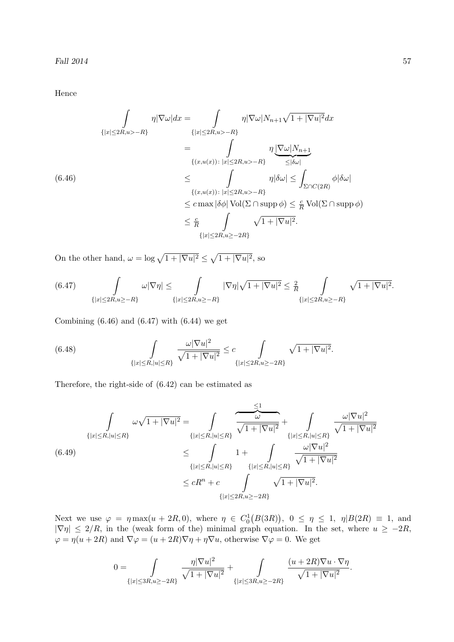Hence

$$
\int_{\{|x| \le 2R, u > -R\}} \eta |\nabla \omega| dx = \int_{\{|x| \le 2R, u > -R\}} \eta |\nabla \omega| N_{n+1} \sqrt{1+|\nabla u|^2} dx
$$
\n
$$
= \int_{\{(x, u(x)) : |x| \le 2R, u > -R\}} \eta \underbrace{|\nabla \omega| N_{n+1}}_{\le |\delta \omega|}
$$
\n(6.46)\n
$$
\le \int_{\{(x, u(x)) : |x| \le 2R, u > -R\}} \eta |\delta \omega| \le \int_{\Sigma \cap C(2R)} \phi |\delta \omega|
$$
\n
$$
\le c \max |\delta \phi| \operatorname{Vol}(\Sigma \cap \operatorname{supp} \phi) \le \frac{c}{R} \operatorname{Vol}(\Sigma \cap \operatorname{supp} \phi)
$$
\n
$$
\le \frac{c}{R} \int_{\{|x| \le 2R, u \ge -2R\}} \sqrt{1+|\nabla u|^2}.
$$

On the other hand,  $\omega = \log \sqrt{1 + |\nabla u|^2} \leq \sqrt{1 + |\nabla u|^2}$ , so

$$
(6.47) \qquad \int\limits_{\{|x| \leq 2R, u \geq -R\}} \omega |\nabla \eta| \leq \int\limits_{\{|x| \leq 2R, u \geq -R\}} |\nabla \eta|\sqrt{1+|\nabla u|^2} \leq \frac{2}{R} \int\limits_{\{|x| \leq 2R, u \geq -R\}} \sqrt{1+|\nabla u|^2}.
$$

Combining  $(6.46)$  and  $(6.47)$  with  $(6.44)$  we get

(6.48) 
$$
\int_{\{|x| \le R, |u| \le R\}} \frac{\omega |\nabla u|^2}{\sqrt{1 + |\nabla u|^2}} \le c \int_{\{|x| \le 2R, u \ge -2R\}} \sqrt{1 + |\nabla u|^2}.
$$

Therefore, the right-side of (6.42) can be estimated as

$$
\int_{\{|x| \le R, |u| \le R\}} \omega \sqrt{1 + |\nabla u|^2} = \int_{\{|x| \le R, |u| \le R\}} \frac{\omega}{\sqrt{1 + |\nabla u|^2}} + \int_{\{|x| \le R, |u| \le R\}} \frac{\omega |\nabla u|^2}{\sqrt{1 + |\nabla u|^2}}
$$
\n(6.49)\n
$$
\le \int_{\{|x| \le R, |u| \le R\}} 1 + \int_{\{|x| \le R, |u| \le R\}} \frac{\omega |\nabla u|^2}{\sqrt{1 + |\nabla u|^2}}
$$
\n
$$
\le cR^n + c \int_{\{|x| \le 2R, u \ge -2R\}} \sqrt{1 + |\nabla u|^2}.
$$

Next we use  $\varphi = \eta \max(u + 2R, 0)$ , where  $\eta \in C_0^1(B(3R))$ ,  $0 \leq \eta \leq 1$ ,  $\eta|B(2R) \equiv 1$ , and  $|\nabla \eta| \leq 2/R$ , in the (weak form of the) minimal graph equation. In the set, where  $u \geq -2R$ ,  $\varphi = \eta(u + 2R)$  and  $\nabla \varphi = (u + 2R)\nabla \eta + \eta \nabla u$ , otherwise  $\nabla \varphi = 0$ . We get

$$
0 = \int_{\{|x| \le 3R, u \ge -2R\}} \frac{\eta |\nabla u|^2}{\sqrt{1+|\nabla u|^2}} + \int_{\{|x| \le 3R, u \ge -2R\}} \frac{(u+2R)\nabla u \cdot \nabla \eta}{\sqrt{1+|\nabla u|^2}}.
$$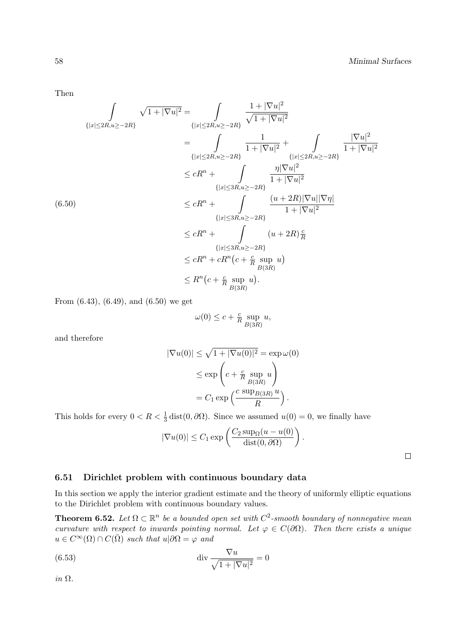Then

$$
\int_{\{|x| \le 2R, u \ge -2R\}} \sqrt{1+|\nabla u|^2} = \int_{\{|x| \le 2R, u \ge -2R\}} \frac{1+|\nabla u|^2}{\sqrt{1+|\nabla u|^2}} \n= \int_{\{|x| \le 2R, u \ge -2R\}} \frac{1}{1+|\nabla u|^2} + \int_{\{|x| \le 2R, u \ge -2R\}} \frac{|\nabla u|^2}{1+|\nabla u|^2} \n\le cR^n + \int_{\{|x| \le 3R, u \ge -2R\}} \frac{\eta |\nabla u|^2}{1+|\nabla u|^2} \n(6.50) \n\le cR^n + \int_{\{|x| \le 3R, u \ge -2R\}} \frac{(u+2R)|\nabla u||\nabla \eta|}{1+|\nabla u|^2} \n\le cR^n + \int_{\{|x| \le 3R, u \ge -2R\}} (u+2R)\frac{\varepsilon}{R} \n\le cR^n + cR^n(c + \frac{c}{R} \sup_{B(3R)} u) \n\le R^n(c + \frac{c}{R} \sup_{B(3R)} u).
$$

From (6.43), (6.49), and (6.50) we get

$$
\omega(0) \le c + \frac{c}{R} \sup_{B(3R)} u,
$$

and therefore

$$
|\nabla u(0)| \le \sqrt{1 + |\nabla u(0)|^2} = \exp \omega(0)
$$
  

$$
\le \exp\left(c + \frac{c}{R} \sup_{B(3R)} u\right)
$$
  

$$
= C_1 \exp\left(\frac{c \sup_{B(3R)} u}{R}\right).
$$

This holds for every  $0 < R < \frac{1}{3}$  dist $(0, \partial \Omega)$ . Since we assumed  $u(0) = 0$ , we finally have

$$
|\nabla u(0)| \le C_1 \exp\left(\frac{C_2 \sup_{\Omega} (u - u(0))}{\text{dist}(0, \partial \Omega)}\right)
$$

.

 $\Box$ 

## 6.51 Dirichlet problem with continuous boundary data

In this section we apply the interior gradient estimate and the theory of uniformly elliptic equations to the Dirichlet problem with continuous boundary values.

**Theorem 6.52.** Let  $\Omega \subset \mathbb{R}^n$  be a bounded open set with  $C^2$ -smooth boundary of nonnegative mean curvature with respect to inwards pointing normal. Let  $\varphi \in C(\partial \Omega)$ . Then there exists a unique  $u \in C^{\infty}(\Omega) \cap C(\overline{\Omega})$  such that  $u|\partial\Omega = \varphi$  and

(6.53) 
$$
\operatorname{div} \frac{\nabla u}{\sqrt{1+|\nabla u|^2}} = 0
$$

in Ω.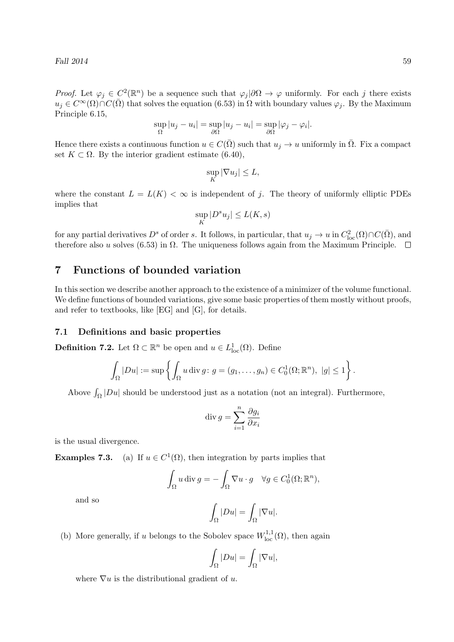*Proof.* Let  $\varphi_j \in C^2(\mathbb{R}^n)$  be a sequence such that  $\varphi_j|\partial\Omega \to \varphi$  uniformly. For each j there exists  $u_j \in C^{\infty}(\Omega) \cap C(\overline{\Omega})$  that solves the equation (6.53) in  $\Omega$  with boundary values  $\varphi_j$ . By the Maximum Principle 6.15,

$$
\sup_{\Omega}|u_j - u_i| = \sup_{\partial\Omega}|u_j - u_i| = \sup_{\partial\Omega}|\varphi_j - \varphi_i|.
$$

Hence there exists a continuous function  $u \in C(\overline{\Omega})$  such that  $u_j \to u$  uniformly in  $\overline{\Omega}$ . Fix a compact set  $K \subset \Omega$ . By the interior gradient estimate (6.40),

$$
\sup_K |\nabla u_j| \leq L,
$$

where the constant  $L = L(K) < \infty$  is independent of j. The theory of uniformly elliptic PDEs implies that

$$
\sup_K |D^s u_j| \le L(K,s)
$$

for any partial derivatives  $D^s$  of order s. It follows, in particular, that  $u_j \to u$  in  $C^2_{loc}(\Omega) \cap C(\overline{\Omega})$ , and therefore also u solves (6.53) in  $\Omega$ . The uniqueness follows again from the Maximum Principle.  $\Box$ 

## 7 Functions of bounded variation

In this section we describe another approach to the existence of a minimizer of the volume functional. We define functions of bounded variations, give some basic properties of them mostly without proofs, and refer to textbooks, like [EG] and [G], for details.

#### 7.1 Definitions and basic properties

**Definition 7.2.** Let  $\Omega \subset \mathbb{R}^n$  be open and  $u \in L^1_{loc}(\Omega)$ . Define

$$
\int_{\Omega} |Du| := \sup \left\{ \int_{\Omega} u \operatorname{div} g : g = (g_1, \dots, g_n) \in C_0^1(\Omega; \mathbb{R}^n), \ |g| \le 1 \right\}.
$$

Above  $\int_{\Omega} |Du|$  should be understood just as a notation (not an integral). Furthermore,

$$
\operatorname{div} g = \sum_{i=1}^{n} \frac{\partial g_i}{\partial x_i}
$$

is the usual divergence.

**Examples 7.3.** (a) If  $u \in C^1(\Omega)$ , then integration by parts implies that

$$
\int_{\Omega} u \operatorname{div} g = -\int_{\Omega} \nabla u \cdot g \quad \forall g \in C_0^1(\Omega; \mathbb{R}^n),
$$

and so

$$
\int_{\Omega} |Du| = \int_{\Omega} |\nabla u|.
$$

(b) More generally, if u belongs to the Sobolev space  $W^{1,1}_{loc}(\Omega)$ , then again

$$
\int_{\Omega} |Du| = \int_{\Omega} |\nabla u|,
$$

where  $\nabla u$  is the distributional gradient of u.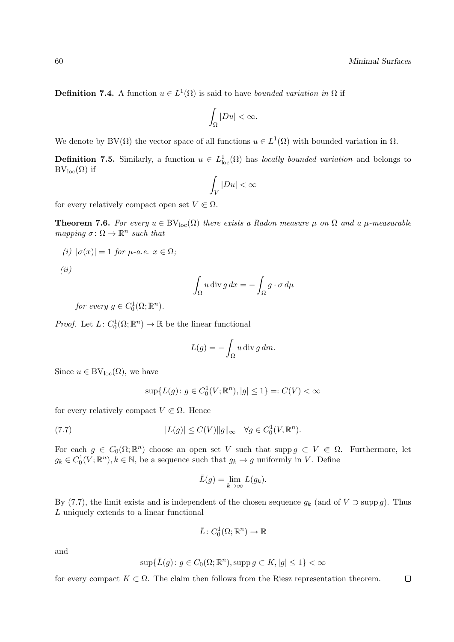**Definition 7.4.** A function  $u \in L^1(\Omega)$  is said to have bounded variation in  $\Omega$  if

$$
\int_{\Omega}|Du|<\infty.
$$

We denote by BV( $\Omega$ ) the vector space of all functions  $u \in L^1(\Omega)$  with bounded variation in  $\Omega$ .

**Definition 7.5.** Similarly, a function  $u \in L^1_{loc}(\Omega)$  has *locally bounded variation* and belongs to  $BV_{loc}(\Omega)$  if

$$
\int_V |Du| < \infty
$$

for every relatively compact open set  $V \n\in \Omega$ .

**Theorem 7.6.** For every  $u \in BV_{loc}(\Omega)$  there exists a Radon measure  $\mu$  on  $\Omega$  and a  $\mu$ -measurable mapping  $\sigma \colon \Omega \to \mathbb{R}^n$  such that

$$
(i) |\sigma(x)| = 1 \text{ for } \mu\text{-}a.e. x \in \Omega;
$$

(ii)

$$
\int_{\Omega} u \operatorname{div} g \, dx = -\int_{\Omega} g \cdot \sigma \, d\mu
$$

for every  $g \in C_0^1(\Omega; \mathbb{R}^n)$ .

*Proof.* Let  $L: C_0^1(\Omega; \mathbb{R}^n) \to \mathbb{R}$  be the linear functional

$$
L(g) = -\int_{\Omega} u \operatorname{div} g \, dm.
$$

Since  $u \in BV_{loc}(\Omega)$ , we have

$$
\sup \{ L(g) \colon g \in C_0^1(V; \mathbb{R}^n), |g| \le 1 \} =: C(V) < \infty
$$

for every relatively compact  $V \in \Omega$ . Hence

(7.7) 
$$
|L(g)| \leq C(V) \|g\|_{\infty} \quad \forall g \in C_0^1(V, \mathbb{R}^n).
$$

For each  $g \in C_0(\Omega;\mathbb{R}^n)$  choose an open set V such that supp  $g \subset V \subset \Omega$ . Furthermore, let  $g_k \in C_0^1(V; \mathbb{R}^n), k \in \mathbb{N}$ , be a sequence such that  $g_k \to g$  uniformly in V. Define

$$
\bar{L}(g) = \lim_{k \to \infty} L(g_k).
$$

By (7.7), the limit exists and is independent of the chosen sequence  $g_k$  (and of  $V \supset \text{supp } g$ ). Thus L uniquely extends to a linear functional

$$
\bar{L}\colon C_0^1(\Omega;\mathbb{R}^n)\to\mathbb{R}
$$

and

$$
\sup \{ \bar{L}(g) \colon g \in C_0(\Omega; \mathbb{R}^n), \operatorname{supp} g \subset K, |g| \le 1 \} < \infty
$$

for every compact  $K \subset \Omega$ . The claim then follows from the Riesz representation theorem.  $\Box$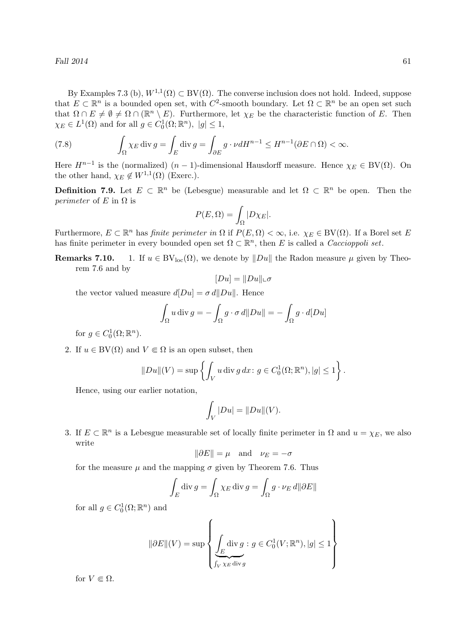By Examples 7.3 (b),  $W^{1,1}(\Omega) \subset BV(\Omega)$ . The converse inclusion does not hold. Indeed, suppose that  $E \subset \mathbb{R}^n$  is a bounded open set, with  $C^2$ -smooth boundary. Let  $\Omega \subset \mathbb{R}^n$  be an open set such that  $\Omega \cap E \neq \emptyset \neq \Omega \cap (\mathbb{R}^n \setminus E)$ . Furthermore, let  $\chi_E$  be the characteristic function of E. Then  $\chi_E \in L^1(\Omega)$  and for all  $g \in C_0^1(\Omega; \mathbb{R}^n)$ ,  $|g| \leq 1$ ,

(7.8) 
$$
\int_{\Omega} \chi_E \operatorname{div} g = \int_E \operatorname{div} g = \int_{\partial E} g \cdot \nu dH^{n-1} \le H^{n-1}(\partial E \cap \Omega) < \infty.
$$

Here  $H^{n-1}$  is the (normalized)  $(n-1)$ -dimensional Hausdorff measure. Hence  $\chi_E \in BV(\Omega)$ . On the other hand,  $\chi_E \notin W^{1,1}(\Omega)$  (Exerc.).

**Definition 7.9.** Let  $E \subset \mathbb{R}^n$  be (Lebesgue) measurable and let  $\Omega \subset \mathbb{R}^n$  be open. Then the *perimeter* of E in  $\Omega$  is

$$
P(E,\Omega) = \int_{\Omega} |D\chi_E|.
$$

Furthermore,  $E \subset \mathbb{R}^n$  has *finite perimeter in*  $\Omega$  if  $P(E, \Omega) < \infty$ , i.e.  $\chi_E \in BV(\Omega)$ . If a Borel set E has finite perimeter in every bounded open set  $\Omega \subset \mathbb{R}^n$ , then E is called a *Caccioppoli set*.

**Remarks 7.10.** 1. If  $u \in BV_{loc}(\Omega)$ , we denote by  $\|Du\|$  the Radon measure  $\mu$  given by Theorem 7.6 and by

$$
[Du]=\|Du\|\llcorner\sigma
$$

the vector valued measure  $d|Du| = \sigma d||Du||$ . Hence

$$
\int_{\Omega} u \operatorname{div} g = -\int_{\Omega} g \cdot \sigma d||Du|| = -\int_{\Omega} g \cdot d[Du]
$$

for  $g \in C_0^1(\Omega; \mathbb{R}^n)$ .

2. If  $u \in BV(\Omega)$  and  $V \in \Omega$  is an open subset, then

$$
||Du||(V) = \sup \left\{ \int_V u \operatorname{div} g \, dx \colon g \in C_0^1(\Omega; \mathbb{R}^n), |g| \le 1 \right\}.
$$

Hence, using our earlier notation,

$$
\int_V |Du| = ||Du||(V).
$$

3. If  $E \subset \mathbb{R}^n$  is a Lebesgue measurable set of locally finite perimeter in  $\Omega$  and  $u = \chi_E$ , we also write

$$
\|\partial E\| = \mu
$$
 and  $\nu_E = -\sigma$ 

for the measure  $\mu$  and the mapping  $\sigma$  given by Theorem 7.6. Thus

$$
\int_{E} \operatorname{div} g = \int_{\Omega} \chi_{E} \operatorname{div} g = \int_{\Omega} g \cdot \nu_{E} d\|\partial E\|
$$

for all  $g \in C_0^1(\Omega; \mathbb{R}^n)$  and

$$
\|\partial E\|(V) = \sup \left\{ \underbrace{\int_E \text{div } g : g \in C_0^1(V; \mathbb{R}^n), |g| \le 1}_{\int_V \chi_E \text{div } g} \right\}
$$

for  $V \Subset \Omega$ .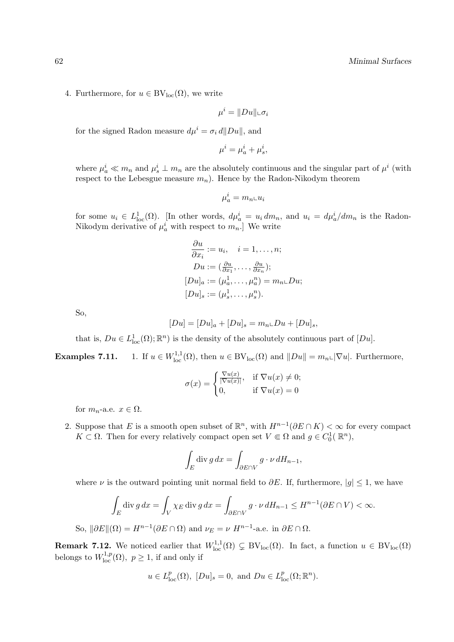4. Furthermore, for  $u \in BV_{loc}(\Omega)$ , we write

$$
\mu^i = ||Du|| \llcorner \sigma_i
$$

for the signed Radon measure  $d\mu^{i} = \sigma_{i} d\|Du\|$ , and

$$
\mu^i = \mu_a^i + \mu_s^i,
$$

where  $\mu_a^i \ll m_n$  and  $\mu_s^i \perp m_n$  are the absolutely continuous and the singular part of  $\mu^i$  (with respect to the Lebesgue measure  $m_n$ ). Hence by the Radon-Nikodym theorem

$$
\mu_a^i = m_{n} \llcorner u_i
$$

for some  $u_i \in L^1_{loc}(\Omega)$ . [In other words,  $d\mu_a^i = u_i dm_n$ , and  $u_i = d\mu_a^i/dm_n$  is the Radon-Nikodym derivative of  $\mu_a^i$  with respect to  $m_n$ . We write

$$
\frac{\partial u}{\partial x_i} := u_i, \quad i = 1, \dots, n;
$$
  
\n
$$
Du := (\frac{\partial u}{\partial x_1}, \dots, \frac{\partial u}{\partial x_n});
$$
  
\n
$$
[Du]_a := (\mu_a^1, \dots, \mu_a^n) = m_n \square Du;
$$
  
\n
$$
[Du]_s := (\mu_s^1, \dots, \mu_s^n).
$$

So,

$$
[Du] = [Du]_a + [Du]_s = m_n \llcorner Du + [Du]_s,
$$

that is,  $Du \in L^1_{loc}(\Omega)$ ;  $\mathbb{R}^n$ ) is the density of the absolutely continuous part of  $[Du]$ .

Examples 7.11.  $l_{\text{loc}}^{1,1,1}(\Omega)$ , then  $u \in BV_{\text{loc}}(\Omega)$  and  $||Du|| = m_{n} \cup |\nabla u|$ . Furthermore,

$$
\sigma(x) = \begin{cases} \frac{\nabla u(x)}{|\nabla u(x)|}, & \text{if } \nabla u(x) \neq 0; \\ 0, & \text{if } \nabla u(x) = 0 \end{cases}
$$

for  $m_n$ -a.e.  $x \in \Omega$ .

2. Suppose that E is a smooth open subset of  $\mathbb{R}^n$ , with  $H^{n-1}(\partial E \cap K) < \infty$  for every compact  $K \subset \Omega$ . Then for every relatively compact open set  $V \Subset \Omega$  and  $g \in C_0^1(\mathbb{R}^n)$ ,

$$
\int_E \operatorname{div} g \, dx = \int_{\partial E \cap V} g \cdot \nu \, dH_{n-1},
$$

where  $\nu$  is the outward pointing unit normal field to  $\partial E$ . If, furthermore,  $|g| \leq 1$ , we have

$$
\int_E \operatorname{div} g \, dx = \int_V \chi_E \operatorname{div} g \, dx = \int_{\partial E \cap V} g \cdot \nu \, dH_{n-1} \le H^{n-1}(\partial E \cap V) < \infty.
$$

So,  $\|\partial E\|(\Omega) = H^{n-1}(\partial E \cap \Omega)$  and  $\nu_E = \nu H^{n-1}$ -a.e. in  $\partial E \cap \Omega$ .

**Remark 7.12.** We noticed earlier that  $W^{1,1}_{loc}(\Omega) \subsetneq BV_{loc}(\Omega)$ . In fact, a function  $u \in BV_{loc}(\Omega)$ belongs to  $W^{1,p}_{loc}(\Omega)$ ,  $p \geq 1$ , if and only if

$$
u \in L_{loc}^p(\Omega)
$$
,  $[Du]_s = 0$ , and  $Du \in L_{loc}^p(\Omega; \mathbb{R}^n)$ .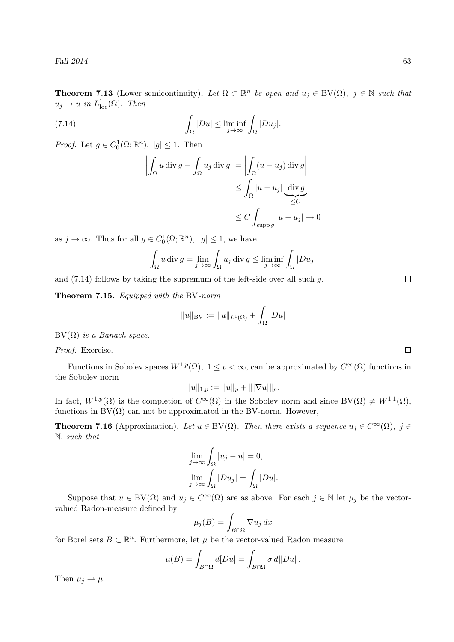Fall  $2014$  63

**Theorem 7.13** (Lower semicontinuity). Let  $\Omega \subset \mathbb{R}^n$  be open and  $u_j \in BV(\Omega)$ ,  $j \in \mathbb{N}$  such that  $u_j \to u$  in  $L^1_{loc}(\Omega)$ . Then

(7.14) 
$$
\int_{\Omega} |Du| \leq \liminf_{j \to \infty} \int_{\Omega} |Du_j|.
$$

*Proof.* Let  $g \in C_0^1(\Omega; \mathbb{R}^n)$ ,  $|g| \leq 1$ . Then

$$
\left| \int_{\Omega} u \operatorname{div} g - \int_{\Omega} u_j \operatorname{div} g \right| = \left| \int_{\Omega} (u - u_j) \operatorname{div} g \right|
$$
  

$$
\leq \int_{\Omega} |u - u_j| \underbrace{\left| \operatorname{div} g \right|}_{\leq C}
$$
  

$$
\leq C \int_{\operatorname{supp} g} |u - u_j| \to 0
$$

as  $j \to \infty$ . Thus for all  $g \in C_0^1(\Omega; \mathbb{R}^n)$ ,  $|g| \leq 1$ , we have

$$
\int_{\Omega} u \operatorname{div} g = \lim_{j \to \infty} \int_{\Omega} u_j \operatorname{div} g \le \liminf_{j \to \infty} \int_{\Omega} |Du_j|
$$

and  $(7.14)$  follows by taking the supremum of the left-side over all such g.

Theorem 7.15. Equipped with the BV-norm

$$
||u||_{BV} := ||u||_{L^1(\Omega)} + \int_{\Omega} |Du|
$$

 $BV(\Omega)$  is a Banach space.

Proof. Exercise.

Functions in Sobolev spaces  $W^{1,p}(\Omega)$ ,  $1 \leq p < \infty$ , can be approximated by  $C^{\infty}(\Omega)$  functions in the Sobolev norm

$$
||u||_{1,p} := ||u||_p + |||\nabla u|||_p.
$$

In fact,  $W^{1,p}(\Omega)$  is the completion of  $C^{\infty}(\Omega)$  in the Sobolev norm and since  $BV(\Omega) \neq W^{1,1}(\Omega)$ , functions in  $BV(\Omega)$  can not be approximated in the BV-norm. However,

**Theorem 7.16** (Approximation). Let  $u \in BV(\Omega)$ . Then there exists a sequence  $u_i \in C^{\infty}(\Omega)$ ,  $j \in$ N, such that

$$
\lim_{j \to \infty} \int_{\Omega} |u_j - u| = 0,
$$
  

$$
\lim_{j \to \infty} \int_{\Omega} |Du_j| = \int_{\Omega} |Du|.
$$

Suppose that  $u \in BV(\Omega)$  and  $u_j \in C^{\infty}(\Omega)$  are as above. For each  $j \in \mathbb{N}$  let  $\mu_j$  be the vectorvalued Radon-measure defined by

$$
\mu_j(B) = \int_{B \cap \Omega} \nabla u_j \, dx
$$

for Borel sets  $B \subset \mathbb{R}^n$ . Furthermore, let  $\mu$  be the vector-valued Radon measure

$$
\mu(B) = \int_{B \cap \Omega} d[Du] = \int_{B \cap \Omega} \sigma \, d\|Du\|.
$$

Then  $\mu_i \rightharpoonup \mu$ .

 $\Box$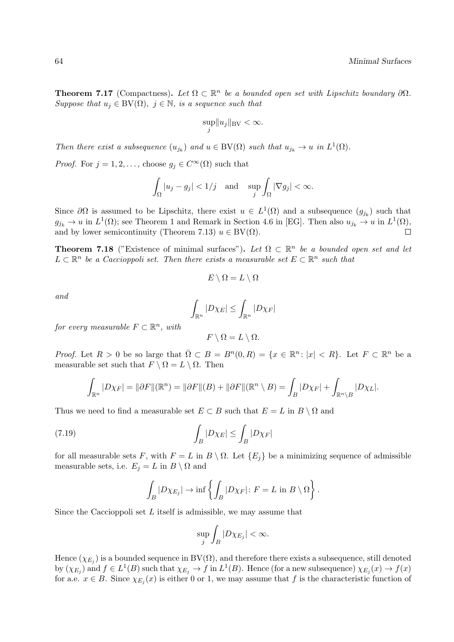**Theorem 7.17** (Compactness). Let  $\Omega \subset \mathbb{R}^n$  be a bounded open set with Lipschitz boundary  $\partial\Omega$ . Suppose that  $u_j \in BV(\Omega)$ ,  $j \in \mathbb{N}$ , is a sequence such that

$$
\sup_j \|u_j\|_{\text{BV}} < \infty.
$$

Then there exist a subsequence  $(u_{j_k})$  and  $u \in BV(\Omega)$  such that  $u_{j_k} \to u$  in  $L^1(\Omega)$ .

*Proof.* For  $j = 1, 2, \ldots$ , choose  $g_j \in C^{\infty}(\Omega)$  such that

$$
\int_{\Omega}|u_j - g_j| < 1/j \quad \text{and} \quad \sup_j \int_{\Omega} |\nabla g_j| < \infty.
$$

Since  $\partial\Omega$  is assumed to be Lipschitz, there exist  $u \in L^1(\Omega)$  and a subsequence  $(g_{j_k})$  such that  $g_{j_k} \to u$  in  $L^1(\Omega)$ ; see Theorem 1 and Remark in Section 4.6 in [EG]. Then also  $u_{j_k} \to u$  in  $L^1(\Omega)$ , and by lower semicontinuity (Theorem 7.13)  $u \in BV(\Omega)$ .

**Theorem 7.18** ("Existence of minimal surfaces"). Let  $\Omega \subset \mathbb{R}^n$  be a bounded open set and let  $L \subset \mathbb{R}^n$  be a Caccioppoli set. Then there exists a measurable set  $E \subset \mathbb{R}^n$  such that

$$
E\setminus \Omega=L\setminus \Omega
$$

and

$$
\int_{\mathbb{R}^n} |D\chi_E| \le \int_{\mathbb{R}^n} |D\chi_F|
$$

for every measurable  $F \subset \mathbb{R}^n$ , with

$$
F \setminus \Omega = L \setminus \Omega.
$$

*Proof.* Let  $R > 0$  be so large that  $\overline{\Omega} \subset B = B^{n}(0,R) = \{x \in \mathbb{R}^{n} : |x| < R\}$ . Let  $F \subset \mathbb{R}^{n}$  be a measurable set such that  $F \setminus \Omega = L \setminus \Omega$ . Then

$$
\int_{\mathbb{R}^n} |D\chi_F| = \|\partial F\|(\mathbb{R}^n) = \|\partial F\|(B) + \|\partial F\|(\mathbb{R}^n \setminus B) = \int_B |D\chi_F| + \int_{\mathbb{R}^n \setminus B} |D\chi_L|.
$$

Thus we need to find a measurable set  $E \subset B$  such that  $E = L$  in  $B \setminus \Omega$  and

(7.19) 
$$
\int_{B} |D\chi_{E}| \leq \int_{B} |D\chi_{F}|
$$

for all measurable sets F, with  $F = L$  in  $B \setminus \Omega$ . Let  $\{E_i\}$  be a minimizing sequence of admissible measurable sets, i.e.  $E_j = L$  in  $B \setminus \Omega$  and

$$
\int_B |D\chi_{E_j}| \to \inf \left\{ \int_B |D\chi_F| \colon F = L \text{ in } B \setminus \Omega \right\}.
$$

Since the Caccioppoli set  $L$  itself is admissible, we may assume that

$$
\sup_j \int_B |D\chi_{E_j}| < \infty.
$$

Hence  $(\chi_{E_j})$  is a bounded sequence in BV( $\Omega$ ), and therefore there exists a subsequence, still denoted by  $(\chi_{E_j})$  and  $f \in L^1(B)$  such that  $\chi_{E_j} \to f$  in  $L^1(B)$ . Hence (for a new subsequence)  $\chi_{E_j}(x) \to f(x)$ for a.e.  $x \in B$ . Since  $\chi_{E_j}(x)$  is either 0 or 1, we may assume that f is the characteristic function of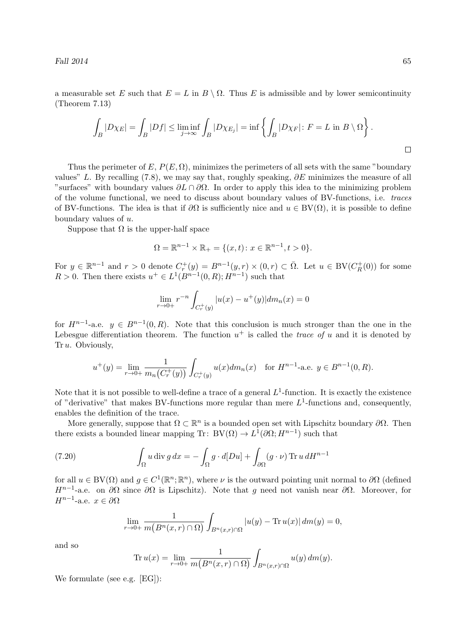a measurable set E such that  $E = L$  in  $B \setminus \Omega$ . Thus E is admissible and by lower semicontinuity (Theorem 7.13)

$$
\int_B |D\chi_E| = \int_B |Df| \le \liminf_{j \to \infty} \int_B |D\chi_{E_j}| = \inf \left\{ \int_B |D\chi_F| \colon F = L \text{ in } B \setminus \Omega \right\}.
$$

Thus the perimeter of E,  $P(E, \Omega)$ , minimizes the perimeters of all sets with the same "boundary" values" L. By recalling (7.8), we may say that, roughly speaking,  $\partial E$  minimizes the measure of all "surfaces" with boundary values  $\partial L \cap \partial \Omega$ . In order to apply this idea to the minimizing problem of the volume functional, we need to discuss about boundary values of BV-functions, i.e. traces of BV-functions. The idea is that if  $\partial\Omega$  is sufficiently nice and  $u \in BV(\Omega)$ , it is possible to define boundary values of u.

Suppose that  $\Omega$  is the upper-half space

$$
\Omega = \mathbb{R}^{n-1} \times \mathbb{R}_+ = \{(x, t) : x \in \mathbb{R}^{n-1}, t > 0\}.
$$

For  $y \in \mathbb{R}^{n-1}$  and  $r > 0$  denote  $C_r^+(y) = B^{n-1}(y,r) \times (0,r) \subset \overline{\Omega}$ . Let  $u \in BV(C_R^+$  $\binom{H}{R}(0)$  for some  $R > 0$ . Then there exists  $u^+ \in L^1(B^{n-1}(0,R); H^{n-1})$  such that

$$
\lim_{r \to 0+} r^{-n} \int_{C_r^+(y)} |u(x) - u^+(y)| dm_n(x) = 0
$$

for  $H^{n-1}$ -a.e.  $y \in B^{n-1}(0,R)$ . Note that this conclusion is much stronger than the one in the Lebesgue differentiation theorem. The function  $u^+$  is called the *trace of u* and it is denoted by Tr u. Obviously,

$$
u^+(y) = \lim_{r \to 0+} \frac{1}{m_n(C_r^+(y))} \int_{C_r^+(y)} u(x) dm_n(x) \quad \text{for } H^{n-1}\text{-a.e. } y \in B^{n-1}(0,R).
$$

Note that it is not possible to well-define a trace of a general  $L^1$ -function. It is exactly the existence of "derivative" that makes BV-functions more regular than mere  $L^1$ -functions and, consequently, enables the definition of the trace.

More generally, suppose that  $\Omega \subset \mathbb{R}^n$  is a bounded open set with Lipschitz boundary  $\partial \Omega$ . Then there exists a bounded linear mapping Tr:  $BV(\Omega) \to L^1(\partial\Omega; H^{n-1})$  such that

(7.20) 
$$
\int_{\Omega} u \operatorname{div} g \, dx = - \int_{\Omega} g \cdot d[Du] + \int_{\partial \Omega} (g \cdot \nu) \operatorname{Tr} u \, dH^{n-1}
$$

for all  $u \in BV(\Omega)$  and  $g \in C^1(\mathbb{R}^n;\mathbb{R}^n)$ , where  $\nu$  is the outward pointing unit normal to  $\partial\Omega$  (defined  $H^{n-1}$ -a.e. on  $\partial\Omega$  since  $\partial\Omega$  is Lipschitz). Note that g need not vanish near  $\partial\Omega$ . Moreover, for  $H^{n-1}$ -a.e.  $x \in \partial\Omega$ 

$$
\lim_{r \to 0+} \frac{1}{m(B^n(x,r) \cap \Omega)} \int_{B^n(x,r) \cap \Omega} |u(y) - \text{Tr } u(x)| \, dm(y) = 0,
$$

and so

$$
\operatorname{Tr} u(x) = \lim_{r \to 0+} \frac{1}{m(B^n(x,r) \cap \Omega)} \int_{B^n(x,r) \cap \Omega} u(y) \, dm(y).
$$

We formulate (see e.g. [EG]):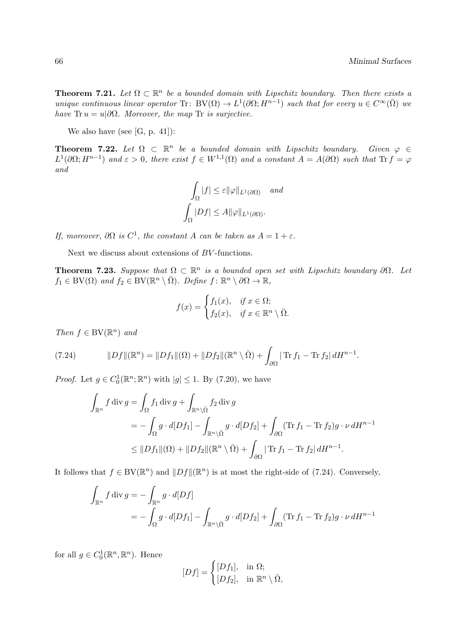**Theorem 7.21.** Let  $\Omega \subset \mathbb{R}^n$  be a bounded domain with Lipschitz boundary. Then there exists a unique continuous linear operator Tr: BV( $\Omega$ )  $\to L^1(\partial\Omega; H^{n-1})$  such that for every  $u \in C^{\infty}(\overline{\Omega})$  we have Tr  $u = u | \partial \Omega$ . Moreover, the map Tr is surjective.

We also have (see [G, p. 41]):

**Theorem 7.22.** Let  $\Omega \subset \mathbb{R}^n$  be a bounded domain with Lipschitz boundary. Given  $\varphi \in \mathbb{R}^n$  $L^1(\partial\Omega; H^{n-1})$  and  $\varepsilon > 0$ , there exist  $f \in W^{1,1}(\Omega)$  and a constant  $A = A(\partial\Omega)$  such that  $\text{Tr } f = \varphi$ and

$$
\int_{\Omega} |f| \leq \varepsilon ||\varphi||_{L^{1}(\partial \Omega)} \quad \text{and}
$$

$$
\int_{\Omega} |Df| \leq A ||\varphi||_{L^{1}(\partial \Omega)}.
$$

If, moreover,  $\partial\Omega$  is  $C^1$ , the constant A can be taken as  $A = 1 + \varepsilon$ .

Next we discuss about extensions of BV -functions.

**Theorem 7.23.** Suppose that  $\Omega \subset \mathbb{R}^n$  is a bounded open set with Lipschitz boundary  $\partial \Omega$ . Let  $f_1 \in BV(\Omega)$  and  $f_2 \in BV(\mathbb{R}^n \setminus \overline{\Omega})$ . Define  $f: \mathbb{R}^n \setminus \partial\Omega \to \mathbb{R}$ ,

$$
f(x) = \begin{cases} f_1(x), & \text{if } x \in \Omega; \\ f_2(x), & \text{if } x \in \mathbb{R}^n \setminus \overline{\Omega}. \end{cases}
$$

Then  $f \in BV(\mathbb{R}^n)$  and

(7.24) 
$$
||Df||(\mathbb{R}^n) = ||Df_1||(\Omega) + ||Df_2||(\mathbb{R}^n \setminus \overline{\Omega}) + \int_{\partial\Omega} |\operatorname{Tr} f_1 - \operatorname{Tr} f_2| dH^{n-1}.
$$

*Proof.* Let  $g \in C_0^1(\mathbb{R}^n; \mathbb{R}^n)$  with  $|g| \leq 1$ . By (7.20), we have

$$
\int_{\mathbb{R}^n} f \operatorname{div} g = \int_{\Omega} f_1 \operatorname{div} g + \int_{\mathbb{R}^n \setminus \overline{\Omega}} f_2 \operatorname{div} g
$$
\n
$$
= - \int_{\Omega} g \cdot d[Df_1] - \int_{\mathbb{R}^n \setminus \overline{\Omega}} g \cdot d[Df_2] + \int_{\partial \Omega} (\operatorname{Tr} f_1 - \operatorname{Tr} f_2) g \cdot \nu dH^{n-1}
$$
\n
$$
\leq ||Df_1||(\Omega) + ||Df_2||(\mathbb{R}^n \setminus \overline{\Omega}) + \int_{\partial \Omega} |\operatorname{Tr} f_1 - \operatorname{Tr} f_2| dH^{n-1}.
$$

It follows that  $f \in BV(\mathbb{R}^n)$  and  $||Df||(\mathbb{R}^n)$  is at most the right-side of (7.24). Conversely,

$$
\int_{\mathbb{R}^n} f \operatorname{div} g = -\int_{\mathbb{R}^n} g \cdot d[Df]
$$
\n
$$
= -\int_{\Omega} g \cdot d[Df_1] - \int_{\mathbb{R}^n \setminus \bar{\Omega}} g \cdot d[Df_2] + \int_{\partial \Omega} (\operatorname{Tr} f_1 - \operatorname{Tr} f_2) g \cdot \nu dH^{n-1}
$$

for all  $g \in C_0^1(\mathbb{R}^n, \mathbb{R}^n)$ . Hence

$$
[Df] = \begin{cases} [Df_1], & \text{in } \Omega; \\ [Df_2], & \text{in } \mathbb{R}^n \setminus \overline{\Omega}, \end{cases}
$$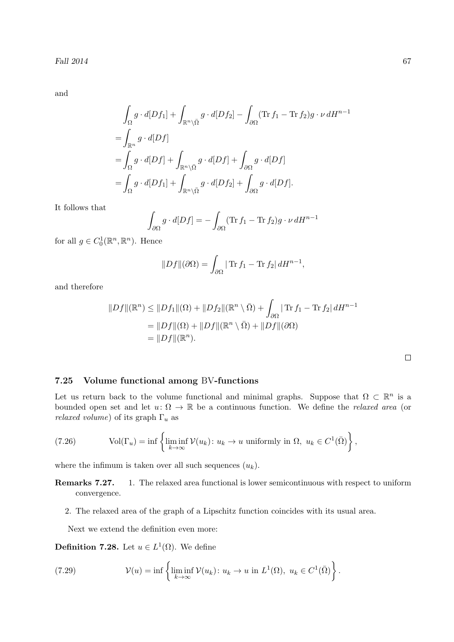and

$$
\int_{\Omega} g \cdot d[Df_1] + \int_{\mathbb{R}^n \setminus \overline{\Omega}} g \cdot d[Df_2] - \int_{\partial \Omega} (\operatorname{Tr} f_1 - \operatorname{Tr} f_2) g \cdot \nu dH^{n-1}
$$
\n
$$
= \int_{\mathbb{R}^n} g \cdot d[Df]
$$
\n
$$
= \int_{\Omega} g \cdot d[Df] + \int_{\mathbb{R}^n \setminus \overline{\Omega}} g \cdot d[Df] + \int_{\partial \Omega} g \cdot d[Df]
$$
\n
$$
= \int_{\Omega} g \cdot d[Df_1] + \int_{\mathbb{R}^n \setminus \overline{\Omega}} g \cdot d[Df_2] + \int_{\partial \Omega} g \cdot d[Df].
$$

It follows that

$$
\int_{\partial\Omega} g \cdot d[Df] = -\int_{\partial\Omega} (\text{Tr } f_1 - \text{Tr } f_2) g \cdot \nu dH^{n-1}
$$

for all  $g \in C_0^1(\mathbb{R}^n, \mathbb{R}^n)$ . Hence

$$
||Df||(\partial\Omega) = \int_{\partial\Omega} |\operatorname{Tr} f_1 - \operatorname{Tr} f_2| dH^{n-1},
$$

and therefore

$$
||Df||(\mathbb{R}^n) \le ||Df_1||(\Omega) + ||Df_2||(\mathbb{R}^n \setminus \overline{\Omega}) + \int_{\partial \Omega} |\operatorname{Tr} f_1 - \operatorname{Tr} f_2| dH^{n-1}
$$
  
=  $||Df||(\Omega) + ||Df||(\mathbb{R}^n \setminus \overline{\Omega}) + ||Df||(\partial \Omega)$   
=  $||Df||(\mathbb{R}^n).$ 

 $\Box$ 

### 7.25 Volume functional among BV-functions

Let us return back to the volume functional and minimal graphs. Suppose that  $\Omega \subset \mathbb{R}^n$  is a bounded open set and let  $u: \Omega \to \mathbb{R}$  be a continuous function. We define the *relaxed area* (or *relaxed volume*) of its graph  $\Gamma_u$  as

(7.26) Vol(
$$
\Gamma_u
$$
) = inf  $\left\{ \liminf_{k \to \infty} \mathcal{V}(u_k) : u_k \to u \text{ uniformly in } \Omega, u_k \in C^1(\bar{\Omega}) \right\},\$ 

where the infimum is taken over all such sequences  $(u_k)$ .

- Remarks 7.27. 1. The relaxed area functional is lower semicontinuous with respect to uniform convergence.
	- 2. The relaxed area of the graph of a Lipschitz function coincides with its usual area.

Next we extend the definition even more:

**Definition 7.28.** Let  $u \in L^1(\Omega)$ . We define

(7.29) 
$$
\mathcal{V}(u) = \inf \left\{ \liminf_{k \to \infty} \mathcal{V}(u_k) \colon u_k \to u \text{ in } L^1(\Omega), \ u_k \in C^1(\overline{\Omega}) \right\}.
$$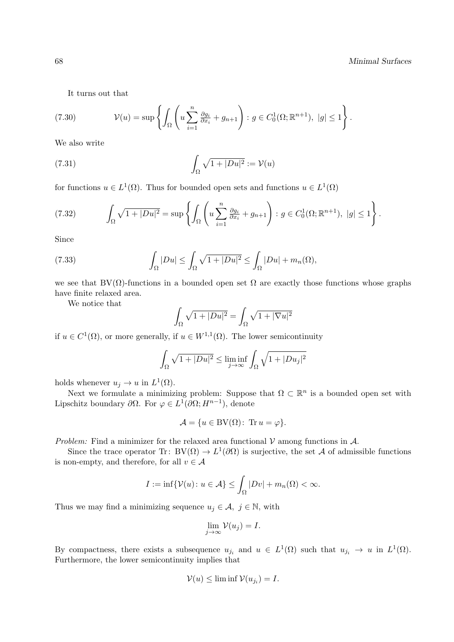It turns out that

(7.30) 
$$
\mathcal{V}(u) = \sup \left\{ \int_{\Omega} \left( u \sum_{i=1}^{n} \frac{\partial g_i}{\partial x_i} + g_{n+1} \right) : g \in C_0^1(\Omega; \mathbb{R}^{n+1}), \ |g| \le 1 \right\}.
$$

We also write

(7.31) 
$$
\int_{\Omega} \sqrt{1+|Du|^2} := \mathcal{V}(u)
$$

for functions  $u \in L^1(\Omega)$ . Thus for bounded open sets and functions  $u \in L^1(\Omega)$ 

$$
(7.32) \qquad \int_{\Omega} \sqrt{1+|Du|^2} = \sup \left\{ \int_{\Omega} \left( u \sum_{i=1}^n \frac{\partial g_i}{\partial x_i} + g_{n+1} \right) : g \in C_0^1(\Omega; \mathbb{R}^{n+1}), \ |g| \le 1 \right\}.
$$

Since

(7.33) 
$$
\int_{\Omega} |Du| \leq \int_{\Omega} \sqrt{1+|Du|^2} \leq \int_{\Omega} |Du| + m_n(\Omega),
$$

we see that  $BV(\Omega)$ -functions in a bounded open set  $\Omega$  are exactly those functions whose graphs have finite relaxed area.

We notice that

$$
\int_{\Omega} \sqrt{1+|Du|^2} = \int_{\Omega} \sqrt{1+|\nabla u|^2}
$$

if  $u \in C^1(\Omega)$ , or more generally, if  $u \in W^{1,1}(\Omega)$ . The lower semicontinuity

$$
\int_{\Omega} \sqrt{1 + |Du|^2} \le \liminf_{j \to \infty} \int_{\Omega} \sqrt{1 + |Du_j|^2}
$$

holds whenever  $u_j \to u$  in  $L^1(\Omega)$ .

Next we formulate a minimizing problem: Suppose that  $\Omega \subset \mathbb{R}^n$  is a bounded open set with Lipschitz boundary  $\partial\Omega$ . For  $\varphi \in L^1(\partial\Omega; H^{n-1})$ , denote

$$
\mathcal{A} = \{ u \in BV(\Omega) \colon \operatorname{Tr} u = \varphi \}.
$$

Problem: Find a minimizer for the relaxed area functional  $V$  among functions in  $A$ .

Since the trace operator Tr:  $BV(\Omega) \to L^1(\partial\Omega)$  is surjective, the set A of admissible functions is non-empty, and therefore, for all  $v \in A$ 

$$
I := \inf \{ \mathcal{V}(u) \colon u \in \mathcal{A} \} \le \int_{\Omega} |Dv| + m_n(\Omega) < \infty.
$$

Thus we may find a minimizing sequence  $u_j \in \mathcal{A}, j \in \mathbb{N}$ , with

$$
\lim_{j \to \infty} \mathcal{V}(u_j) = I.
$$

By compactness, there exists a subsequence  $u_{j_i}$  and  $u \in L^1(\Omega)$  such that  $u_{j_i} \to u$  in  $L^1(\Omega)$ . Furthermore, the lower semicontinuity implies that

$$
\mathcal{V}(u) \le \liminf \mathcal{V}(u_{j_i}) = I.
$$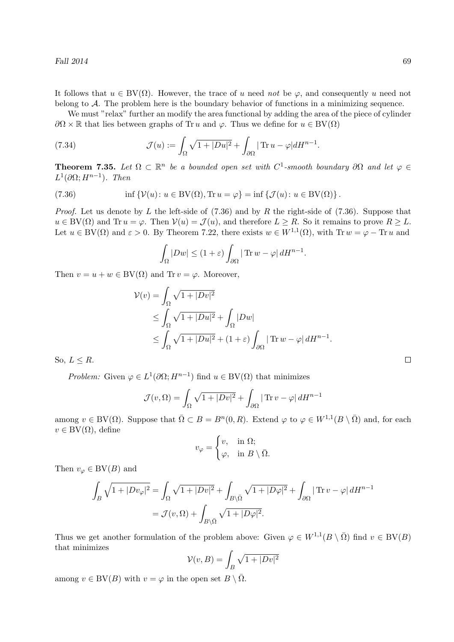It follows that  $u \in BV(\Omega)$ . However, the trace of u need not be  $\varphi$ , and consequently u need not belong to A. The problem here is the boundary behavior of functions in a minimizing sequence.

We must "relax" further an modify the area functional by adding the area of the piece of cylinder  $\partial\Omega \times \mathbb{R}$  that lies between graphs of Tr u and  $\varphi$ . Thus we define for  $u \in BV(\Omega)$ 

(7.34) 
$$
\mathcal{J}(u) := \int_{\Omega} \sqrt{1 + |Du|^2} + \int_{\partial \Omega} |\operatorname{Tr} u - \varphi| dH^{n-1}.
$$

**Theorem 7.35.** Let  $\Omega \subset \mathbb{R}^n$  be a bounded open set with  $C^1$ -smooth boundary  $\partial\Omega$  and let  $\varphi \in$  $L^1(\partial\Omega; H^{n-1})$ . Then

(7.36) 
$$
\inf \{ \mathcal{V}(u) \colon u \in BV(\Omega), \text{Tr } u = \varphi \} = \inf \{ \mathcal{J}(u) \colon u \in BV(\Omega) \}.
$$

*Proof.* Let us denote by L the left-side of  $(7.36)$  and by R the right-side of  $(7.36)$ . Suppose that  $u \in BV(\Omega)$  and Tr  $u = \varphi$ . Then  $V(u) = \mathcal{J}(u)$ , and therefore  $L \geq R$ . So it remains to prove  $R \geq L$ . Let  $u \in BV(\Omega)$  and  $\varepsilon > 0$ . By Theorem 7.22, there exists  $w \in W^{1,1}(\Omega)$ , with Tr  $w = \varphi - \text{Tr } u$  and

$$
\int_{\Omega} |Dw| \le (1+\varepsilon) \int_{\partial \Omega} |\operatorname{Tr} w - \varphi| \, dH^{n-1}.
$$

Then  $v = u + w \in BV(\Omega)$  and Tr  $v = \varphi$ . Moreover,

$$
\mathcal{V}(v) = \int_{\Omega} \sqrt{1 + |Dv|^2} \n\leq \int_{\Omega} \sqrt{1 + |Du|^2} + \int_{\Omega} |Dw| \n\leq \int_{\Omega} \sqrt{1 + |Du|^2} + (1 + \varepsilon) \int_{\partial \Omega} |\operatorname{Tr} w - \varphi| dH^{n-1}.
$$

So,  $L \leq R$ .

*Problem:* Given  $\varphi \in L^1(\partial\Omega; H^{n-1})$  find  $u \in BV(\Omega)$  that minimizes

$$
\mathcal{J}(v,\Omega) = \int_{\Omega} \sqrt{1+|Dv|^2} + \int_{\partial\Omega} |\operatorname{Tr} v - \varphi| \, dH^{n-1}
$$

among  $v \in BV(\Omega)$ . Suppose that  $\overline{\Omega} \subset B = B^n(0,R)$ . Extend  $\varphi$  to  $\varphi \in W^{1,1}(B \setminus \overline{\Omega})$  and, for each  $v \in BV(\Omega)$ , define

$$
v_{\varphi} = \begin{cases} v, & \text{in } \Omega; \\ \varphi, & \text{in } B \setminus \bar{\Omega}. \end{cases}
$$

Then  $v_{\varphi} \in BV(B)$  and

$$
\int_{B} \sqrt{1+|Dv_{\varphi}|^2} = \int_{\Omega} \sqrt{1+|Dv|^2} + \int_{B\setminus\bar{\Omega}} \sqrt{1+|D\varphi|^2} + \int_{\partial\Omega} |\operatorname{Tr} v - \varphi| dH^{n-1}
$$

$$
= \mathcal{J}(v, \Omega) + \int_{B\setminus\bar{\Omega}} \sqrt{1+|D\varphi|^2}.
$$

Thus we get another formulation of the problem above: Given  $\varphi \in W^{1,1}(B \setminus \overline{\Omega})$  find  $v \in BV(B)$ that minimizes

$$
\mathcal{V}(v, B) = \int_B \sqrt{1 + |Dv|^2}
$$

among  $v \in BV(B)$  with  $v = \varphi$  in the open set  $B \setminus \Omega$ .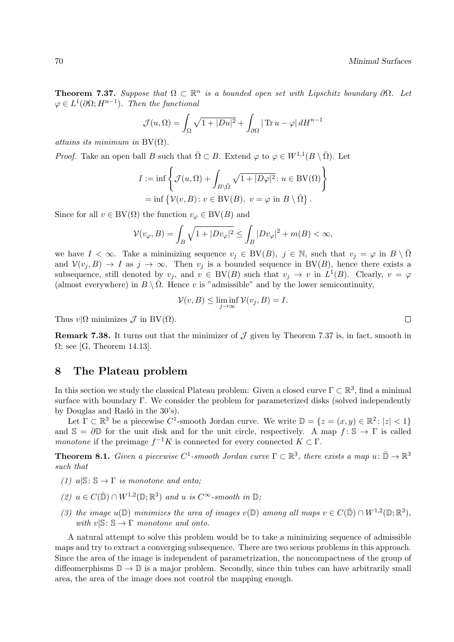**Theorem 7.37.** Suppose that  $\Omega \subset \mathbb{R}^n$  is a bounded open set with Lipschitz boundary  $\partial \Omega$ . Let  $\varphi \in L^1(\partial\Omega; H^{n-1})$ . Then the functional

$$
\mathcal{J}(u,\Omega) = \int_{\Omega} \sqrt{1 + |Du|^2} + \int_{\partial\Omega} |\operatorname{Tr} u - \varphi| \, dH^{n-1}
$$

attains its minimum in  $BV(\Omega)$ .

*Proof.* Take an open ball B such that  $\overline{\Omega} \subset B$ . Extend  $\varphi$  to  $\varphi \in W^{1,1}(B \setminus \overline{\Omega})$ . Let

$$
I := \inf \left\{ \mathcal{J}(u, \Omega) + \int_{B \setminus \bar{\Omega}} \sqrt{1 + |D\varphi|^2} : u \in BV(\Omega) \right\}
$$
  
= 
$$
\inf \left\{ \mathcal{V}(v, B) : v \in BV(B), v = \varphi \text{ in } B \setminus \bar{\Omega} \right\}.
$$

Since for all  $v \in BV(\Omega)$  the function  $v_{\varphi} \in BV(B)$  and

$$
\mathcal{V}(v_{\varphi},B) = \int_{B} \sqrt{1 + |D v_{\varphi}|^2} \le \int_{B} |D v_{\varphi}|^2 + m(B) < \infty,
$$

we have  $I < \infty$ . Take a minimizing sequence  $v_j \in BV(B)$ ,  $j \in \mathbb{N}$ , such that  $v_j = \varphi$  in  $B \setminus \overline{\Omega}$ and  $V(v_i, B) \to I$  as  $j \to \infty$ . Then  $v_j$  is a bounded sequence in BV(B), hence there exists a subsequence, still denoted by  $v_j$ , and  $v \in BV(B)$  such that  $v_j \to v$  in  $L^1(B)$ . Clearly,  $v = \varphi$ (almost everywhere) in  $B \setminus \overline{\Omega}$ . Hence v is "admissible" and by the lower semicontinuity,

$$
\mathcal{V}(v, B) \le \liminf_{j \to \infty} \mathcal{V}(v_j, B) = I.
$$

Thus  $v|\Omega$  minimizes  $\mathcal J$  in BV( $\Omega$ ).

**Remark 7.38.** It turns out that the minimizer of  $\mathcal J$  given by Theorem 7.37 is, in fact, smooth in  $\Omega$ ; see [G, Theorem 14.13].

# 8 The Plateau problem

In this section we study the classical Plateau problem: Given a closed curve  $\Gamma \subset \mathbb{R}^3$ , find a minimal surface with boundary Γ. We consider the problem for parameterized disks (solved independently by Douglas and Radó in the 30's).

Let  $\Gamma \subset \mathbb{R}^3$  be a piecewise  $C^1$ -smooth Jordan curve. We write  $\mathbb{D} = \{z = (x, y) \in \mathbb{R}^2 : |z| < 1\}$ and  $\mathbb{S} = \partial \mathbb{D}$  for the unit disk and for the unit circle, respectively. A map  $f : \mathbb{S} \to \Gamma$  is called monotone if the preimage  $f^{-1}K$  is connected for every connected  $K \subset \Gamma$ .

**Theorem 8.1.** Given a piecewise  $C^1$ -smooth Jordan curve  $\Gamma \subset \mathbb{R}^3$ , there exists a map  $u: \bar{\mathbb{D}} \to \mathbb{R}^3$ such that

- (1)  $u|\mathbb{S}: \mathbb{S} \to \Gamma$  is monotone and onto;
- (2)  $u \in C(\bar{\mathbb{D}}) \cap W^{1,2}(\mathbb{D}; \mathbb{R}^3)$  and u is  $C^{\infty}$ -smooth in  $\mathbb{D}$ ;
- (3) the image  $u(\mathbb{D})$  minimizes the area of images  $v(\mathbb{D})$  among all maps  $v \in C(\bar{\mathbb{D}}) \cap W^{1,2}(\mathbb{D};\mathbb{R}^3)$ , with  $v|S: S \to \Gamma$  monotone and onto.

A natural attempt to solve this problem would be to take a minimizing sequence of admissible maps and try to extract a converging subsequence. There are two serious problems in this approach. Since the area of the image is independent of parametrization, the noncompactness of the group of diffeomerphisms  $\mathbb{D} \to \mathbb{D}$  is a major problem. Secondly, since thin tubes can have arbitrarily small area, the area of the image does not control the mapping enough.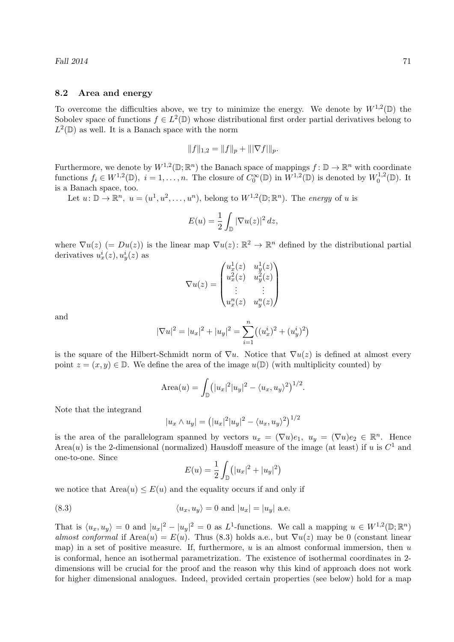#### 8.2 Area and energy

To overcome the difficulties above, we try to minimize the energy. We denote by  $W^{1,2}(\mathbb{D})$  the Sobolev space of functions  $f \in L^2(\mathbb{D})$  whose distributional first order partial derivatives belong to  $L^2(\mathbb{D})$  as well. It is a Banach space with the norm

$$
||f||_{1,2} = ||f||_p + |||\nabla f||_p.
$$

Furthermore, we denote by  $W^{1,2}(\mathbb{D};\mathbb{R}^n)$  the Banach space of mappings  $f: \mathbb{D} \to \mathbb{R}^n$  with coordinate functions  $f_i \in W^{1,2}(\mathbb{D}), i = 1,\ldots,n$ . The closure of  $C_0^{\infty}(\mathbb{D})$  in  $W^{1,2}(\mathbb{D})$  is denoted by  $W_0^{1,2}$  $i_0^{1,2}(\mathbb{D})$ . It is a Banach space, too.

Let  $u: \mathbb{D} \to \mathbb{R}^n$ ,  $u = (u^1, u^2, \dots, u^n)$ , belong to  $W^{1,2}(\mathbb{D}; \mathbb{R}^n)$ . The energy of u is

$$
E(u) = \frac{1}{2} \int_{\mathbb{D}} |\nabla u(z)|^2 dz,
$$

where  $\nabla u(z)$  (=  $Du(z)$ ) is the linear map  $\nabla u(z)$ :  $\mathbb{R}^2 \to \mathbb{R}^n$  defined by the distributional partial derivatives  $u_x^i(z)$ ,  $u_y^i(z)$  as

$$
\nabla u(z) = \begin{pmatrix} u_x^1(z) & u_y^1(z) \\ u_x^2(z) & u_y^2(z) \\ \vdots & \vdots \\ u_x^n(z) & u_y^n(z) \end{pmatrix}
$$

and

$$
|\nabla u|^2 = |u_x|^2 + |u_y|^2 = \sum_{i=1}^n ((u_x^i)^2 + (u_y^i)^2)
$$

is the square of the Hilbert-Schmidt norm of  $\nabla u$ . Notice that  $\nabla u(z)$  is defined at almost every point  $z = (x, y) \in \mathbb{D}$ . We define the area of the image  $u(\mathbb{D})$  (with multiplicity counted) by

Area(u) = 
$$
\int_{\mathbb{D}} (|u_x|^2 |u_y|^2 - \langle u_x, u_y \rangle^2)^{1/2}
$$
.

Note that the integrand

$$
|u_x \wedge u_y| = (|u_x|^2 |u_y|^2 - \langle u_x, u_y \rangle^2)^{1/2}
$$

is the area of the parallelogram spanned by vectors  $u_x = (\nabla u)e_1$ ,  $u_y = (\nabla u)e_2 \in \mathbb{R}^n$ . Hence Area $(u)$  is the 2-dimensional (normalized) Hausdoff measure of the image (at least) if u is  $C<sup>1</sup>$  and one-to-one. Since

$$
E(u) = \frac{1}{2} \int_{\mathbb{D}} (|u_x|^2 + |u_y|^2)
$$

we notice that  $Area(u) \leq E(u)$  and the equality occurs if and only if

(8.3) 
$$
\langle u_x, u_y \rangle = 0 \text{ and } |u_x| = |u_y| \text{ a.e.}
$$

That is  $\langle u_x, u_y \rangle = 0$  and  $|u_x|^2 - |u_y|^2 = 0$  as L<sup>1</sup>-functions. We call a mapping  $u \in W^{1,2}(\mathbb{D}; \mathbb{R}^n)$ almost conformal if Area $(u) = E(u)$ . Thus (8.3) holds a.e., but  $\nabla u(z)$  may be 0 (constant linear map) in a set of positive measure. If, furthermore,  $u$  is an almost conformal immersion, then  $u$ is conformal, hence an isothermal parametrization. The existence of isothermal coordinates in 2 dimensions will be crucial for the proof and the reason why this kind of approach does not work for higher dimensional analogues. Indeed, provided certain properties (see below) hold for a map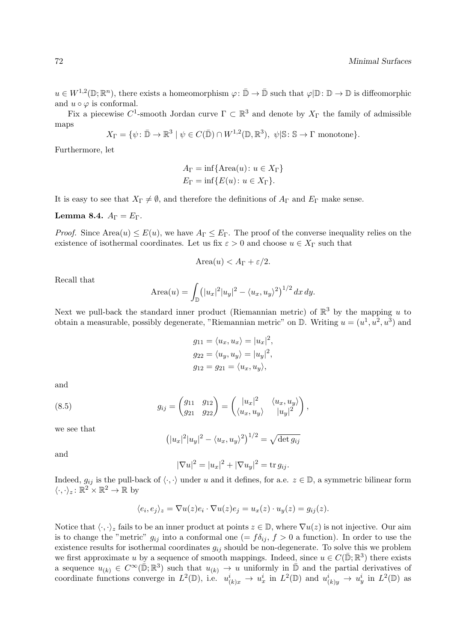$u \in W^{1,2}(\mathbb{D};\mathbb{R}^n)$ , there exists a homeomorphism  $\varphi: \bar{\mathbb{D}} \to \bar{\mathbb{D}}$  such that  $\varphi | \mathbb{D}: \mathbb{D} \to \mathbb{D}$  is diffeomorphic and  $u \circ \varphi$  is conformal.

Fix a piecewise C<sup>1</sup>-smooth Jordan curve  $\Gamma \subset \mathbb{R}^3$  and denote by  $X_{\Gamma}$  the family of admissible maps

$$
X_{\Gamma} = \{ \psi \colon \bar{\mathbb{D}} \to \mathbb{R}^3 \mid \psi \in C(\bar{\mathbb{D}}) \cap W^{1,2}(\mathbb{D}, \mathbb{R}^3), \psi | \mathbb{S} \colon \mathbb{S} \to \Gamma \text{ monotone} \}.
$$

Furthermore, let

$$
A_{\Gamma} = \inf \{ \text{Area}(u) : u \in X_{\Gamma} \}
$$

$$
E_{\Gamma} = \inf \{ E(u) : u \in X_{\Gamma} \}.
$$

It is easy to see that  $X_{\Gamma} \neq \emptyset$ , and therefore the definitions of  $A_{\Gamma}$  and  $E_{\Gamma}$  make sense.

Lemma 8.4.  $A_{\Gamma} = E_{\Gamma}$ .

*Proof.* Since Area $(u) \le E(u)$ , we have  $A_{\Gamma} \le E_{\Gamma}$ . The proof of the converse inequality relies on the existence of isothermal coordinates. Let us fix  $\varepsilon > 0$  and choose  $u \in X_{\Gamma}$  such that

$$
Area(u) < A_{\Gamma} + \varepsilon/2.
$$

Recall that

Area(u) = 
$$
\int_{\mathbb{D}} (|u_x|^2 |u_y|^2 - \langle u_x, u_y \rangle^2)^{1/2} dx dy.
$$

Next we pull-back the standard inner product (Riemannian metric) of  $\mathbb{R}^3$  by the mapping u to obtain a measurable, possibly degenerate, "Riemannian metric" on  $\mathbb{D}$ . Writing  $u = (u^1, u^2, u^3)$  and

$$
g_{11} = \langle u_x, u_x \rangle = |u_x|^2,
$$
  
\n
$$
g_{22} = \langle u_y, u_y \rangle = |u_y|^2,
$$
  
\n
$$
g_{12} = g_{21} = \langle u_x, u_y \rangle,
$$

and

(8.5) 
$$
g_{ij} = \begin{pmatrix} g_{11} & g_{12} \\ g_{21} & g_{22} \end{pmatrix} = \begin{pmatrix} |u_x|^2 & \langle u_x, u_y \rangle \\ \langle u_x, u_y \rangle & |u_y|^2 \end{pmatrix},
$$

we see that

$$
(|u_x|^2|u_y|^2 - \langle u_x, u_y \rangle^2)^{1/2} = \sqrt{\det g_{ij}}
$$

and

$$
|\nabla u|^2 = |u_x|^2 + |\nabla u_y|^2 = \text{tr } g_{ij}.
$$

Indeed,  $g_{ij}$  is the pull-back of  $\langle \cdot, \cdot \rangle$  under u and it defines, for a.e.  $z \in \mathbb{D}$ , a symmetric bilinear form  $\langle \cdot, \cdot \rangle_z : \mathbb{R}^2 \times \mathbb{R}^2 \to \mathbb{R}$  by

$$
\langle e_i, e_j \rangle_z = \nabla u(z) e_i \cdot \nabla u(z) e_j = u_x(z) \cdot u_y(z) = g_{ij}(z).
$$

Notice that  $\langle \cdot, \cdot \rangle_z$  fails to be an inner product at points  $z \in \mathbb{D}$ , where  $\nabla u(z)$  is not injective. Our aim is to change the "metric"  $g_{ij}$  into a conformal one (=  $f\delta_{ij}$ ,  $f > 0$  a function). In order to use the existence results for isothermal coordinates  $g_{ij}$  should be non-degenerate. To solve this we problem we first approximate u by a sequence of smooth mappings. Indeed, since  $u \in C(\mathbb{D}; \mathbb{R}^3)$  there exists a sequence  $u_{(k)} \in C^{\infty}(\mathbb{\bar{D}};\mathbb{R}^3)$  such that  $u_{(k)} \to u$  uniformly in  $\mathbb{\bar{D}}$  and the partial derivatives of coordinate functions converge in  $L^2(\mathbb{D})$ , i.e.  $u^i_{(k)x} \to u^i_x$  in  $L^2(\mathbb{D})$  and  $u^i_{(k)y} \to u^i_y$  in  $L^2(\mathbb{D})$  as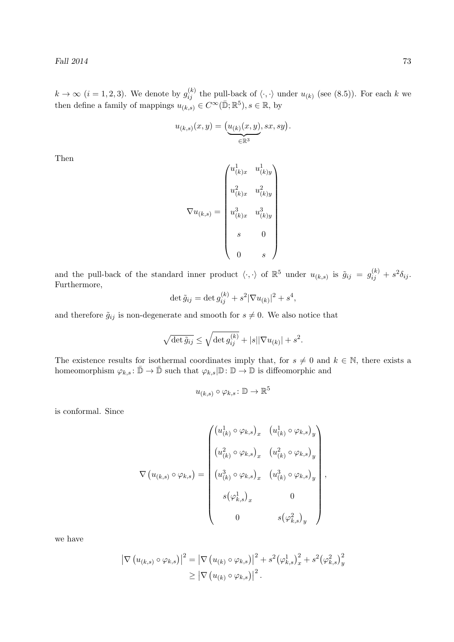$k \to \infty$   $(i = 1, 2, 3)$ . We denote by  $g_{ij}^{(k)}$  the pull-back of  $\langle \cdot, \cdot \rangle$  under  $u_{(k)}$  (see (8.5)). For each k we then define a family of mappings  $u_{(k,s)} \in C^{\infty}(\bar{\mathbb{D}}; \mathbb{R}^5), s \in \mathbb{R}$ , by

$$
u_{(k,s)}(x,y) = \underbrace{(u_{(k)}(x,y)}_{\in \mathbb{R}^3}, sx, sy).
$$

Then

$$
\nabla u_{(k,s)} = \begin{pmatrix} u_{(k)x}^1 & u_{(k)y}^1 \\ u_{(k)x}^2 & u_{(k)y}^2 \\ u_{(k)x}^3 & u_{(k)y}^3 \\ s & 0 \\ 0 & s \end{pmatrix}
$$

and the pull-back of the standard inner product  $\langle \cdot, \cdot \rangle$  of  $\mathbb{R}^5$  under  $u_{(k,s)}$  is  $\tilde{g}_{ij} = g_{ij}^{(k)} + s^2 \delta_{ij}$ . Furthermore,

$$
\det \tilde{g}_{ij} = \det g_{ij}^{(k)} + s^2 |\nabla u_{(k)}|^2 + s^4,
$$

and therefore  $\tilde{g}_{ij}$  is non-degenerate and smooth for  $s \neq 0$ . We also notice that

$$
\sqrt{\det \tilde{g}_{ij}} \le \sqrt{\det g_{ij}^{(k)}} + |s| |\nabla u_{(k)}| + s^2.
$$

The existence results for isothermal coordinates imply that, for  $s \neq 0$  and  $k \in \mathbb{N}$ , there exists a homeomorphism  $\varphi_{k,s} \colon \bar{\mathbb{D}} \to \bar{\mathbb{D}}$  such that  $\varphi_{k,s} | \mathbb{D} \colon \mathbb{D} \to \mathbb{D}$  is diffeomorphic and

$$
u_{(k,s)} \circ \varphi_{k,s} \colon \mathbb{D} \to \mathbb{R}^5
$$

is conformal. Since

$$
\nabla (u_{(k,s)} \circ \varphi_{k,s}) = \begin{pmatrix} (u_{(k)}^1 \circ \varphi_{k,s})_x & (u_{(k)}^1 \circ \varphi_{k,s})_y \\ (u_{(k)}^2 \circ \varphi_{k,s})_x & (u_{(k)}^2 \circ \varphi_{k,s})_y \\ (u_{(k)}^3 \circ \varphi_{k,s})_x & (u_{(k)}^3 \circ \varphi_{k,s})_y \\ s(\varphi_{k,s}^1)_x & 0 \\ 0 & s(\varphi_{k,s}^2)_y \end{pmatrix},
$$

we have

$$
\left| \nabla \left( u_{(k,s)} \circ \varphi_{k,s} \right) \right|^2 = \left| \nabla \left( u_{(k)} \circ \varphi_{k,s} \right) \right|^2 + s^2 (\varphi_{k,s}^1)_x^2 + s^2 (\varphi_{k,s}^2)_y^2
$$
  
 
$$
\geq \left| \nabla \left( u_{(k)} \circ \varphi_{k,s} \right) \right|^2.
$$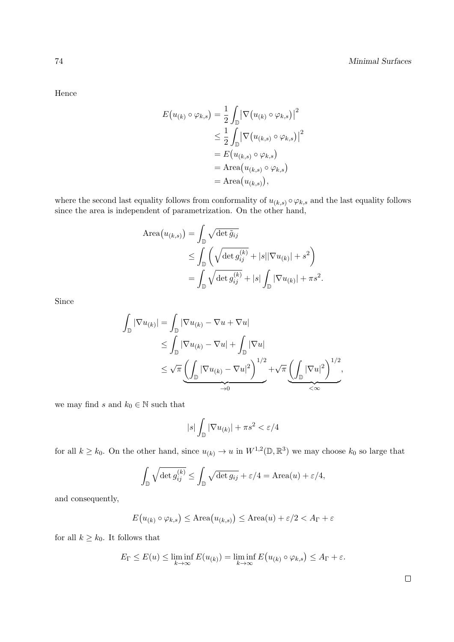Hence

$$
E(u_{(k)} \circ \varphi_{k,s}) = \frac{1}{2} \int_{\mathbb{D}} \left| \nabla (u_{(k)} \circ \varphi_{k,s}) \right|^2
$$
  
\n
$$
\leq \frac{1}{2} \int_{\mathbb{D}} \left| \nabla (u_{(k,s)} \circ \varphi_{k,s}) \right|^2
$$
  
\n
$$
= E(u_{(k,s)} \circ \varphi_{k,s})
$$
  
\n
$$
= \text{Area}(u_{(k,s)}) \circ \varphi_{k,s}
$$
  
\n
$$
= \text{Area}(u_{(k,s)}),
$$

where the second last equality follows from conformality of  $u_{(k,s)} \circ \varphi_{k,s}$  and the last equality follows since the area is independent of parametrization. On the other hand,

Area
$$
(u_{(k,s)}) = \int_{\mathbb{D}} \sqrt{\det \tilde{g}_{ij}}
$$
  
\n
$$
\leq \int_{\mathbb{D}} \left( \sqrt{\det g_{ij}^{(k)}} + |s| |\nabla u_{(k)}| + s^2 \right)
$$
\n
$$
= \int_{\mathbb{D}} \sqrt{\det g_{ij}^{(k)}} + |s| \int_{\mathbb{D}} |\nabla u_{(k)}| + \pi s^2.
$$

Since

$$
\int_{\mathbb{D}} |\nabla u_{(k)}| = \int_{\mathbb{D}} |\nabla u_{(k)} - \nabla u + \nabla u|
$$
\n
$$
\leq \int_{\mathbb{D}} |\nabla u_{(k)} - \nabla u| + \int_{\mathbb{D}} |\nabla u|
$$
\n
$$
\leq \sqrt{\pi} \underbrace{\left( \int_{\mathbb{D}} |\nabla u_{(k)} - \nabla u|^2 \right)^{1/2}}_{\to 0} + \sqrt{\pi} \underbrace{\left( \int_{\mathbb{D}} |\nabla u|^2 \right)^{1/2}}_{\lt \infty},
$$

we may find s and  $k_0 \in \mathbb{N}$  such that

$$
|s| \int_{\mathbb{D}} |\nabla u_{(k)}| + \pi s^2 < \varepsilon / 4
$$

for all  $k \geq k_0$ . On the other hand, since  $u_{(k)} \to u$  in  $W^{1,2}(\mathbb{D}, \mathbb{R}^3)$  we may choose  $k_0$  so large that

$$
\int_{\mathbb{D}} \sqrt{\det g_{ij}^{(k)}} \le \int_{\mathbb{D}} \sqrt{\det g_{ij}} + \varepsilon/4 = \text{Area}(u) + \varepsilon/4,
$$

and consequently,

$$
E(u_{(k)} \circ \varphi_{k,s}) \le \text{Area}(u_{(k,s)}) \le \text{Area}(u) + \varepsilon/2 < A_{\Gamma} + \varepsilon
$$

for all  $k \geq k_0$ . It follows that

$$
E_{\Gamma} \leq E(u) \leq \liminf_{k \to \infty} E(u_{(k)}) = \liminf_{k \to \infty} E(u_{(k)} \circ \varphi_{k,s}) \leq A_{\Gamma} + \varepsilon.
$$

 $\Box$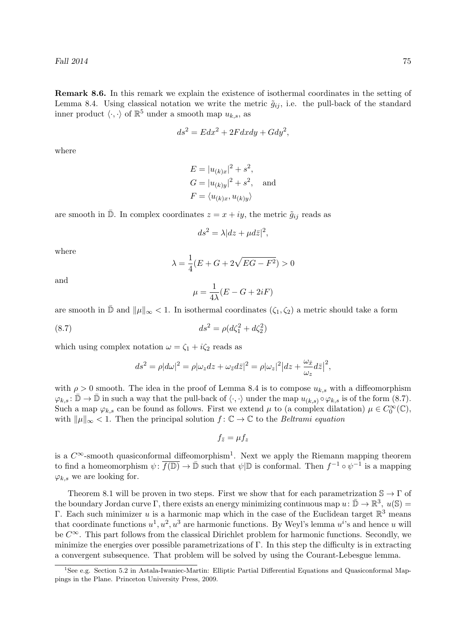Remark 8.6. In this remark we explain the existence of isothermal coordinates in the setting of Lemma 8.4. Using classical notation we write the metric  $\tilde{g}_{ij}$ , i.e. the pull-back of the standard inner product  $\langle \cdot, \cdot \rangle$  of  $\mathbb{R}^5$  under a smooth map  $u_{k,s}$ , as

$$
ds^2 = Edx^2 + 2Fdxdy + Gdy^2,
$$

where

$$
E = |u_{(k)x}|^2 + s^2,
$$
  
\n
$$
G = |u_{(k)y}|^2 + s^2,
$$
 and  
\n
$$
F = \langle u_{(k)x}, u_{(k)y} \rangle
$$

are smooth in  $\overline{\mathbb{D}}$ . In complex coordinates  $z = x + iy$ , the metric  $\tilde{g}_{ij}$  reads as

$$
ds^2 = \lambda |dz + \mu d\bar{z}|^2,
$$

where

$$
\lambda = \frac{1}{4}(E + G + 2\sqrt{EG - F^2}) > 0
$$

and

$$
\mu = \frac{1}{4\lambda}(E - G + 2iF)
$$

are smooth in  $\mathbb{D}$  and  $\|\mu\|_{\infty} < 1$ . In isothermal coordinates  $(\zeta_1, \zeta_2)$  a metric should take a form

(8.7) 
$$
ds^2 = \rho (d\zeta_1^2 + d\zeta_2^2)
$$

which using complex notation  $\omega = \zeta_1 + i\zeta_2$  reads as

$$
ds^{2} = \rho |d\omega|^{2} = \rho |\omega_{z} dz + \omega_{\bar{z}} d\bar{z}|^{2} = \rho |\omega_{z}|^{2} |dz + \frac{\omega_{\bar{x}}}{\omega_{z}} d\bar{z}|^{2},
$$

with  $\rho > 0$  smooth. The idea in the proof of Lemma 8.4 is to compose  $u_{k,s}$  with a diffeomorphism  $\varphi_{k,s} : \overline{\mathbb{D}} \to \overline{\mathbb{D}}$  in such a way that the pull-back of  $\langle \cdot, \cdot \rangle$  under the map  $u_{(k,s)} \circ \varphi_{k,s}$  is of the form  $(8.7)$ . Such a map  $\varphi_{k,s}$  can be found as follows. First we extend  $\mu$  to (a complex dilatation)  $\mu \in C_0^{\infty}(\mathbb{C}),$ with  $\|\mu\|_{\infty} < 1$ . Then the principal solution  $f : \mathbb{C} \to \mathbb{C}$  to the *Beltrami equation* 

$$
f_{\bar{z}}=\mu f_z
$$

is a  $C^{\infty}$ -smooth quasiconformal diffeomorphism<sup>1</sup>. Next we apply the Riemann mapping theorem to find a homeomorphism  $\psi: \overline{f(\mathbb{D})} \to \overline{\mathbb{D}}$  such that  $\psi | \mathbb{D}$  is conformal. Then  $f^{-1} \circ \psi^{-1}$  is a mapping  $\varphi_{k,s}$  we are looking for.

Theorem 8.1 will be proven in two steps. First we show that for each parametrization  $\mathbb{S} \to \Gamma$  of the boundary Jordan curve  $\Gamma$ , there exists an energy minimizing continuous map  $u: \bar{\mathbb{D}} \to \mathbb{R}^3$ ,  $u(\mathbb{S}) =$ Γ. Each such minimizer u is a harmonic map which in the case of the Euclidean target  $\mathbb{R}^3$  means that coordinate functions  $u^1, u^2, u^3$  are harmonic functions. By Weyl's lemma  $u^i$ 's and hence u will be  $C^{\infty}$ . This part follows from the classical Dirichlet problem for harmonic functions. Secondly, we minimize the energies over possible parametrizations of  $\Gamma$ . In this step the difficulty is in extracting a convergent subsequence. That problem will be solved by using the Courant-Lebesgue lemma.

<sup>&</sup>lt;sup>1</sup>See e.g. Section 5.2 in Astala-Iwaniec-Martin: Elliptic Partial Differential Equations and Quasiconformal Mappings in the Plane. Princeton University Press, 2009.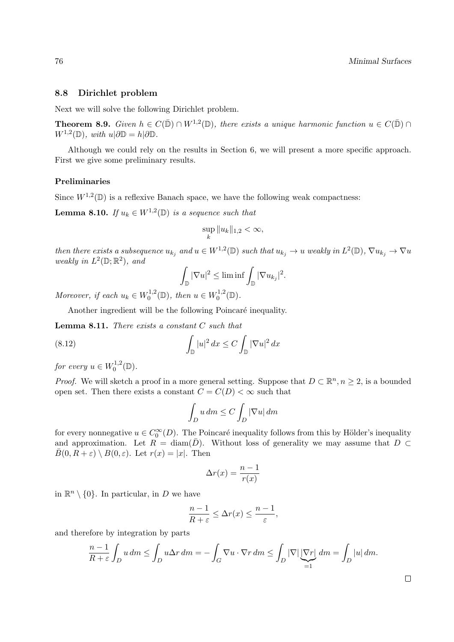### 8.8 Dirichlet problem

Next we will solve the following Dirichlet problem.

**Theorem 8.9.** Given  $h \in C(\bar{\mathbb{D}}) \cap W^{1,2}(\mathbb{D})$ , there exists a unique harmonic function  $u \in C(\bar{\mathbb{D}}) \cap$  $W^{1,2}(\mathbb{D}), \ with \ u|\partial \mathbb{D} = h|\partial \mathbb{D}.$ 

Although we could rely on the results in Section 6, we will present a more specific approach. First we give some preliminary results.

## Preliminaries

Since  $W^{1,2}(\mathbb{D})$  is a reflexive Banach space, we have the following weak compactness:

**Lemma 8.10.** If  $u_k \in W^{1,2}(\mathbb{D})$  is a sequence such that

$$
\sup_{k} \|u_k\|_{1,2} < \infty,
$$

then there exists a subsequence  $u_{k_j}$  and  $u \in W^{1,2}(\mathbb{D})$  such that  $u_{k_j} \to u$  weakly in  $L^2(\mathbb{D})$ ,  $\nabla u_{k_j} \to \nabla u$ weakly in  $L^2(\mathbb{D}; \mathbb{R}^2)$ , and

$$
\int_{\mathbb{D}} |\nabla u|^2 \le \liminf \int_{\mathbb{D}} |\nabla u_{k_j}|^2.
$$

Moreover, if each  $u_k \in W_0^{1,2}$  $v_0^{1,2}(\mathbb{D})$ , then  $u \in W_0^{1,2}$  $t_0^{1,2}(\mathbb{D}).$ 

Another ingredient will be the following Poincaré inequality.

**Lemma 8.11.** There exists a constant  $C$  such that

(8.12) 
$$
\int_{\mathbb{D}} |u|^2 dx \leq C \int_{\mathbb{D}} |\nabla u|^2 dx
$$

for every  $u \in W_0^{1,2}$  $t_0^{1,2}(\mathbb{D}).$ 

*Proof.* We will sketch a proof in a more general setting. Suppose that  $D \subset \mathbb{R}^n, n \geq 2$ , is a bounded open set. Then there exists a constant  $C = C(D) < \infty$  such that

$$
\int_D u \, dm \le C \int_D |\nabla u| \, dm
$$

for every nonnegative  $u \in C_0^{\infty}(D)$ . The Poincaré inequality follows from this by Hölder's inequality and approximation. Let  $R = \text{diam}(\overline{D})$ . Without loss of generality we may assume that  $D \subset$  $\overline{B}(0, R + \varepsilon) \setminus B(0, \varepsilon)$ . Let  $r(x) = |x|$ . Then

$$
\Delta r(x) = \frac{n-1}{r(x)}
$$

in  $\mathbb{R}^n \setminus \{0\}$ . In particular, in D we have

$$
\frac{n-1}{R+\varepsilon} \leq \Delta r(x) \leq \frac{n-1}{\varepsilon},
$$

and therefore by integration by parts

$$
\frac{n-1}{R+\varepsilon} \int_D u \, dm \le \int_D u \Delta r \, dm = -\int_G \nabla u \cdot \nabla r \, dm \le \int_D |\nabla| \underbrace{|\nabla r|}_{=1} \, dm = \int_D |u| \, dm.
$$

 $\Box$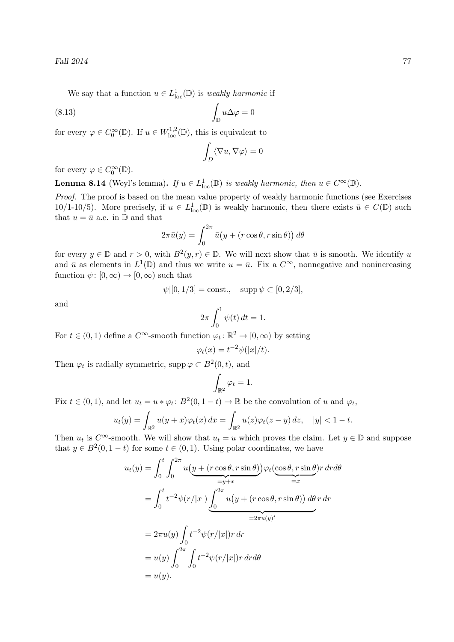Fall 2014 77

We say that a function  $u \in L^1_{loc}(\mathbb{D})$  is *weakly harmonic* if

$$
\int_{\mathbb{D}} u \Delta \varphi = 0
$$

for every  $\varphi \in C_0^{\infty}(\mathbb{D})$ . If  $u \in W^{1,2}_{loc}(\mathbb{D})$ , this is equivalent to

$$
\int_D \langle \nabla u, \nabla \varphi \rangle = 0
$$

for every  $\varphi \in C_0^{\infty}(\mathbb{D})$ .

**Lemma 8.14** (Weyl's lemma). If  $u \in L^1_{loc}(\mathbb{D})$  is weakly harmonic, then  $u \in C^{\infty}(\mathbb{D})$ .

Proof. The proof is based on the mean value property of weakly harmonic functions (see Exercises 10/1-10/5). More precisely, if  $u \in L^1_{loc}(\mathbb{D})$  is weakly harmonic, then there exists  $\bar{u} \in C(\mathbb{D})$  such that  $u = \bar{u}$  a.e. in  $\mathbb{D}$  and that

$$
2\pi \bar{u}(y) = \int_0^{2\pi} \bar{u}\big(y + (r\cos\theta, r\sin\theta)\big) d\theta
$$

for every  $y \in \mathbb{D}$  and  $r > 0$ , with  $B^2(y,r) \in \mathbb{D}$ . We will next show that  $\bar{u}$  is smooth. We identify u and  $\bar{u}$  as elements in  $L^1(\mathbb{D})$  and thus we write  $u = \bar{u}$ . Fix a  $C^{\infty}$ , nonnegative and nonincreasing function  $\psi: [0, \infty) \to [0, \infty)$  such that

$$
\psi
$$
[(0, 1/3] = const.,  $\text{supp } \psi \subset [0, 2/3],$ 

and

$$
2\pi \int_0^1 \psi(t) dt = 1.
$$

For  $t \in (0,1)$  define a  $C^{\infty}$ -smooth function  $\varphi_t : \mathbb{R}^2 \to [0,\infty)$  by setting

$$
\varphi_t(x) = t^{-2} \psi(|x|/t).
$$

Then  $\varphi_t$  is radially symmetric, supp  $\varphi \subset B^2(0,t)$ , and

$$
\int_{\mathbb{R}^2} \varphi_t = 1.
$$

Fix  $t \in (0,1)$ , and let  $u_t = u * \varphi_t : B^2(0, 1-t) \to \mathbb{R}$  be the convolution of u and  $\varphi_t$ ,

$$
u_t(y) = \int_{\mathbb{R}^2} u(y+x)\varphi_t(x) dx = \int_{\mathbb{R}^2} u(z)\varphi_t(z-y) dz, \quad |y| < 1 - t.
$$

Then  $u_t$  is  $C^{\infty}$ -smooth. We will show that  $u_t = u$  which proves the claim. Let  $y \in \mathbb{D}$  and suppose that  $y \in B^2(0, 1-t)$  for some  $t \in (0, 1)$ . Using polar coordinates, we have

$$
u_t(y) = \int_0^t \int_0^{2\pi} u\left(\underline{y} + (r\cos\theta, r\sin\theta)\right) \varphi_t(\cos\theta, r\sin\theta) r dr d\theta
$$
  
\n
$$
= \int_0^t t^{-2} \psi(r/|x|) \underbrace{\int_0^{2\pi} u\left(\underline{y} + (r\cos\theta, r\sin\theta)\right) d\theta r dr}_{=2\pi u(y)^t}
$$
  
\n
$$
= 2\pi u(y) \int_0^t t^{-2} \psi(r/|x|) r dr
$$
  
\n
$$
= u(y) \int_0^{2\pi} \int_0^t t^{-2} \psi(r/|x|) r dr d\theta
$$
  
\n
$$
= u(y).
$$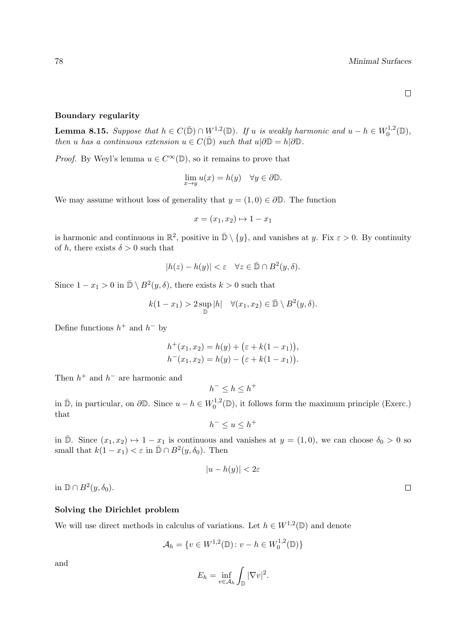#### Boundary regularity

**Lemma 8.15.** Suppose that  $h \in C(\bar{\mathbb{D}}) \cap W^{1,2}(\mathbb{D})$ . If u is weakly harmonic and  $u - h \in W_0^{1,2}$  $t_0^{1,2}(\mathbb{D}),$ then u has a continuous extension  $u \in C(\overline{\mathbb{D}})$  such that  $u|\partial \mathbb{D} = h|\partial \mathbb{D}$ .

*Proof.* By Weyl's lemma  $u \in C^{\infty}(\mathbb{D})$ , so it remains to prove that

$$
\lim_{x \to y} u(x) = h(y) \quad \forall y \in \partial \mathbb{D}.
$$

We may assume without loss of generality that  $y = (1, 0) \in \partial \mathbb{D}$ . The function

$$
x = (x_1, x_2) \mapsto 1 - x_1
$$

is harmonic and continuous in  $\mathbb{R}^2$ , positive in  $\bar{\mathbb{D}} \setminus \{y\}$ , and vanishes at y. Fix  $\varepsilon > 0$ . By continuity of h, there exists  $\delta > 0$  such that

$$
|h(z) - h(y)| < \varepsilon \quad \forall z \in \bar{\mathbb{D}} \cap B^2(y, \delta).
$$

Since  $1 - x_1 > 0$  in  $\bar{\mathbb{D}} \setminus B^2(y, \delta)$ , there exists  $k > 0$  such that

$$
k(1-x_1) > 2 \sup_{\mathbb{D}} |h| \quad \forall (x_1, x_2) \in \bar{\mathbb{D}} \setminus B^2(y, \delta).
$$

Define functions  $h^+$  and  $h^-$  by

$$
h^+(x_1, x_2) = h(y) + (\varepsilon + k(1 - x_1)),
$$
  
\n
$$
h^-(x_1, x_2) = h(y) - (\varepsilon + k(1 - x_1)).
$$

Then  $h^+$  and  $h^-$  are harmonic and

 $h^{-} \leq h \leq h^{+}$ 

in  $\bar{\mathbb{D}}$ , in particular, on  $\partial \mathbb{D}$ . Since  $u - h \in W_0^{1,2}$  $n_0^{1,2}(\mathbb{D})$ , it follows form the maximum principle (Exerc.) that

 $h^{-} \leq u \leq h^{+}$ 

in  $\overline{\mathbb{D}}$ . Since  $(x_1, x_2) \mapsto 1 - x_1$  is continuous and vanishes at  $y = (1, 0)$ , we can choose  $\delta_0 > 0$  so small that  $k(1-x_1) < \varepsilon$  in  $\bar{\mathbb{D}} \cap B^2(y, \delta_0)$ . Then

$$
|u - h(y)| < 2\varepsilon
$$

in  $\mathbb{D} \cap B^2(y,\delta_0)$ .

### Solving the Dirichlet problem

We will use direct methods in calculus of variations. Let  $h \in W^{1,2}(\mathbb{D})$  and denote

$$
\mathcal{A}_h = \{ v \in W^{1,2}(\mathbb{D}) : v - h \in W_0^{1,2}(\mathbb{D}) \}
$$

and

$$
E_h = \inf_{v \in \mathcal{A}_h} \int_{\mathbb{D}} |\nabla v|^2.
$$

 $\Box$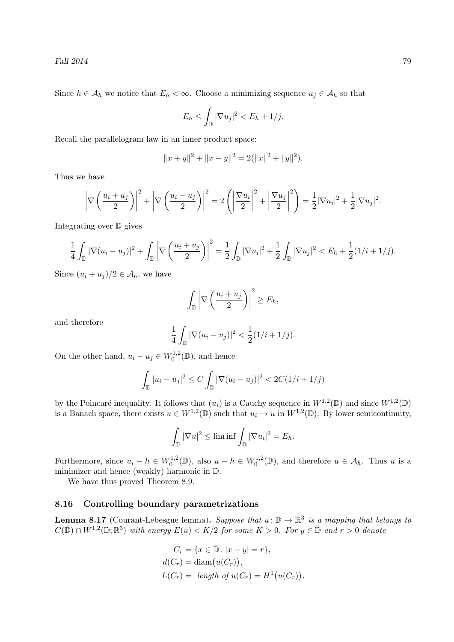Since  $h \in \mathcal{A}_h$  we notice that  $E_h < \infty$ . Choose a minimizing sequence  $u_j \in \mathcal{A}_h$  so that

$$
E_h \le \int_{\mathbb{D}} |\nabla u_j|^2 < E_h + 1/j.
$$

Recall the parallelogram law in an inner product space:

$$
||x + y||2 + ||x - y||2 = 2(||x||2 + ||y||2).
$$

Thus we have

$$
\left|\nabla\left(\frac{u_i+u_j}{2}\right)\right|^2+\left|\nabla\left(\frac{u_i-u_j}{2}\right)\right|^2=2\left(\left|\frac{\nabla u_i}{2}\right|^2+\left|\frac{\nabla u_j}{2}\right|^2\right)=\frac{1}{2}|\nabla u_i|^2+\frac{1}{2}|\nabla u_j|^2.
$$

Integrating over D gives

$$
\frac{1}{4} \int_{\mathbb{D}} |\nabla (u_i - u_j)|^2 + \int_{\mathbb{D}} \left| \nabla \left( \frac{u_i + u_j}{2} \right) \right|^2 = \frac{1}{2} \int_{\mathbb{D}} |\nabla u_i|^2 + \frac{1}{2} \int_{\mathbb{D}} |\nabla u_j|^2 < E_h + \frac{1}{2} (1/i + 1/j).
$$

Since  $(u_i + u_j)/2 \in \mathcal{A}_h$ , we have

$$
\int_{\mathbb{D}} \left| \nabla \left( \frac{u_i + u_j}{2} \right) \right|^2 \ge E_h,
$$

and therefore

$$
\frac{1}{4} \int_{\mathbb{D}} |\nabla (u_i - u_j)|^2 < \frac{1}{2} (1/i + 1/j).
$$

On the other hand,  $u_i - u_j \in W_0^{1,2}$  $t_0^{1,2}(\mathbb{D})$ , and hence

$$
\int_{\mathbb{D}} |u_i - u_j|^2 \le C \int_{\mathbb{D}} |\nabla (u_i - u_j)|^2 < 2C(1/i + 1/j)
$$

by the Poincaré inequality. It follows that  $(u_i)$  is a Cauchy sequence in  $W^{1,2}(\mathbb{D})$  and since  $W^{1,2}(\mathbb{D})$ is a Banach space, there exists  $u \in W^{1,2}(\mathbb{D})$  such that  $u_i \to u$  in  $W^{1,2}(\mathbb{D})$ . By lower semicontinuity,

$$
\int_{\mathbb{D}} |\nabla u|^2 \le \liminf \int_{\mathbb{D}} |\nabla u_i|^2 = E_h.
$$

Furthermore, since  $u_i - h \in W_0^{1,2}$  $v_0^{1,2}(\mathbb{D})$ , also  $u - h \in W_0^{1,2}$  $\mathcal{A}_0^{1,2}(\mathbb{D})$ , and therefore  $u \in \mathcal{A}_h$ . Thus u is a minimizer and hence (weakly) harmonic in D.

We have thus proved Theorem 8.9.

# 8.16 Controlling boundary parametrizations

**Lemma 8.17** (Courant-Lebesgue lemma). Suppose that  $u: \mathbb{D} \to \mathbb{R}^3$  is a mapping that belongs to  $C(\bar{\mathbb{D}}) \cap W^{1,2}(\mathbb{D};\mathbb{R}^3)$  with energy  $E(u) < K/2$  for some  $K > 0$ . For  $y \in \bar{\mathbb{D}}$  and  $r > 0$  denote

$$
C_r = \{x \in \bar{\mathbb{D}} : |x - y| = r\},
$$
  
\n
$$
d(C_r) = \text{diam}(u(C_r)),
$$
  
\n
$$
L(C_r) = \text{length of } u(C_r) = H^1(u(C_r)).
$$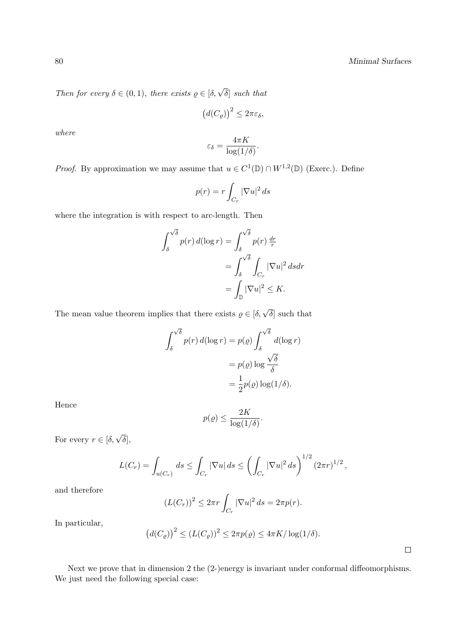Then for every  $\delta \in (0,1)$ , there exists  $\varrho \in [\delta, \sqrt{\delta}]$  such that

$$
\big(d(C_{\varrho})\big)^2 \leq 2\pi\varepsilon_{\delta},
$$

where

$$
\varepsilon_{\delta} = \frac{4\pi K}{\log(1/\delta)}.
$$

*Proof.* By approximation we may assume that  $u \in C^1(\mathbb{D}) \cap W^{1,2}(\mathbb{D})$  (Exerc.). Define

$$
p(r) = r \int_{C_r} |\nabla u|^2 ds
$$

where the integration is with respect to arc-length. Then

$$
\int_{\delta}^{\sqrt{\delta}} p(r) d(\log r) = \int_{\delta}^{\sqrt{\delta}} p(r) \frac{dr}{r}
$$

$$
= \int_{\delta}^{\sqrt{\delta}} \int_{C_r} |\nabla u|^2 ds dr
$$

$$
= \int_{\mathbb{D}} |\nabla u|^2 \le K.
$$

The mean value theorem implies that there exists  $\rho \in [\delta, \sqrt{\delta}]$  such that

$$
\int_{\delta}^{\sqrt{\delta}} p(r) d(\log r) = p(\varrho) \int_{\delta}^{\sqrt{\delta}} d(\log r)
$$

$$
= p(\varrho) \log \frac{\sqrt{\delta}}{\delta}
$$

$$
= \frac{1}{2} p(\varrho) \log(1/\delta).
$$

Hence

$$
p(\varrho) \le \frac{2K}{\log(1/\delta)}.
$$

For every  $r \in [\delta, \sqrt{\delta}],$ 

$$
L(C_r) = \int_{u(C_r)} ds \le \int_{C_r} |\nabla u| ds \le \left( \int_{C_r} |\nabla u|^2 ds \right)^{1/2} (2\pi r)^{1/2},
$$

and therefore

$$
(L(C_r))^2 \leq 2\pi r \int_{C_r} |\nabla u|^2 ds = 2\pi p(r).
$$

In particular,

$$
\big(d(C_{\varrho})\big)^2 \le (L(C_{\varrho}))^2 \le 2\pi p(\varrho) \le 4\pi K/\log(1/\delta).
$$

 $\Box$ 

Next we prove that in dimension 2 the (2-)energy is invariant under conformal diffeomorphisms. We just need the following special case: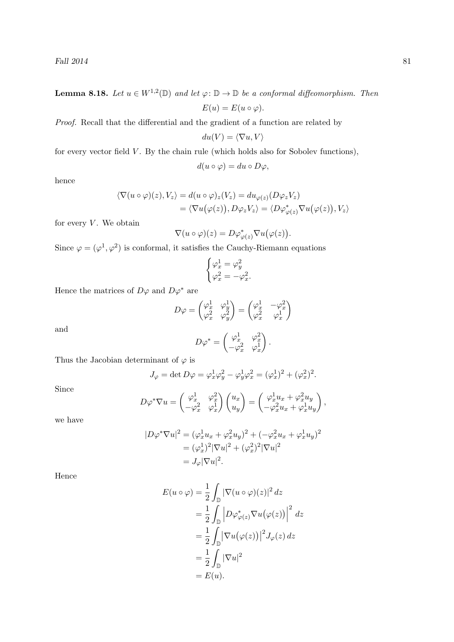## **Lemma 8.18.** Let  $u \in W^{1,2}(\mathbb{D})$  and let  $\varphi : \mathbb{D} \to \mathbb{D}$  be a conformal diffeomorphism. Then

$$
E(u) = E(u \circ \varphi).
$$

Proof. Recall that the differential and the gradient of a function are related by

$$
du(V) = \langle \nabla u, V \rangle
$$

for every vector field  $V$ . By the chain rule (which holds also for Sobolev functions),

$$
d(u \circ \varphi) = du \circ D\varphi,
$$

hence

$$
\langle \nabla(u \circ \varphi)(z), V_z \rangle = d(u \circ \varphi)_z(V_z) = du_{\varphi(z)}(D\varphi_z V_z)
$$
  
= 
$$
\langle \nabla u(\varphi(z)), D\varphi_z V_z \rangle = \langle D\varphi_{\varphi(z)}^* \nabla u(\varphi(z)), V_z \rangle
$$

for every  $V$ . We obtain

$$
\nabla(u\circ\varphi)(z)=D\varphi_{\varphi(z)}^*\nabla u(\varphi(z)).
$$

Since  $\varphi = (\varphi^1, \varphi^2)$  is conformal, it satisfies the Cauchy-Riemann equations

$$
\begin{cases}\n\varphi_x^1 = \varphi_y^2 \\
\varphi_x^2 = -\varphi_x^2.\n\end{cases}
$$

Hence the matrices of  $D\varphi$  and  $D\varphi^*$  are

$$
D\varphi = \begin{pmatrix} \varphi_x^1 & \varphi_y^1 \\ \varphi_x^2 & \varphi_y^2 \end{pmatrix} = \begin{pmatrix} \varphi_x^1 & -\varphi_x^2 \\ \varphi_x^2 & \varphi_x^1 \end{pmatrix}
$$

$$
D\varphi^* = \begin{pmatrix} \varphi_x^1 & \varphi_x^2 \\ -\varphi_x^2 & \varphi_x^1 \end{pmatrix}.
$$

and

Thus the Jacobian determinant of 
$$
\varphi
$$
 is

$$
J_{\varphi} = \det D\varphi = \varphi_{x}^{1} \varphi_{y}^{2} - \varphi_{y}^{1} \varphi_{x}^{2} = (\varphi_{x}^{1})^{2} + (\varphi_{x}^{2})^{2}.
$$

Since

$$
D\varphi^*\nabla u = \begin{pmatrix} \varphi_x^1 & \varphi_x^2 \\ -\varphi_x^2 & \varphi_x^1 \end{pmatrix} \begin{pmatrix} u_x \\ u_y \end{pmatrix} = \begin{pmatrix} \varphi_x^1 u_x + \varphi_x^2 u_y \\ -\varphi_x^2 u_x + \varphi_x^1 u_y \end{pmatrix},
$$

we have

$$
|D\varphi^*\nabla u|^2 = (\varphi_x^1 u_x + \varphi_x^2 u_y)^2 + (-\varphi_x^2 u_x + \varphi_x^1 u_y)^2
$$
  
=  $(\varphi_x^1)^2 |\nabla u|^2 + (\varphi_x^2)^2 |\nabla u|^2$   
=  $J_{\varphi} |\nabla u|^2$ .

Hence

$$
E(u \circ \varphi) = \frac{1}{2} \int_{\mathbb{D}} |\nabla(u \circ \varphi)(z)|^2 dz
$$
  
=  $\frac{1}{2} \int_{\mathbb{D}} |D\varphi_{\varphi(z)}^* \nabla u(\varphi(z))|^2 dz$   
=  $\frac{1}{2} \int_{\mathbb{D}} |\nabla u(\varphi(z))|^2 J_{\varphi}(z) dz$   
=  $\frac{1}{2} \int_{\mathbb{D}} |\nabla u|^2$   
=  $E(u).$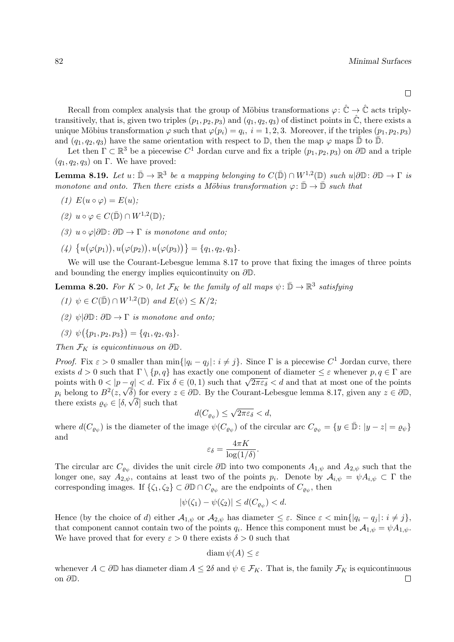Recall from complex analysis that the group of Möbius transformations  $\varphi: \hat{\mathbb{C}} \to \hat{\mathbb{C}}$  acts triplytransitively, that is, given two triples  $(p_1, p_2, p_3)$  and  $(q_1, q_2, q_3)$  of distinct points in  $\ddot{C}$ , there exists a unique Möbius transformation  $\varphi$  such that  $\varphi(p_i) = q_i$ ,  $i = 1, 2, 3$ . Moreover, if the triples  $(p_1, p_2, p_3)$ and  $(q_1, q_2, q_3)$  have the same orientation with respect to  $\mathbb{D}$ , then the map  $\varphi$  maps  $\bar{\mathbb{D}}$  to  $\bar{\mathbb{D}}$ .

Let then  $\Gamma \subset \mathbb{R}^3$  be a piecewise  $C^1$  Jordan curve and fix a triple  $(p_1, p_2, p_3)$  on  $\partial \mathbb{D}$  and a triple  $(q_1, q_2, q_3)$  on Γ. We have proved:

**Lemma 8.19.** Let  $u: \bar{\mathbb{D}} \to \mathbb{R}^3$  be a mapping belonging to  $C(\bar{\mathbb{D}}) \cap W^{1,2}(\mathbb{D})$  such  $u | \partial \mathbb{D}: \partial \mathbb{D} \to \Gamma$  is monotone and onto. Then there exists a Möbius transformation  $\varphi: \bar{\mathbb{D}} \to \bar{\mathbb{D}}$  such that

- (1)  $E(u \circ \varphi) = E(u)$ ;
- (2)  $u \circ \varphi \in C(\overline{\mathbb{D}}) \cap W^{1,2}(\mathbb{D});$
- (3)  $u \circ \varphi | \partial \mathbb{D} : \partial \mathbb{D} \to \Gamma$  is monotone and onto;
- $(4) \ \{u(\varphi(p_1)), u(\varphi(p_2)), u(\varphi(p_3))\} = \{q_1, q_2, q_3\}.$

We will use the Courant-Lebesgue lemma 8.17 to prove that fixing the images of three points and bounding the energy implies equicontinuity on  $\partial \mathbb{D}$ .

**Lemma 8.20.** For  $K > 0$ , let  $\mathcal{F}_K$  be the family of all maps  $\psi : \bar{\mathbb{D}} \to \mathbb{R}^3$  satisfying

- (1)  $\psi \in C(\overline{\mathbb{D}}) \cap W^{1,2}(\mathbb{D})$  and  $E(\psi) \leq K/2$ ;
- (2)  $\psi|\partial\mathbb{D}:\partial\mathbb{D}\to\Gamma$  is monotone and onto;

$$
(3) \psi(\{p_1, p_2, p_3\}) = \{q_1, q_2, q_3\}.
$$

Then  $\mathcal{F}_K$  is equicontinuous on  $\partial \mathbb{D}$ .

*Proof.* Fix  $\varepsilon > 0$  smaller than  $\min\{|q_i - q_j| : i \neq j\}$ . Since  $\Gamma$  is a piecewise  $C^1$  Jordan curve, there exists  $d > 0$  such that  $\Gamma \setminus \{p, q\}$  has exactly one component of diameter  $\leq \varepsilon$  whenever  $p, q \in \Gamma$  are points with  $0 < |p - q| < d$ . Fix  $\delta \in (0, 1)$  such that  $\sqrt{2\pi\varepsilon_{\delta}} < d$  and that at most one of the points points with  $0 < |p - q| < a$ . Fix  $\delta \in (0, 1)$  such that  $\sqrt{2\pi\varepsilon_{\delta}} < a$  and that at most one of the points  $p_i$  belong to  $B^2(z, \sqrt{\delta})$  for every  $z \in \partial \mathbb{D}$ . By the Courant-Lebesgue lemma 8.17, given any  $z \in \partial \mathbb{D}$ ,  $p_i$  belong to  $B^-(z, \sqrt{\delta})$  for every z<br>there exists  $\varrho_\psi \in [\delta, \sqrt{\delta}]$  such that √

$$
d(C_{\varrho_{\psi}}) \le \sqrt{2\pi\varepsilon_{\delta}} < d,
$$

where  $d(C_{\varrho_{\psi}})$  is the diameter of the image  $\psi(C_{\varrho_{\psi}})$  of the circular arc  $C_{\varrho_{\psi}} = \{y \in \bar{\mathbb{D}} : |y - z| = \varrho_{\psi}\}\$ and

$$
\varepsilon_{\delta} = \frac{4\pi K}{\log(1/\delta)}.
$$

The circular arc  $C_{\varrho_{\psi}}$  divides the unit circle  $\partial\mathbb{D}$  into two components  $A_{1,\psi}$  and  $A_{2,\psi}$  such that the longer one, say  $A_{2,\psi}$ , contains at least two of the points  $p_i$ . Denote by  $A_{i,\psi} = \psi A_{i,\psi} \subset \Gamma$  the corresponding images. If  $\{\zeta_1, \zeta_2\} \subset \partial \mathbb{D} \cap C_{\varrho_\psi}$  are the endpoints of  $C_{\varrho_\psi}$ , then

$$
|\psi(\zeta_1) - \psi(\zeta_2)| \le d(C_{\varrho_{\psi}}) < d.
$$

Hence (by the choice of d) either  $\mathcal{A}_{1,\psi}$  or  $\mathcal{A}_{2,\psi}$  has diameter  $\leq \varepsilon$ . Since  $\varepsilon < \min\{|q_i - q_j| : i \neq j\}$ , that component cannot contain two of the points  $q_i$ . Hence this component must be  $\mathcal{A}_{1,\psi} = \psi A_{1,\psi}$ . We have proved that for every  $\varepsilon > 0$  there exists  $\delta > 0$  such that

$$
\dim \psi(A) \le \varepsilon
$$

whenever  $A \subset \partial \mathbb{D}$  has diameter diam  $A \leq 2\delta$  and  $\psi \in \mathcal{F}_K$ . That is, the family  $\mathcal{F}_K$  is equicontinuous on ∂D. $\Box$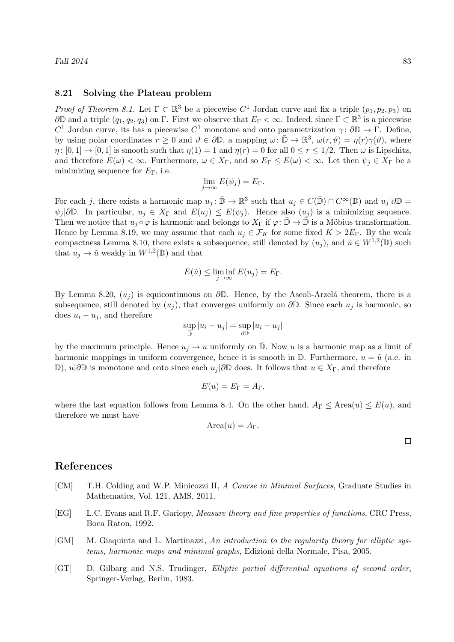### 8.21 Solving the Plateau problem

*Proof of Theorem 8.1.* Let  $\Gamma \subset \mathbb{R}^3$  be a piecewise  $C^1$  Jordan curve and fix a triple  $(p_1, p_2, p_3)$  on  $\partial\mathbb{D}$  and a triple  $(q_1, q_2, q_3)$  on  $\Gamma$ . First we observe that  $E_{\Gamma} < \infty$ . Indeed, since  $\Gamma \subset \mathbb{R}^3$  is a piecewise  $C^1$  Jordan curve, its has a piecewise  $C^1$  monotone and onto parametrization  $\gamma: \partial \mathbb{D} \to \Gamma$ . Define, by using polar coordinates  $r \geq 0$  and  $\vartheta \in \partial \mathbb{D}$ , a mapping  $\omega : \bar{\mathbb{D}} \to \mathbb{R}^3$ ,  $\omega(r, \vartheta) = \eta(r)\gamma(\vartheta)$ , where  $\eta: [0,1] \to [0,1]$  is smooth such that  $\eta(1) = 1$  and  $\eta(r) = 0$  for all  $0 \le r \le 1/2$ . Then  $\omega$  is Lipschitz, and therefore  $E(\omega) < \infty$ . Furthermore,  $\omega \in X_{\Gamma}$ , and so  $E_{\Gamma} \leq E(\omega) < \infty$ . Let then  $\psi_j \in X_{\Gamma}$  be a minimizing sequence for  $E_{\Gamma}$ , i.e.

$$
\lim_{j \to \infty} E(\psi_j) = E_{\Gamma}.
$$

For each j, there exists a harmonic map  $u_j : \bar{\mathbb{D}} \to \mathbb{R}^3$  such that  $u_j \in C(\bar{\mathbb{D}}) \cap C^{\infty}(\mathbb{D})$  and  $u_j | \partial \mathbb{D} =$  $\psi_j | \partial \mathbb{D}$ . In particular,  $u_j \in X_\Gamma$  and  $E(u_j) \leq E(\psi_j)$ . Hence also  $(u_j)$  is a minimizing sequence. Then we notice that  $u_j \circ \varphi$  is harmonic and belongs to  $X_{\Gamma}$  if  $\varphi: \mathbb{D} \to \mathbb{D}$  is a Möbius transformation. Hence by Lemma 8.19, we may assume that each  $u_j \in \mathcal{F}_K$  for some fixed  $K > 2E_\Gamma$ . By the weak compactness Lemma 8.10, there exists a subsequence, still denoted by  $(u_j)$ , and  $\tilde{u} \in W^{1,2}(\mathbb{D})$  such that  $u_j \to \tilde{u}$  weakly in  $W^{1,2}(\mathbb{D})$  and that

$$
E(\tilde{u}) \le \liminf_{j \to \infty} E(u_j) = E_{\Gamma}.
$$

By Lemma 8.20,  $(u_i)$  is equicontinuous on  $\partial \mathbb{D}$ . Hence, by the Ascoli-Arzelá theorem, there is a subsequence, still denoted by  $(u_j)$ , that converges uniformly on  $\partial \mathbb{D}$ . Since each  $u_j$  is harmonic, so does  $u_i - u_j$ , and therefore

$$
\sup_{\bar{\mathbb{D}}} |u_i - u_j| = \sup_{\partial \mathbb{D}} |u_i - u_j|
$$

by the maximum principle. Hence  $u_j \to u$  uniformly on  $\overline{\mathbb{D}}$ . Now u is a harmonic map as a limit of harmonic mappings in uniform convergence, hence it is smooth in  $\mathbb{D}$ . Furthermore,  $u = \tilde{u}$  (a.e. in D),  $u|∂D$  is monotone and onto since each  $u_j|∂D$  does. It follows that  $u ∈ X_Γ$ , and therefore

$$
E(u) = E_{\Gamma} = A_{\Gamma},
$$

where the last equation follows from Lemma 8.4. On the other hand,  $A_{\Gamma} \leq \text{Area}(u) \leq E(u)$ , and therefore we must have

$$
Area(u) = A_{\Gamma}.
$$

 $\Box$ 

## References

- [CM] T.H. Colding and W.P. Minicozzi II, A Course in Minimal Surfaces, Graduate Studies in Mathematics, Vol. 121, AMS, 2011.
- [EG] L.C. Evans and R.F. Gariepy, Measure theory and fine properties of functions, CRC Press, Boca Raton, 1992.
- [GM] M. Giaquinta and L. Martinazzi, An introduction to the regularity theory for elliptic systems, harmonic maps and minimal graphs, Edizioni della Normale, Pisa, 2005.
- [GT] D. Gilbarg and N.S. Trudinger, Elliptic partial differential equations of second order, Springer-Verlag, Berlin, 1983.